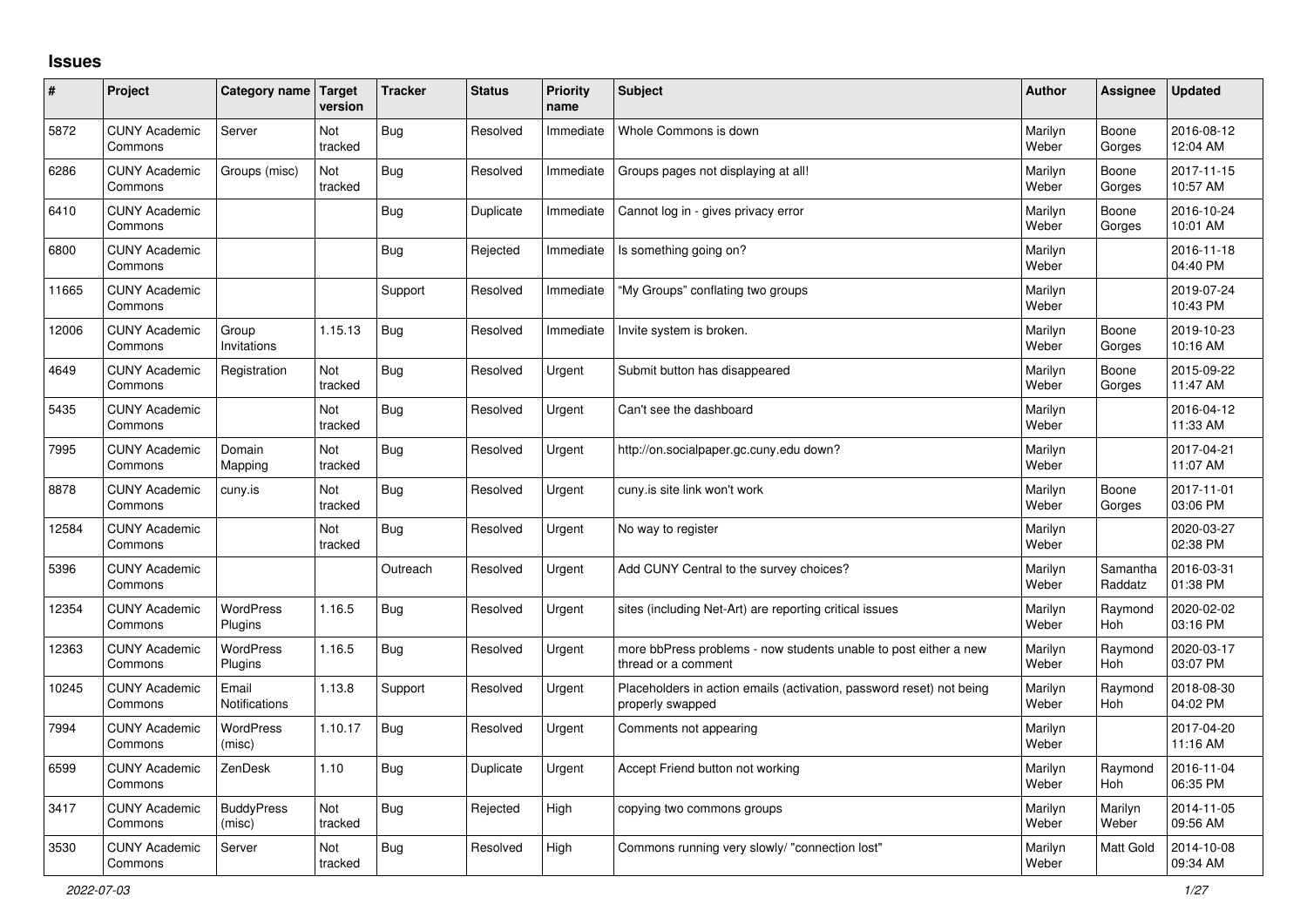## **Issues**

| #     | Project                         | Category name Target        | version        | <b>Tracker</b> | <b>Status</b> | <b>Priority</b><br>name | <b>Subject</b>                                                                           | <b>Author</b>    | Assignee              | <b>Updated</b>         |
|-------|---------------------------------|-----------------------------|----------------|----------------|---------------|-------------------------|------------------------------------------------------------------------------------------|------------------|-----------------------|------------------------|
| 5872  | <b>CUNY Academic</b><br>Commons | Server                      | Not<br>tracked | <b>Bug</b>     | Resolved      | Immediate               | Whole Commons is down                                                                    | Marilyn<br>Weber | Boone<br>Gorges       | 2016-08-12<br>12:04 AM |
| 6286  | <b>CUNY Academic</b><br>Commons | Groups (misc)               | Not<br>tracked | <b>Bug</b>     | Resolved      | Immediate               | Groups pages not displaying at all!                                                      | Marilyn<br>Weber | Boone<br>Gorges       | 2017-11-15<br>10:57 AM |
| 6410  | <b>CUNY Academic</b><br>Commons |                             |                | Bug            | Duplicate     | Immediate               | Cannot log in - gives privacy error                                                      | Marilyn<br>Weber | Boone<br>Gorges       | 2016-10-24<br>10:01 AM |
| 6800  | <b>CUNY Academic</b><br>Commons |                             |                | Bug            | Rejected      | Immediate               | Is something going on?                                                                   | Marilyn<br>Weber |                       | 2016-11-18<br>04:40 PM |
| 11665 | <b>CUNY Academic</b><br>Commons |                             |                | Support        | Resolved      | Immediate               | "My Groups" conflating two groups                                                        | Marilyn<br>Weber |                       | 2019-07-24<br>10:43 PM |
| 12006 | <b>CUNY Academic</b><br>Commons | Group<br>Invitations        | 1.15.13        | <b>Bug</b>     | Resolved      | Immediate               | Invite system is broken.                                                                 | Marilyn<br>Weber | Boone<br>Gorges       | 2019-10-23<br>10:16 AM |
| 4649  | <b>CUNY Academic</b><br>Commons | Registration                | Not<br>tracked | Bug            | Resolved      | Urgent                  | Submit button has disappeared                                                            | Marilyn<br>Weber | Boone<br>Gorges       | 2015-09-22<br>11:47 AM |
| 5435  | <b>CUNY Academic</b><br>Commons |                             | Not<br>tracked | <b>Bug</b>     | Resolved      | Urgent                  | Can't see the dashboard                                                                  | Marilyn<br>Weber |                       | 2016-04-12<br>11:33 AM |
| 7995  | <b>CUNY Academic</b><br>Commons | Domain<br>Mapping           | Not<br>tracked | <b>Bug</b>     | Resolved      | Urgent                  | http://on.socialpaper.gc.cuny.edu down?                                                  | Marilyn<br>Weber |                       | 2017-04-21<br>11:07 AM |
| 8878  | <b>CUNY Academic</b><br>Commons | cuny.is                     | Not<br>tracked | <b>Bug</b>     | Resolved      | Urgent                  | cuny.is site link won't work                                                             | Marilyn<br>Weber | Boone<br>Gorges       | 2017-11-01<br>03:06 PM |
| 12584 | <b>CUNY Academic</b><br>Commons |                             | Not<br>tracked | <b>Bug</b>     | Resolved      | Urgent                  | No way to register                                                                       | Marilyn<br>Weber |                       | 2020-03-27<br>02:38 PM |
| 5396  | <b>CUNY Academic</b><br>Commons |                             |                | Outreach       | Resolved      | Urgent                  | Add CUNY Central to the survey choices?                                                  | Marilyn<br>Weber | Samantha<br>Raddatz   | 2016-03-31<br>01:38 PM |
| 12354 | <b>CUNY Academic</b><br>Commons | <b>WordPress</b><br>Plugins | 1.16.5         | <b>Bug</b>     | Resolved      | Urgent                  | sites (including Net-Art) are reporting critical issues                                  | Marilyn<br>Weber | Raymond<br>Hoh        | 2020-02-02<br>03:16 PM |
| 12363 | <b>CUNY Academic</b><br>Commons | <b>WordPress</b><br>Plugins | 1.16.5         | <b>Bug</b>     | Resolved      | Urgent                  | more bbPress problems - now students unable to post either a new<br>thread or a comment  | Marilyn<br>Weber | Raymond<br><b>Hoh</b> | 2020-03-17<br>03:07 PM |
| 10245 | <b>CUNY Academic</b><br>Commons | Email<br>Notifications      | 1.13.8         | Support        | Resolved      | Urgent                  | Placeholders in action emails (activation, password reset) not being<br>properly swapped | Marilyn<br>Weber | Raymond<br>Hoh        | 2018-08-30<br>04:02 PM |
| 7994  | <b>CUNY Academic</b><br>Commons | WordPress<br>(misc)         | 1.10.17        | <b>Bug</b>     | Resolved      | Urgent                  | Comments not appearing                                                                   | Marilyn<br>Weber |                       | 2017-04-20<br>11:16 AM |
| 6599  | <b>CUNY Academic</b><br>Commons | ZenDesk                     | 1.10           | Bug            | Duplicate     | Urgent                  | Accept Friend button not working                                                         | Marilyn<br>Weber | Raymond<br><b>Hoh</b> | 2016-11-04<br>06:35 PM |
| 3417  | <b>CUNY Academic</b><br>Commons | <b>BuddyPress</b><br>(misc) | Not<br>tracked | <b>Bug</b>     | Rejected      | High                    | copying two commons groups                                                               | Marilyn<br>Weber | Marilyn<br>Weber      | 2014-11-05<br>09:56 AM |
| 3530  | <b>CUNY Academic</b><br>Commons | Server                      | Not<br>tracked | <b>Bug</b>     | Resolved      | High                    | Commons running very slowly/ "connection lost"                                           | Marilyn<br>Weber | <b>Matt Gold</b>      | 2014-10-08<br>09:34 AM |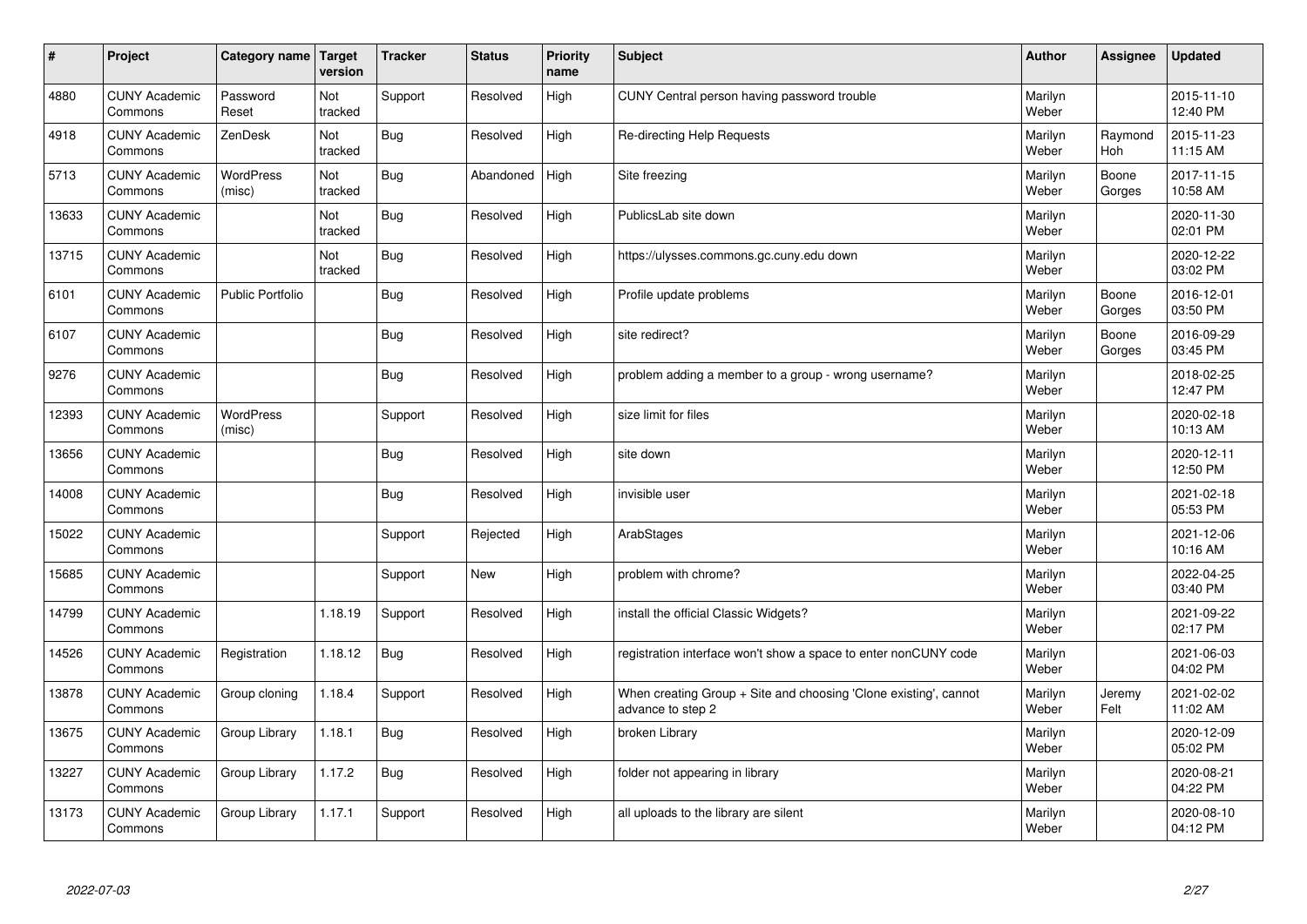| $\vert$ # | Project                         | Category name Target       | version        | <b>Tracker</b> | <b>Status</b> | <b>Priority</b><br>name | <b>Subject</b>                                                                        | <b>Author</b>    | Assignee        | <b>Updated</b>         |
|-----------|---------------------------------|----------------------------|----------------|----------------|---------------|-------------------------|---------------------------------------------------------------------------------------|------------------|-----------------|------------------------|
| 4880      | <b>CUNY Academic</b><br>Commons | Password<br>Reset          | Not<br>tracked | Support        | Resolved      | High                    | CUNY Central person having password trouble                                           | Marilyn<br>Weber |                 | 2015-11-10<br>12:40 PM |
| 4918      | <b>CUNY Academic</b><br>Commons | ZenDesk                    | Not<br>tracked | Bug            | Resolved      | High                    | Re-directing Help Requests                                                            | Marilyn<br>Weber | Raymond<br>Hoh  | 2015-11-23<br>11:15 AM |
| 5713      | <b>CUNY Academic</b><br>Commons | <b>WordPress</b><br>(misc) | Not<br>tracked | Bug            | Abandoned     | High                    | Site freezing                                                                         | Marilyn<br>Weber | Boone<br>Gorges | 2017-11-15<br>10:58 AM |
| 13633     | <b>CUNY Academic</b><br>Commons |                            | Not<br>tracked | Bug            | Resolved      | High                    | PublicsLab site down                                                                  | Marilyn<br>Weber |                 | 2020-11-30<br>02:01 PM |
| 13715     | <b>CUNY Academic</b><br>Commons |                            | Not<br>tracked | Bug            | Resolved      | High                    | https://ulysses.commons.gc.cuny.edu down                                              | Marilyn<br>Weber |                 | 2020-12-22<br>03:02 PM |
| 6101      | <b>CUNY Academic</b><br>Commons | <b>Public Portfolio</b>    |                | Bug            | Resolved      | High                    | Profile update problems                                                               | Marilyn<br>Weber | Boone<br>Gorges | 2016-12-01<br>03:50 PM |
| 6107      | <b>CUNY Academic</b><br>Commons |                            |                | <b>Bug</b>     | Resolved      | High                    | site redirect?                                                                        | Marilyn<br>Weber | Boone<br>Gorges | 2016-09-29<br>03:45 PM |
| 9276      | <b>CUNY Academic</b><br>Commons |                            |                | <b>Bug</b>     | Resolved      | High                    | problem adding a member to a group - wrong username?                                  | Marilyn<br>Weber |                 | 2018-02-25<br>12:47 PM |
| 12393     | <b>CUNY Academic</b><br>Commons | <b>WordPress</b><br>(misc) |                | Support        | Resolved      | High                    | size limit for files                                                                  | Marilyn<br>Weber |                 | 2020-02-18<br>10:13 AM |
| 13656     | <b>CUNY Academic</b><br>Commons |                            |                | <b>Bug</b>     | Resolved      | High                    | site down                                                                             | Marilyn<br>Weber |                 | 2020-12-11<br>12:50 PM |
| 14008     | <b>CUNY Academic</b><br>Commons |                            |                | <b>Bug</b>     | Resolved      | High                    | invisible user                                                                        | Marilyn<br>Weber |                 | 2021-02-18<br>05:53 PM |
| 15022     | <b>CUNY Academic</b><br>Commons |                            |                | Support        | Rejected      | High                    | ArabStages                                                                            | Marilyn<br>Weber |                 | 2021-12-06<br>10:16 AM |
| 15685     | <b>CUNY Academic</b><br>Commons |                            |                | Support        | <b>New</b>    | High                    | problem with chrome?                                                                  | Marilyn<br>Weber |                 | 2022-04-25<br>03:40 PM |
| 14799     | <b>CUNY Academic</b><br>Commons |                            | 1.18.19        | Support        | Resolved      | High                    | install the official Classic Widgets?                                                 | Marilyn<br>Weber |                 | 2021-09-22<br>02:17 PM |
| 14526     | <b>CUNY Academic</b><br>Commons | Registration               | 1.18.12        | <b>Bug</b>     | Resolved      | High                    | registration interface won't show a space to enter nonCUNY code                       | Marilyn<br>Weber |                 | 2021-06-03<br>04:02 PM |
| 13878     | <b>CUNY Academic</b><br>Commons | Group cloning              | 1.18.4         | Support        | Resolved      | High                    | When creating Group + Site and choosing 'Clone existing', cannot<br>advance to step 2 | Marilyn<br>Weber | Jeremy<br>Felt  | 2021-02-02<br>11:02 AM |
| 13675     | <b>CUNY Academic</b><br>Commons | Group Library              | 1.18.1         | Bug            | Resolved      | High                    | broken Library                                                                        | Marilyn<br>Weber |                 | 2020-12-09<br>05:02 PM |
| 13227     | <b>CUNY Academic</b><br>Commons | Group Library              | 1.17.2         | <b>Bug</b>     | Resolved      | High                    | folder not appearing in library                                                       | Marilyn<br>Weber |                 | 2020-08-21<br>04:22 PM |
| 13173     | <b>CUNY Academic</b><br>Commons | Group Library              | 1.17.1         | Support        | Resolved      | High                    | all uploads to the library are silent                                                 | Marilyn<br>Weber |                 | 2020-08-10<br>04:12 PM |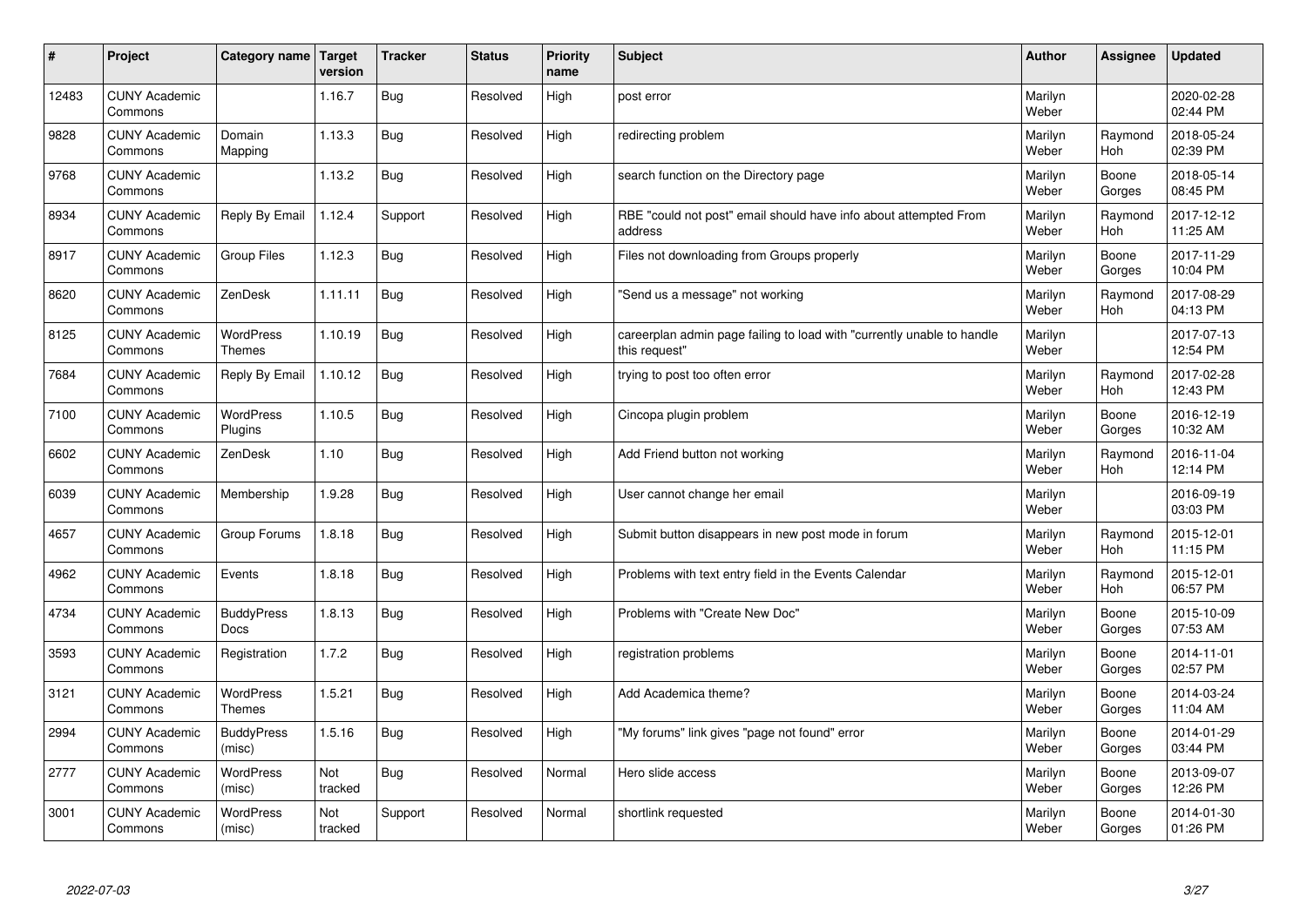| $\sharp$ | Project                         | Category name   Target            | version        | <b>Tracker</b> | <b>Status</b> | <b>Priority</b><br>name | <b>Subject</b>                                                                          | <b>Author</b>    | Assignee              | <b>Updated</b>         |
|----------|---------------------------------|-----------------------------------|----------------|----------------|---------------|-------------------------|-----------------------------------------------------------------------------------------|------------------|-----------------------|------------------------|
| 12483    | <b>CUNY Academic</b><br>Commons |                                   | 1.16.7         | Bug            | Resolved      | High                    | post error                                                                              | Marilyn<br>Weber |                       | 2020-02-28<br>02:44 PM |
| 9828     | <b>CUNY Academic</b><br>Commons | Domain<br>Mapping                 | 1.13.3         | <b>Bug</b>     | Resolved      | High                    | redirecting problem                                                                     | Marilyn<br>Weber | Raymond<br><b>Hoh</b> | 2018-05-24<br>02:39 PM |
| 9768     | <b>CUNY Academic</b><br>Commons |                                   | 1.13.2         | <b>Bug</b>     | Resolved      | High                    | search function on the Directory page                                                   | Marilyn<br>Weber | Boone<br>Gorges       | 2018-05-14<br>08:45 PM |
| 8934     | <b>CUNY Academic</b><br>Commons | Reply By Email                    | 1.12.4         | Support        | Resolved      | High                    | RBE "could not post" email should have info about attempted From<br>address             | Marilyn<br>Weber | Raymond<br>Hoh        | 2017-12-12<br>11:25 AM |
| 8917     | <b>CUNY Academic</b><br>Commons | Group Files                       | 1.12.3         | <b>Bug</b>     | Resolved      | High                    | Files not downloading from Groups properly                                              | Marilyn<br>Weber | Boone<br>Gorges       | 2017-11-29<br>10:04 PM |
| 8620     | <b>CUNY Academic</b><br>Commons | ZenDesk                           | 1.11.11        | <b>Bug</b>     | Resolved      | High                    | 'Send us a message" not working                                                         | Marilyn<br>Weber | Raymond<br>Hoh        | 2017-08-29<br>04:13 PM |
| 8125     | <b>CUNY Academic</b><br>Commons | <b>WordPress</b><br><b>Themes</b> | 1.10.19        | Bug            | Resolved      | High                    | careerplan admin page failing to load with "currently unable to handle<br>this request" | Marilyn<br>Weber |                       | 2017-07-13<br>12:54 PM |
| 7684     | <b>CUNY Academic</b><br>Commons | Reply By Email                    | 1.10.12        | <b>Bug</b>     | Resolved      | High                    | trying to post too often error                                                          | Marilyn<br>Weber | Raymond<br>Hoh        | 2017-02-28<br>12:43 PM |
| 7100     | <b>CUNY Academic</b><br>Commons | WordPress<br>Plugins              | 1.10.5         | <b>Bug</b>     | Resolved      | High                    | Cincopa plugin problem                                                                  | Marilyn<br>Weber | Boone<br>Gorges       | 2016-12-19<br>10:32 AM |
| 6602     | <b>CUNY Academic</b><br>Commons | ZenDesk                           | 1.10           | Bug            | Resolved      | High                    | Add Friend button not working                                                           | Marilyn<br>Weber | Raymond<br><b>Hoh</b> | 2016-11-04<br>12:14 PM |
| 6039     | <b>CUNY Academic</b><br>Commons | Membership                        | 1.9.28         | <b>Bug</b>     | Resolved      | High                    | User cannot change her email                                                            | Marilyn<br>Weber |                       | 2016-09-19<br>03:03 PM |
| 4657     | <b>CUNY Academic</b><br>Commons | Group Forums                      | 1.8.18         | <b>Bug</b>     | Resolved      | High                    | Submit button disappears in new post mode in forum                                      | Marilyn<br>Weber | Raymond<br>Hoh        | 2015-12-01<br>11:15 PM |
| 4962     | <b>CUNY Academic</b><br>Commons | Events                            | 1.8.18         | Bug            | Resolved      | High                    | Problems with text entry field in the Events Calendar                                   | Marilyn<br>Weber | Raymond<br>Hoh        | 2015-12-01<br>06:57 PM |
| 4734     | <b>CUNY Academic</b><br>Commons | <b>BuddyPress</b><br><b>Docs</b>  | 1.8.13         | Bug            | Resolved      | High                    | Problems with "Create New Doc"                                                          | Marilyn<br>Weber | Boone<br>Gorges       | 2015-10-09<br>07:53 AM |
| 3593     | <b>CUNY Academic</b><br>Commons | Registration                      | 1.7.2          | <b>Bug</b>     | Resolved      | High                    | registration problems                                                                   | Marilyn<br>Weber | Boone<br>Gorges       | 2014-11-01<br>02:57 PM |
| 3121     | <b>CUNY Academic</b><br>Commons | <b>WordPress</b><br>Themes        | 1.5.21         | Bug            | Resolved      | High                    | Add Academica theme?                                                                    | Marilyn<br>Weber | Boone<br>Gorges       | 2014-03-24<br>11:04 AM |
| 2994     | <b>CUNY Academic</b><br>Commons | <b>BuddyPress</b><br>(misc)       | 1.5.16         | Bug            | Resolved      | High                    | 'My forums" link gives "page not found" error                                           | Marilyn<br>Weber | Boone<br>Gorges       | 2014-01-29<br>03:44 PM |
| 2777     | <b>CUNY Academic</b><br>Commons | <b>WordPress</b><br>(misc)        | Not<br>tracked | Bug            | Resolved      | Normal                  | Hero slide access                                                                       | Marilyn<br>Weber | Boone<br>Gorges       | 2013-09-07<br>12:26 PM |
| 3001     | <b>CUNY Academic</b><br>Commons | <b>WordPress</b><br>(misc)        | Not<br>tracked | Support        | Resolved      | Normal                  | shortlink requested                                                                     | Marilyn<br>Weber | Boone<br>Gorges       | 2014-01-30<br>01:26 PM |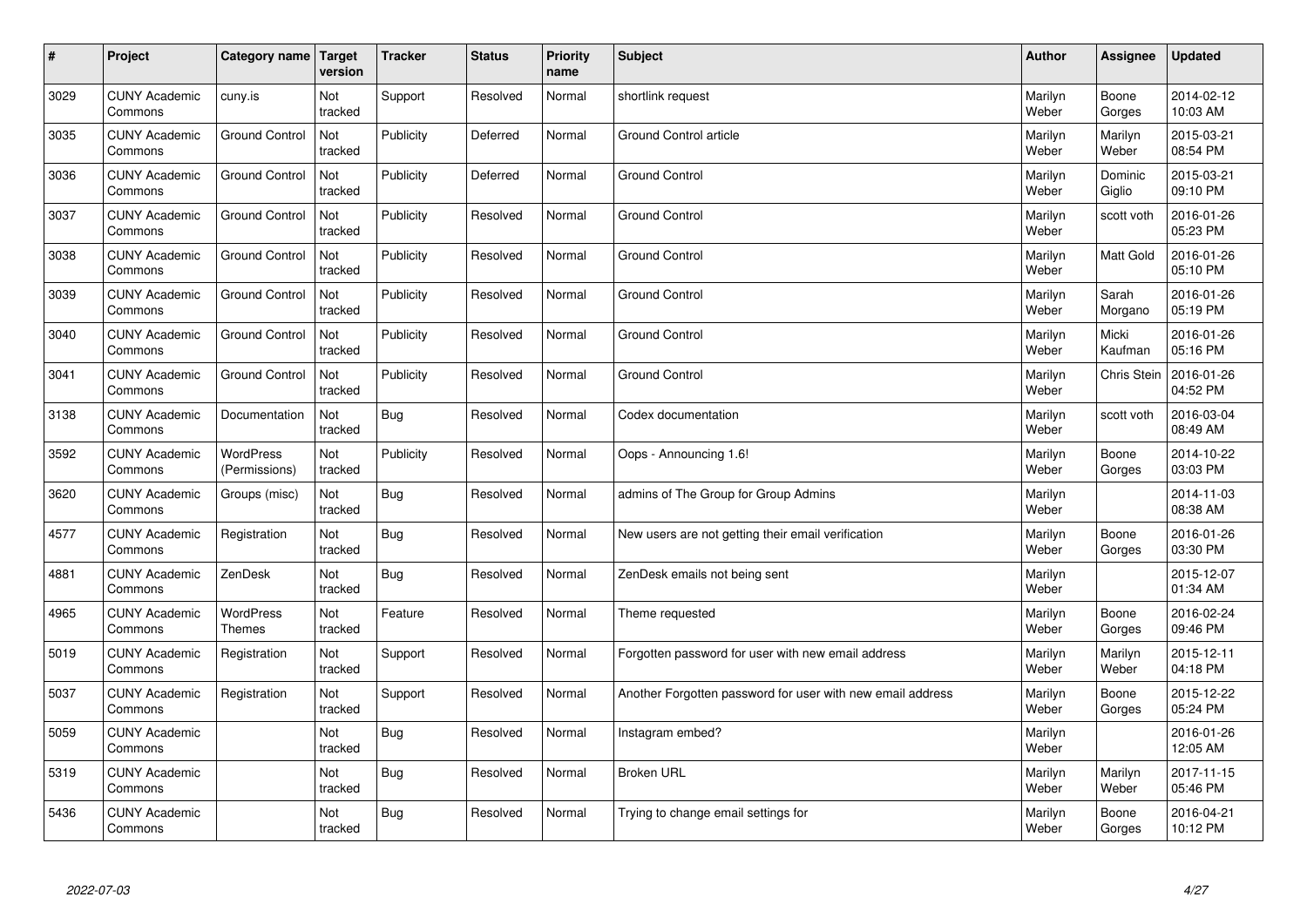| #    | Project                         | Category name   Target            | version        | <b>Tracker</b> | <b>Status</b> | Priority<br>name | <b>Subject</b>                                             | <b>Author</b>    | <b>Assignee</b>   | <b>Updated</b>         |
|------|---------------------------------|-----------------------------------|----------------|----------------|---------------|------------------|------------------------------------------------------------|------------------|-------------------|------------------------|
| 3029 | <b>CUNY Academic</b><br>Commons | cuny.is                           | Not<br>tracked | Support        | Resolved      | Normal           | shortlink request                                          | Marilyn<br>Weber | Boone<br>Gorges   | 2014-02-12<br>10:03 AM |
| 3035 | <b>CUNY Academic</b><br>Commons | <b>Ground Control</b>             | Not<br>tracked | Publicity      | Deferred      | Normal           | Ground Control article                                     | Marilyn<br>Weber | Marilyn<br>Weber  | 2015-03-21<br>08:54 PM |
| 3036 | <b>CUNY Academic</b><br>Commons | <b>Ground Control</b>             | Not<br>tracked | Publicity      | Deferred      | Normal           | <b>Ground Control</b>                                      | Marilyn<br>Weber | Dominic<br>Giglio | 2015-03-21<br>09:10 PM |
| 3037 | <b>CUNY Academic</b><br>Commons | <b>Ground Control</b>             | Not<br>tracked | Publicity      | Resolved      | Normal           | <b>Ground Control</b>                                      | Marilyn<br>Weber | scott voth        | 2016-01-26<br>05:23 PM |
| 3038 | <b>CUNY Academic</b><br>Commons | <b>Ground Control</b>             | Not<br>tracked | Publicity      | Resolved      | Normal           | <b>Ground Control</b>                                      | Marilyn<br>Weber | <b>Matt Gold</b>  | 2016-01-26<br>05:10 PM |
| 3039 | <b>CUNY Academic</b><br>Commons | <b>Ground Control</b>             | Not<br>tracked | Publicity      | Resolved      | Normal           | <b>Ground Control</b>                                      | Marilyn<br>Weber | Sarah<br>Morgano  | 2016-01-26<br>05:19 PM |
| 3040 | <b>CUNY Academic</b><br>Commons | <b>Ground Control</b>             | Not<br>tracked | Publicity      | Resolved      | Normal           | <b>Ground Control</b>                                      | Marilyn<br>Weber | Micki<br>Kaufman  | 2016-01-26<br>05:16 PM |
| 3041 | <b>CUNY Academic</b><br>Commons | <b>Ground Control</b>             | Not<br>tracked | Publicity      | Resolved      | Normal           | <b>Ground Control</b>                                      | Marilyn<br>Weber | Chris Stein       | 2016-01-26<br>04:52 PM |
| 3138 | <b>CUNY Academic</b><br>Commons | Documentation                     | Not<br>tracked | <b>Bug</b>     | Resolved      | Normal           | Codex documentation                                        | Marilyn<br>Weber | scott voth        | 2016-03-04<br>08:49 AM |
| 3592 | <b>CUNY Academic</b><br>Commons | <b>WordPress</b><br>(Permissions) | Not<br>tracked | Publicity      | Resolved      | Normal           | Oops - Announcing 1.6!                                     | Marilyn<br>Weber | Boone<br>Gorges   | 2014-10-22<br>03:03 PM |
| 3620 | <b>CUNY Academic</b><br>Commons | Groups (misc)                     | Not<br>tracked | Bug            | Resolved      | Normal           | admins of The Group for Group Admins                       | Marilyn<br>Weber |                   | 2014-11-03<br>08:38 AM |
| 4577 | <b>CUNY Academic</b><br>Commons | Registration                      | Not<br>tracked | Bug            | Resolved      | Normal           | New users are not getting their email verification         | Marilyn<br>Weber | Boone<br>Gorges   | 2016-01-26<br>03:30 PM |
| 4881 | <b>CUNY Academic</b><br>Commons | ZenDesk                           | Not<br>tracked | Bug            | Resolved      | Normal           | ZenDesk emails not being sent                              | Marilyn<br>Weber |                   | 2015-12-07<br>01:34 AM |
| 4965 | <b>CUNY Academic</b><br>Commons | WordPress<br>Themes               | Not<br>tracked | Feature        | Resolved      | Normal           | Theme requested                                            | Marilyn<br>Weber | Boone<br>Gorges   | 2016-02-24<br>09:46 PM |
| 5019 | <b>CUNY Academic</b><br>Commons | Registration                      | Not<br>tracked | Support        | Resolved      | Normal           | Forgotten password for user with new email address         | Marilyn<br>Weber | Marilyn<br>Weber  | 2015-12-11<br>04:18 PM |
| 5037 | <b>CUNY Academic</b><br>Commons | Registration                      | Not<br>tracked | Support        | Resolved      | Normal           | Another Forgotten password for user with new email address | Marilyn<br>Weber | Boone<br>Gorges   | 2015-12-22<br>05:24 PM |
| 5059 | <b>CUNY Academic</b><br>Commons |                                   | Not<br>tracked | Bug            | Resolved      | Normal           | Instagram embed?                                           | Marilyn<br>Weber |                   | 2016-01-26<br>12:05 AM |
| 5319 | <b>CUNY Academic</b><br>Commons |                                   | Not<br>tracked | Bug            | Resolved      | Normal           | <b>Broken URL</b>                                          | Marilyn<br>Weber | Marilyn<br>Weber  | 2017-11-15<br>05:46 PM |
| 5436 | <b>CUNY Academic</b><br>Commons |                                   | Not<br>tracked | Bug            | Resolved      | Normal           | Trying to change email settings for                        | Marilyn<br>Weber | Boone<br>Gorges   | 2016-04-21<br>10:12 PM |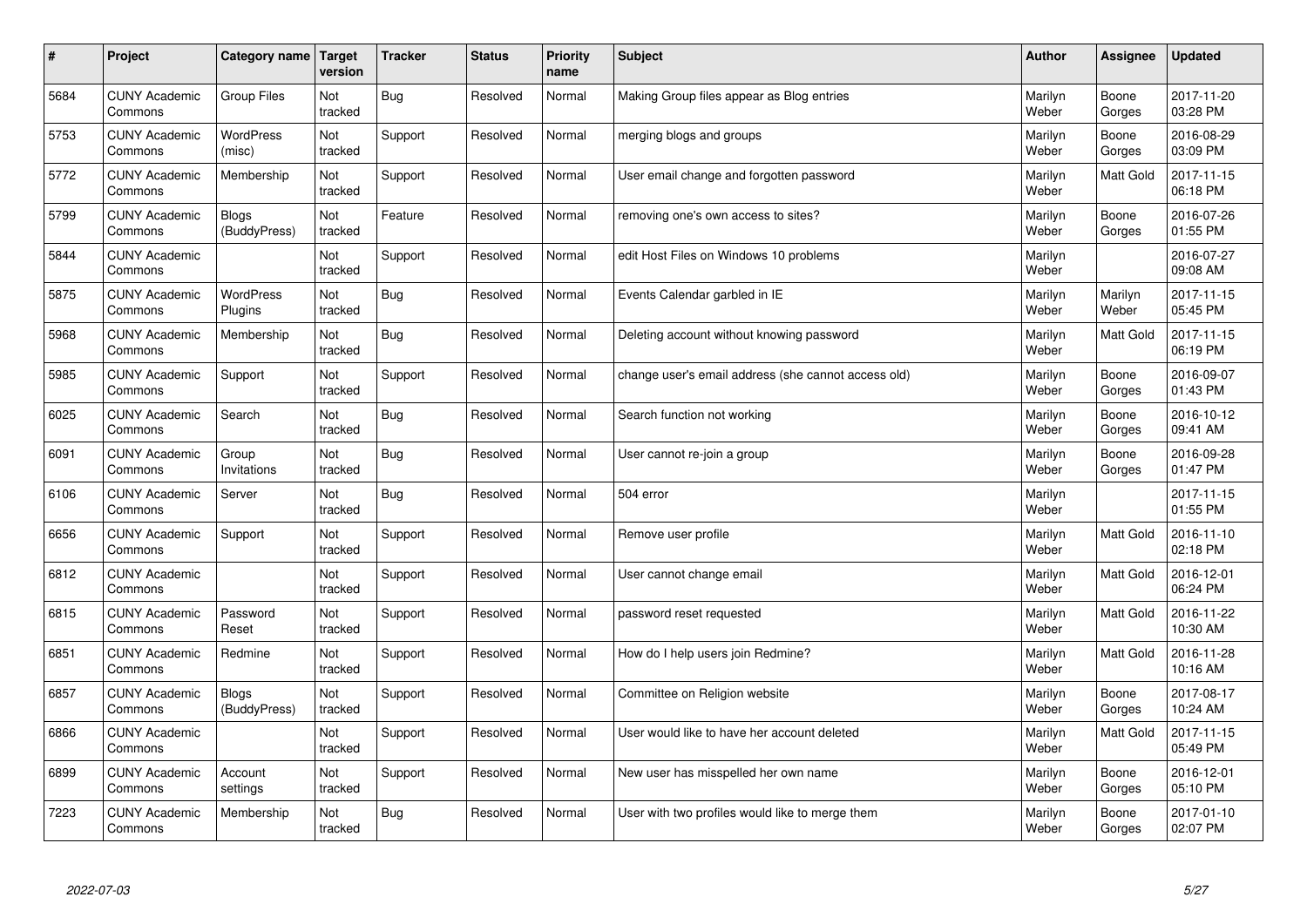| $\#$ | Project                         | Category name                | <b>Target</b><br>version | <b>Tracker</b> | <b>Status</b> | <b>Priority</b><br>name | <b>Subject</b>                                      | <b>Author</b>    | Assignee         | <b>Updated</b>         |
|------|---------------------------------|------------------------------|--------------------------|----------------|---------------|-------------------------|-----------------------------------------------------|------------------|------------------|------------------------|
| 5684 | <b>CUNY Academic</b><br>Commons | Group Files                  | Not<br>tracked           | <b>Bug</b>     | Resolved      | Normal                  | Making Group files appear as Blog entries           | Marilyn<br>Weber | Boone<br>Gorges  | 2017-11-20<br>03:28 PM |
| 5753 | <b>CUNY Academic</b><br>Commons | WordPress<br>(misc)          | Not<br>tracked           | Support        | Resolved      | Normal                  | merging blogs and groups                            | Marilyn<br>Weber | Boone<br>Gorges  | 2016-08-29<br>03:09 PM |
| 5772 | <b>CUNY Academic</b><br>Commons | Membership                   | Not<br>tracked           | Support        | Resolved      | Normal                  | User email change and forgotten password            | Marilyn<br>Weber | <b>Matt Gold</b> | 2017-11-15<br>06:18 PM |
| 5799 | <b>CUNY Academic</b><br>Commons | <b>Blogs</b><br>(BuddyPress) | Not<br>tracked           | Feature        | Resolved      | Normal                  | removing one's own access to sites?                 | Marilyn<br>Weber | Boone<br>Gorges  | 2016-07-26<br>01:55 PM |
| 5844 | <b>CUNY Academic</b><br>Commons |                              | Not<br>tracked           | Support        | Resolved      | Normal                  | edit Host Files on Windows 10 problems              | Marilyn<br>Weber |                  | 2016-07-27<br>09:08 AM |
| 5875 | <b>CUNY Academic</b><br>Commons | <b>WordPress</b><br>Plugins  | Not<br>tracked           | <b>Bug</b>     | Resolved      | Normal                  | Events Calendar garbled in IE                       | Marilyn<br>Weber | Marilyn<br>Weber | 2017-11-15<br>05:45 PM |
| 5968 | <b>CUNY Academic</b><br>Commons | Membership                   | Not<br>tracked           | <b>Bug</b>     | Resolved      | Normal                  | Deleting account without knowing password           | Marilyn<br>Weber | <b>Matt Gold</b> | 2017-11-15<br>06:19 PM |
| 5985 | <b>CUNY Academic</b><br>Commons | Support                      | Not<br>tracked           | Support        | Resolved      | Normal                  | change user's email address (she cannot access old) | Marilyn<br>Weber | Boone<br>Gorges  | 2016-09-07<br>01:43 PM |
| 6025 | <b>CUNY Academic</b><br>Commons | Search                       | Not<br>tracked           | <b>Bug</b>     | Resolved      | Normal                  | Search function not working                         | Marilyn<br>Weber | Boone<br>Gorges  | 2016-10-12<br>09:41 AM |
| 6091 | <b>CUNY Academic</b><br>Commons | Group<br>Invitations         | Not<br>tracked           | <b>Bug</b>     | Resolved      | Normal                  | User cannot re-join a group                         | Marilyn<br>Weber | Boone<br>Gorges  | 2016-09-28<br>01:47 PM |
| 6106 | <b>CUNY Academic</b><br>Commons | Server                       | Not<br>tracked           | <b>Bug</b>     | Resolved      | Normal                  | 504 error                                           | Marilyn<br>Weber |                  | 2017-11-15<br>01:55 PM |
| 6656 | <b>CUNY Academic</b><br>Commons | Support                      | Not<br>tracked           | Support        | Resolved      | Normal                  | Remove user profile                                 | Marilyn<br>Weber | Matt Gold        | 2016-11-10<br>02:18 PM |
| 6812 | <b>CUNY Academic</b><br>Commons |                              | Not<br>tracked           | Support        | Resolved      | Normal                  | User cannot change email                            | Marilyn<br>Weber | Matt Gold        | 2016-12-01<br>06:24 PM |
| 6815 | <b>CUNY Academic</b><br>Commons | Password<br>Reset            | Not<br>tracked           | Support        | Resolved      | Normal                  | password reset requested                            | Marilyn<br>Weber | Matt Gold        | 2016-11-22<br>10:30 AM |
| 6851 | <b>CUNY Academic</b><br>Commons | Redmine                      | Not<br>tracked           | Support        | Resolved      | Normal                  | How do I help users join Redmine?                   | Marilyn<br>Weber | Matt Gold        | 2016-11-28<br>10:16 AM |
| 6857 | <b>CUNY Academic</b><br>Commons | <b>Blogs</b><br>(BuddyPress) | Not<br>tracked           | Support        | Resolved      | Normal                  | Committee on Religion website                       | Marilyn<br>Weber | Boone<br>Gorges  | 2017-08-17<br>10:24 AM |
| 6866 | <b>CUNY Academic</b><br>Commons |                              | Not<br>tracked           | Support        | Resolved      | Normal                  | User would like to have her account deleted         | Marilyn<br>Weber | <b>Matt Gold</b> | 2017-11-15<br>05:49 PM |
| 6899 | <b>CUNY Academic</b><br>Commons | Account<br>settings          | Not<br>tracked           | Support        | Resolved      | Normal                  | New user has misspelled her own name                | Marilyn<br>Weber | Boone<br>Gorges  | 2016-12-01<br>05:10 PM |
| 7223 | <b>CUNY Academic</b><br>Commons | Membership                   | Not<br>tracked           | Bug            | Resolved      | Normal                  | User with two profiles would like to merge them     | Marilyn<br>Weber | Boone<br>Gorges  | 2017-01-10<br>02:07 PM |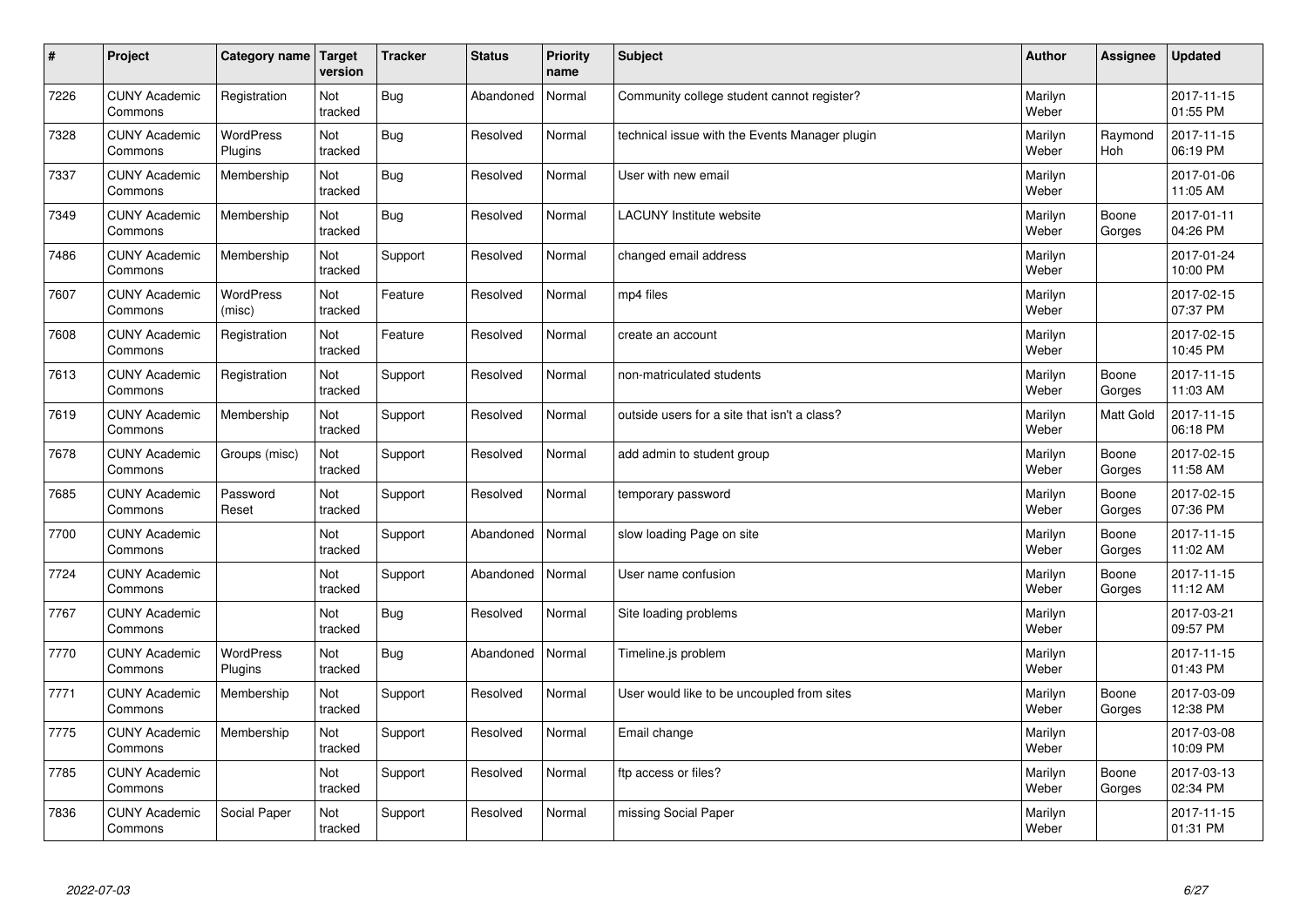| $\vert$ # | Project                         | Category name Target        | version        | <b>Tracker</b> | <b>Status</b> | <b>Priority</b><br>name | <b>Subject</b>                                 | <b>Author</b>    | <b>Assignee</b>  | <b>Updated</b>         |
|-----------|---------------------------------|-----------------------------|----------------|----------------|---------------|-------------------------|------------------------------------------------|------------------|------------------|------------------------|
| 7226      | <b>CUNY Academic</b><br>Commons | Registration                | Not<br>tracked | <b>Bug</b>     | Abandoned     | Normal                  | Community college student cannot register?     | Marilyn<br>Weber |                  | 2017-11-15<br>01:55 PM |
| 7328      | <b>CUNY Academic</b><br>Commons | WordPress<br>Plugins        | Not<br>tracked | Bug            | Resolved      | Normal                  | technical issue with the Events Manager plugin | Marilyn<br>Weber | Raymond<br>Hoh   | 2017-11-15<br>06:19 PM |
| 7337      | <b>CUNY Academic</b><br>Commons | Membership                  | Not<br>tracked | <b>Bug</b>     | Resolved      | Normal                  | User with new email                            | Marilyn<br>Weber |                  | 2017-01-06<br>11:05 AM |
| 7349      | <b>CUNY Academic</b><br>Commons | Membership                  | Not<br>tracked | <b>Bug</b>     | Resolved      | Normal                  | <b>LACUNY Institute website</b>                | Marilyn<br>Weber | Boone<br>Gorges  | 2017-01-11<br>04:26 PM |
| 7486      | <b>CUNY Academic</b><br>Commons | Membership                  | Not<br>tracked | Support        | Resolved      | Normal                  | changed email address                          | Marilyn<br>Weber |                  | 2017-01-24<br>10:00 PM |
| 7607      | <b>CUNY Academic</b><br>Commons | <b>WordPress</b><br>(misc)  | Not<br>tracked | Feature        | Resolved      | Normal                  | mp4 files                                      | Marilyn<br>Weber |                  | 2017-02-15<br>07:37 PM |
| 7608      | <b>CUNY Academic</b><br>Commons | Registration                | Not<br>tracked | Feature        | Resolved      | Normal                  | create an account                              | Marilyn<br>Weber |                  | 2017-02-15<br>10:45 PM |
| 7613      | <b>CUNY Academic</b><br>Commons | Registration                | Not<br>tracked | Support        | Resolved      | Normal                  | non-matriculated students                      | Marilyn<br>Weber | Boone<br>Gorges  | 2017-11-15<br>11:03 AM |
| 7619      | <b>CUNY Academic</b><br>Commons | Membership                  | Not<br>tracked | Support        | Resolved      | Normal                  | outside users for a site that isn't a class?   | Marilyn<br>Weber | <b>Matt Gold</b> | 2017-11-15<br>06:18 PM |
| 7678      | <b>CUNY Academic</b><br>Commons | Groups (misc)               | Not<br>tracked | Support        | Resolved      | Normal                  | add admin to student group                     | Marilyn<br>Weber | Boone<br>Gorges  | 2017-02-15<br>11:58 AM |
| 7685      | <b>CUNY Academic</b><br>Commons | Password<br>Reset           | Not<br>tracked | Support        | Resolved      | Normal                  | temporary password                             | Marilyn<br>Weber | Boone<br>Gorges  | 2017-02-15<br>07:36 PM |
| 7700      | <b>CUNY Academic</b><br>Commons |                             | Not<br>tracked | Support        | Abandoned     | Normal                  | slow loading Page on site                      | Marilyn<br>Weber | Boone<br>Gorges  | 2017-11-15<br>11:02 AM |
| 7724      | <b>CUNY Academic</b><br>Commons |                             | Not<br>tracked | Support        | Abandoned     | Normal                  | User name confusion                            | Marilyn<br>Weber | Boone<br>Gorges  | 2017-11-15<br>11:12 AM |
| 7767      | <b>CUNY Academic</b><br>Commons |                             | Not<br>tracked | <b>Bug</b>     | Resolved      | Normal                  | Site loading problems                          | Marilyn<br>Weber |                  | 2017-03-21<br>09:57 PM |
| 7770      | <b>CUNY Academic</b><br>Commons | <b>WordPress</b><br>Plugins | Not<br>tracked | <b>Bug</b>     | Abandoned     | Normal                  | Timeline.js problem                            | Marilyn<br>Weber |                  | 2017-11-15<br>01:43 PM |
| 7771      | <b>CUNY Academic</b><br>Commons | Membership                  | Not<br>tracked | Support        | Resolved      | Normal                  | User would like to be uncoupled from sites     | Marilyn<br>Weber | Boone<br>Gorges  | 2017-03-09<br>12:38 PM |
| 7775      | <b>CUNY Academic</b><br>Commons | Membership                  | Not<br>tracked | Support        | Resolved      | Normal                  | Email change                                   | Marilyn<br>Weber |                  | 2017-03-08<br>10:09 PM |
| 7785      | <b>CUNY Academic</b><br>Commons |                             | Not<br>tracked | Support        | Resolved      | Normal                  | ftp access or files?                           | Marilyn<br>Weber | Boone<br>Gorges  | 2017-03-13<br>02:34 PM |
| 7836      | <b>CUNY Academic</b><br>Commons | Social Paper                | Not<br>tracked | Support        | Resolved      | Normal                  | missing Social Paper                           | Marilyn<br>Weber |                  | 2017-11-15<br>01:31 PM |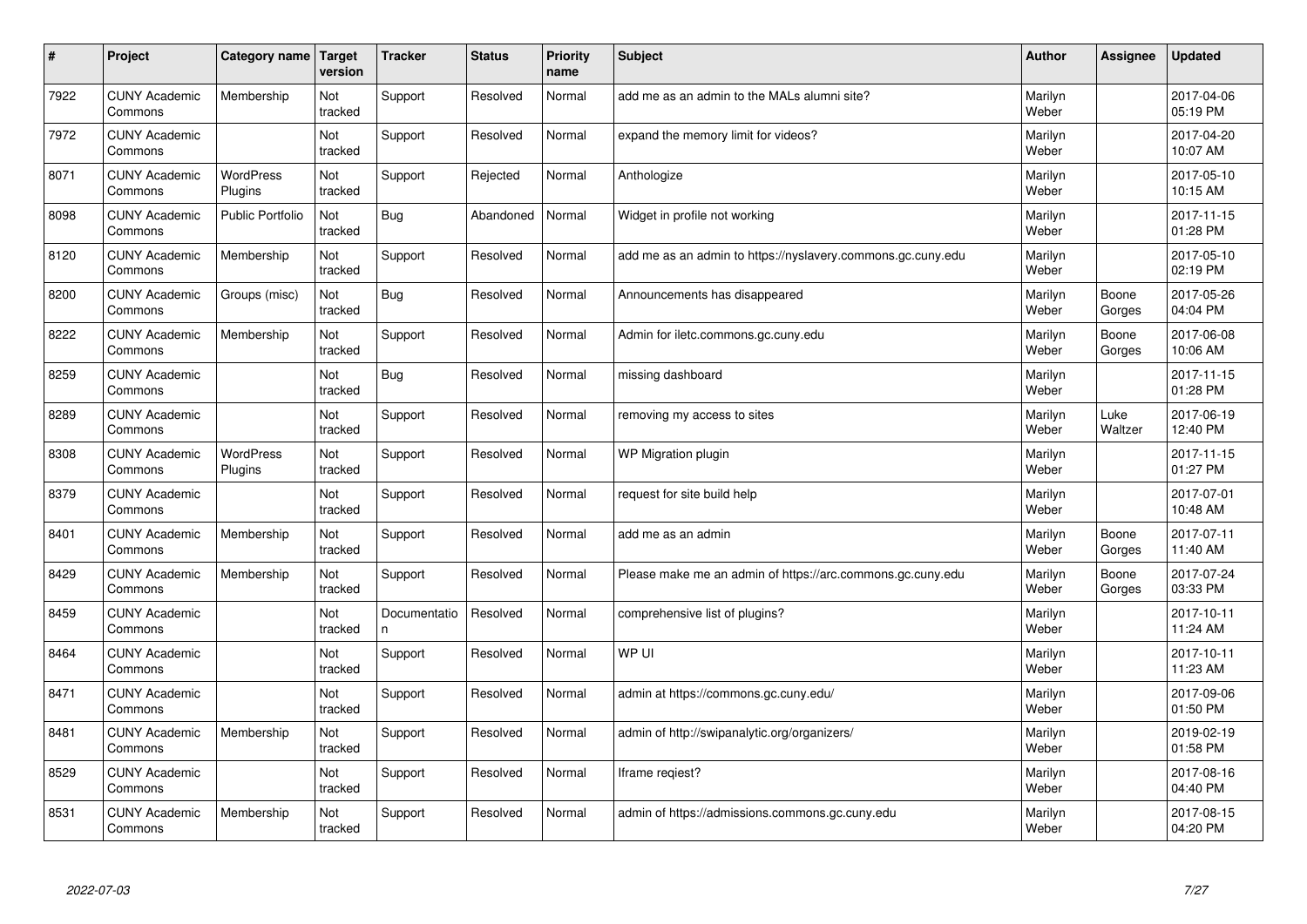| #    | Project                         | <b>Category name</b>        | Target<br>version | <b>Tracker</b>     | <b>Status</b> | <b>Priority</b><br>name | <b>Subject</b>                                              | <b>Author</b>    | Assignee        | <b>Updated</b>         |
|------|---------------------------------|-----------------------------|-------------------|--------------------|---------------|-------------------------|-------------------------------------------------------------|------------------|-----------------|------------------------|
| 7922 | <b>CUNY Academic</b><br>Commons | Membership                  | Not<br>tracked    | Support            | Resolved      | Normal                  | add me as an admin to the MALs alumni site?                 | Marilyn<br>Weber |                 | 2017-04-06<br>05:19 PM |
| 7972 | <b>CUNY Academic</b><br>Commons |                             | Not<br>tracked    | Support            | Resolved      | Normal                  | expand the memory limit for videos?                         | Marilyn<br>Weber |                 | 2017-04-20<br>10:07 AM |
| 8071 | <b>CUNY Academic</b><br>Commons | <b>WordPress</b><br>Plugins | Not<br>tracked    | Support            | Rejected      | Normal                  | Anthologize                                                 | Marilyn<br>Weber |                 | 2017-05-10<br>10:15 AM |
| 8098 | <b>CUNY Academic</b><br>Commons | <b>Public Portfolio</b>     | Not<br>tracked    | Bug                | Abandoned     | Normal                  | Widget in profile not working                               | Marilyn<br>Weber |                 | 2017-11-15<br>01:28 PM |
| 8120 | <b>CUNY Academic</b><br>Commons | Membership                  | Not<br>tracked    | Support            | Resolved      | Normal                  | add me as an admin to https://nyslavery.commons.gc.cuny.edu | Marilyn<br>Weber |                 | 2017-05-10<br>02:19 PM |
| 8200 | <b>CUNY Academic</b><br>Commons | Groups (misc)               | Not<br>tracked    | Bug                | Resolved      | Normal                  | Announcements has disappeared                               | Marilyn<br>Weber | Boone<br>Gorges | 2017-05-26<br>04:04 PM |
| 8222 | <b>CUNY Academic</b><br>Commons | Membership                  | Not<br>tracked    | Support            | Resolved      | Normal                  | Admin for iletc.commons.gc.cuny.edu                         | Marilyn<br>Weber | Boone<br>Gorges | 2017-06-08<br>10:06 AM |
| 8259 | <b>CUNY Academic</b><br>Commons |                             | Not<br>tracked    | Bug                | Resolved      | Normal                  | missing dashboard                                           | Marilyn<br>Weber |                 | 2017-11-15<br>01:28 PM |
| 8289 | <b>CUNY Academic</b><br>Commons |                             | Not<br>tracked    | Support            | Resolved      | Normal                  | removing my access to sites                                 | Marilyn<br>Weber | Luke<br>Waltzer | 2017-06-19<br>12:40 PM |
| 8308 | <b>CUNY Academic</b><br>Commons | WordPress<br>Plugins        | Not<br>tracked    | Support            | Resolved      | Normal                  | WP Migration plugin                                         | Marilyn<br>Weber |                 | 2017-11-15<br>01:27 PM |
| 8379 | <b>CUNY Academic</b><br>Commons |                             | Not<br>tracked    | Support            | Resolved      | Normal                  | request for site build help                                 | Marilyn<br>Weber |                 | 2017-07-01<br>10:48 AM |
| 8401 | <b>CUNY Academic</b><br>Commons | Membership                  | Not<br>tracked    | Support            | Resolved      | Normal                  | add me as an admin                                          | Marilyn<br>Weber | Boone<br>Gorges | 2017-07-11<br>11:40 AM |
| 8429 | <b>CUNY Academic</b><br>Commons | Membership                  | Not<br>tracked    | Support            | Resolved      | Normal                  | Please make me an admin of https://arc.commons.gc.cuny.edu  | Marilyn<br>Weber | Boone<br>Gorges | 2017-07-24<br>03:33 PM |
| 8459 | <b>CUNY Academic</b><br>Commons |                             | Not<br>tracked    | Documentatio<br>n. | Resolved      | Normal                  | comprehensive list of plugins?                              | Marilyn<br>Weber |                 | 2017-10-11<br>11:24 AM |
| 8464 | <b>CUNY Academic</b><br>Commons |                             | Not<br>tracked    | Support            | Resolved      | Normal                  | WP UI                                                       | Marilyn<br>Weber |                 | 2017-10-11<br>11:23 AM |
| 8471 | <b>CUNY Academic</b><br>Commons |                             | Not<br>tracked    | Support            | Resolved      | Normal                  | admin at https://commons.gc.cuny.edu/                       | Marilyn<br>Weber |                 | 2017-09-06<br>01:50 PM |
| 8481 | <b>CUNY Academic</b><br>Commons | Membership                  | Not<br>tracked    | Support            | Resolved      | Normal                  | admin of http://swipanalytic.org/organizers/                | Marilyn<br>Weber |                 | 2019-02-19<br>01:58 PM |
| 8529 | <b>CUNY Academic</b><br>Commons |                             | Not<br>tracked    | Support            | Resolved      | Normal                  | Iframe regiest?                                             | Marilyn<br>Weber |                 | 2017-08-16<br>04:40 PM |
| 8531 | <b>CUNY Academic</b><br>Commons | Membership                  | Not<br>tracked    | Support            | Resolved      | Normal                  | admin of https://admissions.commons.gc.cuny.edu             | Marilyn<br>Weber |                 | 2017-08-15<br>04:20 PM |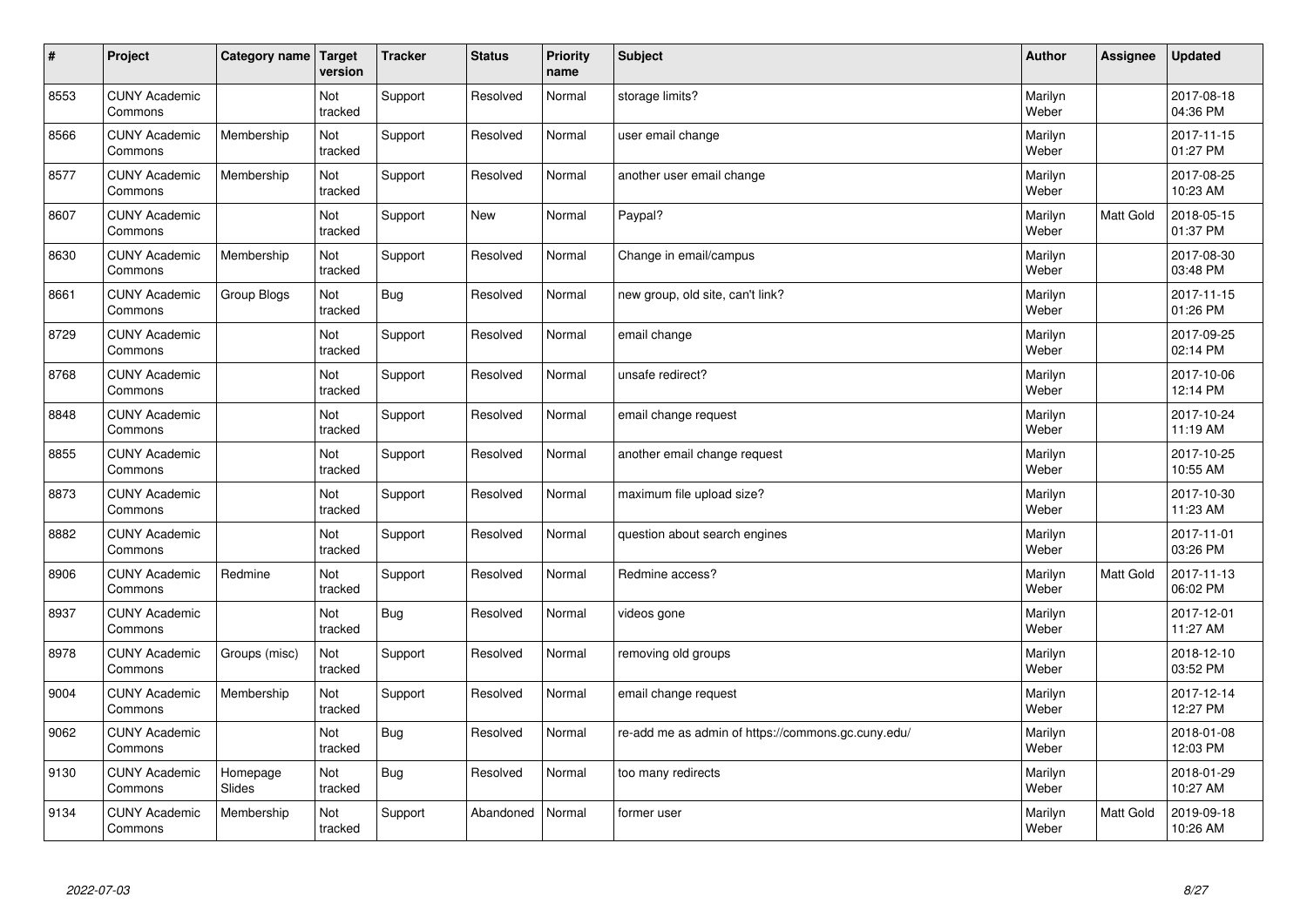| $\vert$ # | Project                         | Category name      | Target<br>version | <b>Tracker</b> | <b>Status</b> | <b>Priority</b><br>name | <b>Subject</b>                                     | <b>Author</b>    | Assignee  | <b>Updated</b>         |
|-----------|---------------------------------|--------------------|-------------------|----------------|---------------|-------------------------|----------------------------------------------------|------------------|-----------|------------------------|
| 8553      | <b>CUNY Academic</b><br>Commons |                    | Not<br>tracked    | Support        | Resolved      | Normal                  | storage limits?                                    | Marilyn<br>Weber |           | 2017-08-18<br>04:36 PM |
| 8566      | <b>CUNY Academic</b><br>Commons | Membership         | Not<br>tracked    | Support        | Resolved      | Normal                  | user email change                                  | Marilyn<br>Weber |           | 2017-11-15<br>01:27 PM |
| 8577      | <b>CUNY Academic</b><br>Commons | Membership         | Not<br>tracked    | Support        | Resolved      | Normal                  | another user email change                          | Marilyn<br>Weber |           | 2017-08-25<br>10:23 AM |
| 8607      | <b>CUNY Academic</b><br>Commons |                    | Not<br>tracked    | Support        | <b>New</b>    | Normal                  | Paypal?                                            | Marilyn<br>Weber | Matt Gold | 2018-05-15<br>01:37 PM |
| 8630      | <b>CUNY Academic</b><br>Commons | Membership         | Not<br>tracked    | Support        | Resolved      | Normal                  | Change in email/campus                             | Marilyn<br>Weber |           | 2017-08-30<br>03:48 PM |
| 8661      | <b>CUNY Academic</b><br>Commons | Group Blogs        | Not<br>tracked    | <b>Bug</b>     | Resolved      | Normal                  | new group, old site, can't link?                   | Marilyn<br>Weber |           | 2017-11-15<br>01:26 PM |
| 8729      | <b>CUNY Academic</b><br>Commons |                    | Not<br>tracked    | Support        | Resolved      | Normal                  | email change                                       | Marilyn<br>Weber |           | 2017-09-25<br>02:14 PM |
| 8768      | <b>CUNY Academic</b><br>Commons |                    | Not<br>tracked    | Support        | Resolved      | Normal                  | unsafe redirect?                                   | Marilyn<br>Weber |           | 2017-10-06<br>12:14 PM |
| 8848      | <b>CUNY Academic</b><br>Commons |                    | Not<br>tracked    | Support        | Resolved      | Normal                  | email change request                               | Marilyn<br>Weber |           | 2017-10-24<br>11:19 AM |
| 8855      | <b>CUNY Academic</b><br>Commons |                    | Not<br>tracked    | Support        | Resolved      | Normal                  | another email change request                       | Marilyn<br>Weber |           | 2017-10-25<br>10:55 AM |
| 8873      | <b>CUNY Academic</b><br>Commons |                    | Not<br>tracked    | Support        | Resolved      | Normal                  | maximum file upload size?                          | Marilyn<br>Weber |           | 2017-10-30<br>11:23 AM |
| 8882      | <b>CUNY Academic</b><br>Commons |                    | Not<br>tracked    | Support        | Resolved      | Normal                  | question about search engines                      | Marilyn<br>Weber |           | 2017-11-01<br>03:26 PM |
| 8906      | <b>CUNY Academic</b><br>Commons | Redmine            | Not<br>tracked    | Support        | Resolved      | Normal                  | Redmine access?                                    | Marilyn<br>Weber | Matt Gold | 2017-11-13<br>06:02 PM |
| 8937      | <b>CUNY Academic</b><br>Commons |                    | Not<br>tracked    | Bug            | Resolved      | Normal                  | videos gone                                        | Marilyn<br>Weber |           | 2017-12-01<br>11:27 AM |
| 8978      | <b>CUNY Academic</b><br>Commons | Groups (misc)      | Not<br>tracked    | Support        | Resolved      | Normal                  | removing old groups                                | Marilyn<br>Weber |           | 2018-12-10<br>03:52 PM |
| 9004      | <b>CUNY Academic</b><br>Commons | Membership         | Not<br>tracked    | Support        | Resolved      | Normal                  | email change request                               | Marilyn<br>Weber |           | 2017-12-14<br>12:27 PM |
| 9062      | <b>CUNY Academic</b><br>Commons |                    | Not<br>tracked    | <b>Bug</b>     | Resolved      | Normal                  | re-add me as admin of https://commons.gc.cuny.edu/ | Marilyn<br>Weber |           | 2018-01-08<br>12:03 PM |
| 9130      | <b>CUNY Academic</b><br>Commons | Homepage<br>Slides | Not<br>tracked    | <b>Bug</b>     | Resolved      | Normal                  | too many redirects                                 | Marilyn<br>Weber |           | 2018-01-29<br>10:27 AM |
| 9134      | <b>CUNY Academic</b><br>Commons | Membership         | Not<br>tracked    | Support        | Abandoned     | Normal                  | former user                                        | Marilyn<br>Weber | Matt Gold | 2019-09-18<br>10:26 AM |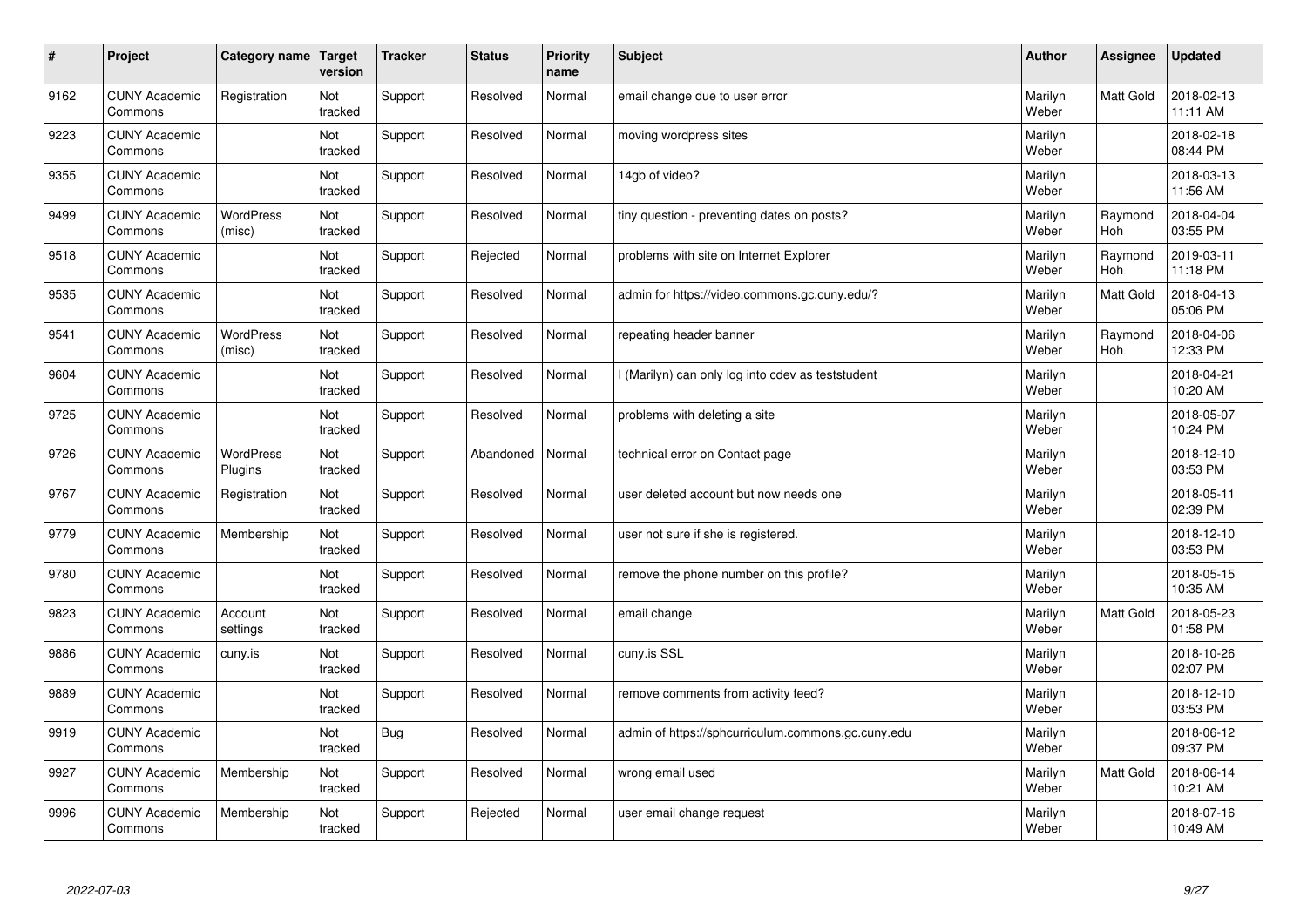| $\sharp$ | Project                         | <b>Category name</b>       | Target<br>version | <b>Tracker</b> | <b>Status</b> | <b>Priority</b><br>name | <b>Subject</b>                                     | <b>Author</b>    | Assignee         | <b>Updated</b>         |
|----------|---------------------------------|----------------------------|-------------------|----------------|---------------|-------------------------|----------------------------------------------------|------------------|------------------|------------------------|
| 9162     | <b>CUNY Academic</b><br>Commons | Registration               | Not<br>tracked    | Support        | Resolved      | Normal                  | email change due to user error                     | Marilyn<br>Weber | <b>Matt Gold</b> | 2018-02-13<br>11:11 AM |
| 9223     | <b>CUNY Academic</b><br>Commons |                            | Not<br>tracked    | Support        | Resolved      | Normal                  | moving wordpress sites                             | Marilyn<br>Weber |                  | 2018-02-18<br>08:44 PM |
| 9355     | <b>CUNY Academic</b><br>Commons |                            | Not<br>tracked    | Support        | Resolved      | Normal                  | 14gb of video?                                     | Marilyn<br>Weber |                  | 2018-03-13<br>11:56 AM |
| 9499     | <b>CUNY Academic</b><br>Commons | <b>WordPress</b><br>(misc) | Not<br>tracked    | Support        | Resolved      | Normal                  | tiny question - preventing dates on posts?         | Marilyn<br>Weber | Raymond<br>Hoh   | 2018-04-04<br>03:55 PM |
| 9518     | <b>CUNY Academic</b><br>Commons |                            | Not<br>tracked    | Support        | Rejected      | Normal                  | problems with site on Internet Explorer            | Marilyn<br>Weber | Raymond<br>Hoh   | 2019-03-11<br>11:18 PM |
| 9535     | <b>CUNY Academic</b><br>Commons |                            | Not<br>tracked    | Support        | Resolved      | Normal                  | admin for https://video.commons.gc.cuny.edu/?      | Marilyn<br>Weber | Matt Gold        | 2018-04-13<br>05:06 PM |
| 9541     | <b>CUNY Academic</b><br>Commons | WordPress<br>(misc)        | Not<br>tracked    | Support        | Resolved      | Normal                  | repeating header banner                            | Marilyn<br>Weber | Raymond<br>Hoh   | 2018-04-06<br>12:33 PM |
| 9604     | <b>CUNY Academic</b><br>Commons |                            | Not<br>tracked    | Support        | Resolved      | Normal                  | I (Marilyn) can only log into cdev as teststudent  | Marilyn<br>Weber |                  | 2018-04-21<br>10:20 AM |
| 9725     | <b>CUNY Academic</b><br>Commons |                            | Not<br>tracked    | Support        | Resolved      | Normal                  | problems with deleting a site                      | Marilyn<br>Weber |                  | 2018-05-07<br>10:24 PM |
| 9726     | <b>CUNY Academic</b><br>Commons | WordPress<br>Plugins       | Not<br>tracked    | Support        | Abandoned     | Normal                  | technical error on Contact page                    | Marilyn<br>Weber |                  | 2018-12-10<br>03:53 PM |
| 9767     | <b>CUNY Academic</b><br>Commons | Registration               | Not<br>tracked    | Support        | Resolved      | Normal                  | user deleted account but now needs one             | Marilyn<br>Weber |                  | 2018-05-11<br>02:39 PM |
| 9779     | <b>CUNY Academic</b><br>Commons | Membership                 | Not<br>tracked    | Support        | Resolved      | Normal                  | user not sure if she is registered.                | Marilyn<br>Weber |                  | 2018-12-10<br>03:53 PM |
| 9780     | <b>CUNY Academic</b><br>Commons |                            | Not<br>tracked    | Support        | Resolved      | Normal                  | remove the phone number on this profile?           | Marilyn<br>Weber |                  | 2018-05-15<br>10:35 AM |
| 9823     | <b>CUNY Academic</b><br>Commons | Account<br>settings        | Not<br>tracked    | Support        | Resolved      | Normal                  | email change                                       | Marilyn<br>Weber | Matt Gold        | 2018-05-23<br>01:58 PM |
| 9886     | <b>CUNY Academic</b><br>Commons | cuny.is                    | Not<br>tracked    | Support        | Resolved      | Normal                  | cuny.is SSL                                        | Marilyn<br>Weber |                  | 2018-10-26<br>02:07 PM |
| 9889     | <b>CUNY Academic</b><br>Commons |                            | Not<br>tracked    | Support        | Resolved      | Normal                  | remove comments from activity feed?                | Marilyn<br>Weber |                  | 2018-12-10<br>03:53 PM |
| 9919     | <b>CUNY Academic</b><br>Commons |                            | Not<br>tracked    | Bug            | Resolved      | Normal                  | admin of https://sphcurriculum.commons.gc.cuny.edu | Marilyn<br>Weber |                  | 2018-06-12<br>09:37 PM |
| 9927     | <b>CUNY Academic</b><br>Commons | Membership                 | Not<br>tracked    | Support        | Resolved      | Normal                  | wrong email used                                   | Marilyn<br>Weber | <b>Matt Gold</b> | 2018-06-14<br>10:21 AM |
| 9996     | <b>CUNY Academic</b><br>Commons | Membership                 | Not<br>tracked    | Support        | Rejected      | Normal                  | user email change request                          | Marilyn<br>Weber |                  | 2018-07-16<br>10:49 AM |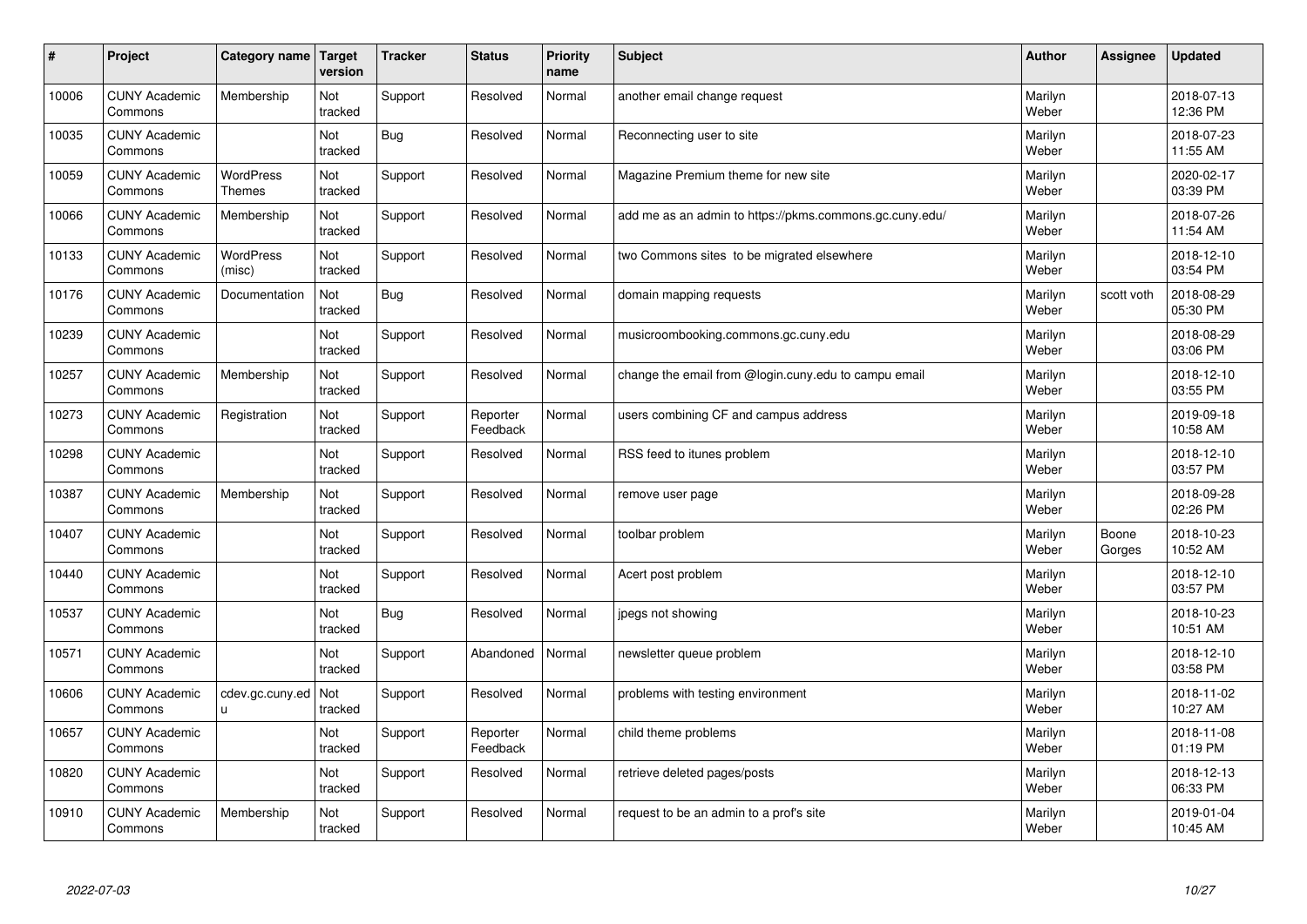| $\pmb{\sharp}$ | Project                         | Category name                     | Target<br>version | <b>Tracker</b> | <b>Status</b>        | <b>Priority</b><br>name | <b>Subject</b>                                          | <b>Author</b>    | Assignee        | <b>Updated</b>         |
|----------------|---------------------------------|-----------------------------------|-------------------|----------------|----------------------|-------------------------|---------------------------------------------------------|------------------|-----------------|------------------------|
| 10006          | <b>CUNY Academic</b><br>Commons | Membership                        | Not<br>tracked    | Support        | Resolved             | Normal                  | another email change request                            | Marilyn<br>Weber |                 | 2018-07-13<br>12:36 PM |
| 10035          | <b>CUNY Academic</b><br>Commons |                                   | Not<br>tracked    | <b>Bug</b>     | Resolved             | Normal                  | Reconnecting user to site                               | Marilyn<br>Weber |                 | 2018-07-23<br>11:55 AM |
| 10059          | <b>CUNY Academic</b><br>Commons | <b>WordPress</b><br><b>Themes</b> | Not<br>tracked    | Support        | Resolved             | Normal                  | Magazine Premium theme for new site                     | Marilyn<br>Weber |                 | 2020-02-17<br>03:39 PM |
| 10066          | <b>CUNY Academic</b><br>Commons | Membership                        | Not<br>tracked    | Support        | Resolved             | Normal                  | add me as an admin to https://pkms.commons.gc.cuny.edu/ | Marilyn<br>Weber |                 | 2018-07-26<br>11:54 AM |
| 10133          | <b>CUNY Academic</b><br>Commons | <b>WordPress</b><br>(misc)        | Not<br>tracked    | Support        | Resolved             | Normal                  | two Commons sites to be migrated elsewhere              | Marilyn<br>Weber |                 | 2018-12-10<br>03:54 PM |
| 10176          | <b>CUNY Academic</b><br>Commons | Documentation                     | Not<br>tracked    | <b>Bug</b>     | Resolved             | Normal                  | domain mapping requests                                 | Marilyn<br>Weber | scott voth      | 2018-08-29<br>05:30 PM |
| 10239          | <b>CUNY Academic</b><br>Commons |                                   | Not<br>tracked    | Support        | Resolved             | Normal                  | musicroombooking.commons.gc.cuny.edu                    | Marilyn<br>Weber |                 | 2018-08-29<br>03:06 PM |
| 10257          | <b>CUNY Academic</b><br>Commons | Membership                        | Not<br>tracked    | Support        | Resolved             | Normal                  | change the email from @login.cuny.edu to campu email    | Marilyn<br>Weber |                 | 2018-12-10<br>03:55 PM |
| 10273          | <b>CUNY Academic</b><br>Commons | Registration                      | Not<br>tracked    | Support        | Reporter<br>Feedback | Normal                  | users combining CF and campus address                   | Marilyn<br>Weber |                 | 2019-09-18<br>10:58 AM |
| 10298          | <b>CUNY Academic</b><br>Commons |                                   | Not<br>tracked    | Support        | Resolved             | Normal                  | RSS feed to itunes problem                              | Marilyn<br>Weber |                 | 2018-12-10<br>03:57 PM |
| 10387          | <b>CUNY Academic</b><br>Commons | Membership                        | Not<br>tracked    | Support        | Resolved             | Normal                  | remove user page                                        | Marilyn<br>Weber |                 | 2018-09-28<br>02:26 PM |
| 10407          | <b>CUNY Academic</b><br>Commons |                                   | Not<br>tracked    | Support        | Resolved             | Normal                  | toolbar problem                                         | Marilyn<br>Weber | Boone<br>Gorges | 2018-10-23<br>10:52 AM |
| 10440          | <b>CUNY Academic</b><br>Commons |                                   | Not<br>tracked    | Support        | Resolved             | Normal                  | Acert post problem                                      | Marilyn<br>Weber |                 | 2018-12-10<br>03:57 PM |
| 10537          | <b>CUNY Academic</b><br>Commons |                                   | Not<br>tracked    | <b>Bug</b>     | Resolved             | Normal                  | jpegs not showing                                       | Marilyn<br>Weber |                 | 2018-10-23<br>10:51 AM |
| 10571          | <b>CUNY Academic</b><br>Commons |                                   | Not<br>tracked    | Support        | Abandoned            | Normal                  | newsletter queue problem                                | Marilyn<br>Weber |                 | 2018-12-10<br>03:58 PM |
| 10606          | <b>CUNY Academic</b><br>Commons | cdev.gc.cuny.ed<br>u.             | Not<br>tracked    | Support        | Resolved             | Normal                  | problems with testing environment                       | Marilyn<br>Weber |                 | 2018-11-02<br>10:27 AM |
| 10657          | <b>CUNY Academic</b><br>Commons |                                   | Not<br>tracked    | Support        | Reporter<br>Feedback | Normal                  | child theme problems                                    | Marilyn<br>Weber |                 | 2018-11-08<br>01:19 PM |
| 10820          | <b>CUNY Academic</b><br>Commons |                                   | Not<br>tracked    | Support        | Resolved             | Normal                  | retrieve deleted pages/posts                            | Marilyn<br>Weber |                 | 2018-12-13<br>06:33 PM |
| 10910          | <b>CUNY Academic</b><br>Commons | Membership                        | Not<br>tracked    | Support        | Resolved             | Normal                  | request to be an admin to a prof's site                 | Marilyn<br>Weber |                 | 2019-01-04<br>10:45 AM |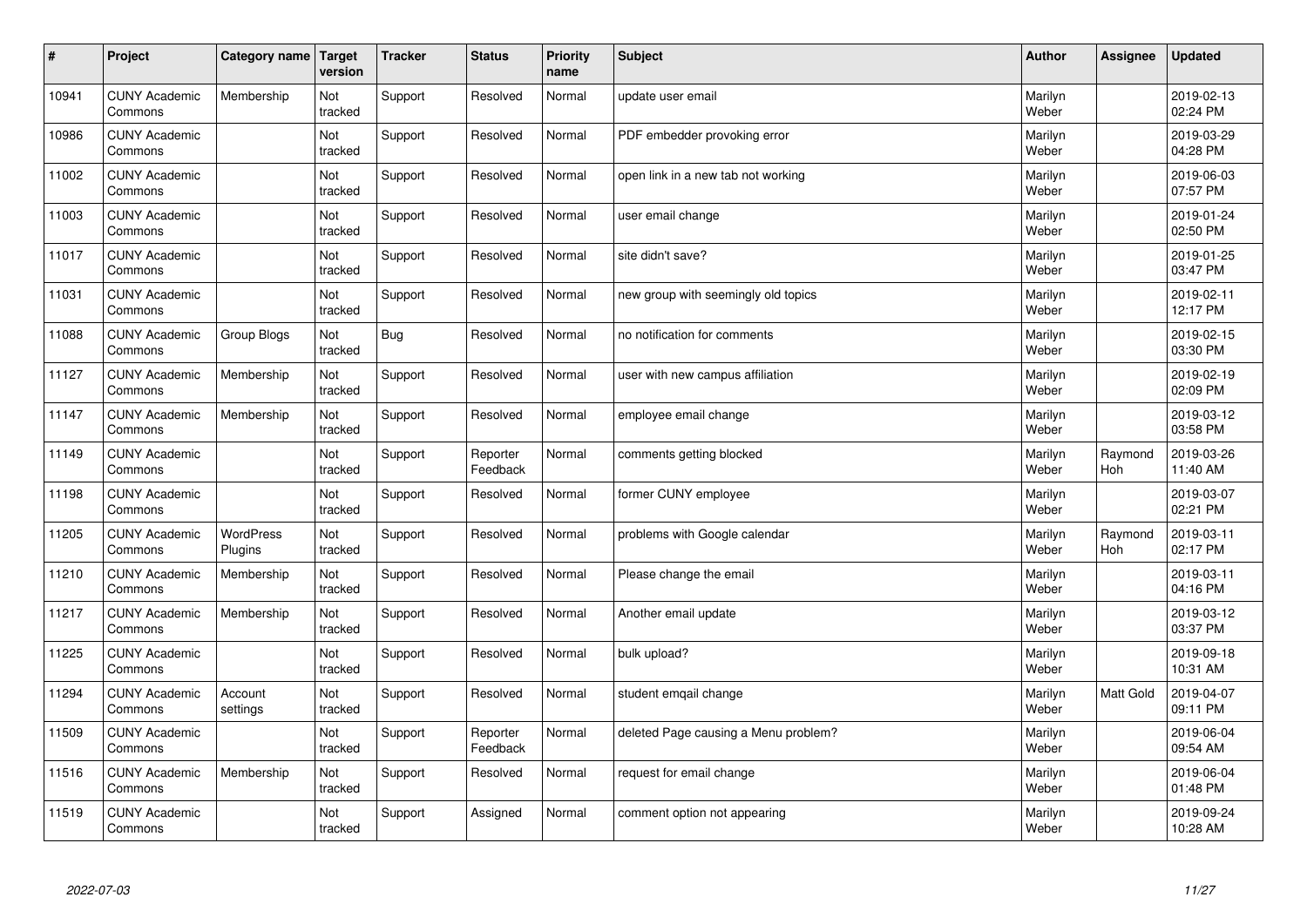| $\sharp$ | Project                         | Category name               | Target<br>version | <b>Tracker</b> | <b>Status</b>        | <b>Priority</b><br>name | <b>Subject</b>                       | <b>Author</b>    | Assignee       | <b>Updated</b>         |
|----------|---------------------------------|-----------------------------|-------------------|----------------|----------------------|-------------------------|--------------------------------------|------------------|----------------|------------------------|
| 10941    | <b>CUNY Academic</b><br>Commons | Membership                  | Not<br>tracked    | Support        | Resolved             | Normal                  | update user email                    | Marilyn<br>Weber |                | 2019-02-13<br>02:24 PM |
| 10986    | <b>CUNY Academic</b><br>Commons |                             | Not<br>tracked    | Support        | Resolved             | Normal                  | PDF embedder provoking error         | Marilyn<br>Weber |                | 2019-03-29<br>04:28 PM |
| 11002    | <b>CUNY Academic</b><br>Commons |                             | Not<br>tracked    | Support        | Resolved             | Normal                  | open link in a new tab not working   | Marilyn<br>Weber |                | 2019-06-03<br>07:57 PM |
| 11003    | <b>CUNY Academic</b><br>Commons |                             | Not<br>tracked    | Support        | Resolved             | Normal                  | user email change                    | Marilyn<br>Weber |                | 2019-01-24<br>02:50 PM |
| 11017    | <b>CUNY Academic</b><br>Commons |                             | Not<br>tracked    | Support        | Resolved             | Normal                  | site didn't save?                    | Marilyn<br>Weber |                | 2019-01-25<br>03:47 PM |
| 11031    | <b>CUNY Academic</b><br>Commons |                             | Not<br>tracked    | Support        | Resolved             | Normal                  | new group with seemingly old topics  | Marilyn<br>Weber |                | 2019-02-11<br>12:17 PM |
| 11088    | <b>CUNY Academic</b><br>Commons | Group Blogs                 | Not<br>tracked    | <b>Bug</b>     | Resolved             | Normal                  | no notification for comments         | Marilyn<br>Weber |                | 2019-02-15<br>03:30 PM |
| 11127    | <b>CUNY Academic</b><br>Commons | Membership                  | Not<br>tracked    | Support        | Resolved             | Normal                  | user with new campus affiliation     | Marilyn<br>Weber |                | 2019-02-19<br>02:09 PM |
| 11147    | <b>CUNY Academic</b><br>Commons | Membership                  | Not<br>tracked    | Support        | Resolved             | Normal                  | employee email change                | Marilyn<br>Weber |                | 2019-03-12<br>03:58 PM |
| 11149    | <b>CUNY Academic</b><br>Commons |                             | Not<br>tracked    | Support        | Reporter<br>Feedback | Normal                  | comments getting blocked             | Marilyn<br>Weber | Raymond<br>Hoh | 2019-03-26<br>11:40 AM |
| 11198    | <b>CUNY Academic</b><br>Commons |                             | Not<br>tracked    | Support        | Resolved             | Normal                  | former CUNY employee                 | Marilyn<br>Weber |                | 2019-03-07<br>02:21 PM |
| 11205    | <b>CUNY Academic</b><br>Commons | <b>WordPress</b><br>Plugins | Not<br>tracked    | Support        | Resolved             | Normal                  | problems with Google calendar        | Marilyn<br>Weber | Raymond<br>Hoh | 2019-03-11<br>02:17 PM |
| 11210    | <b>CUNY Academic</b><br>Commons | Membership                  | Not<br>tracked    | Support        | Resolved             | Normal                  | Please change the email              | Marilyn<br>Weber |                | 2019-03-11<br>04:16 PM |
| 11217    | <b>CUNY Academic</b><br>Commons | Membership                  | Not<br>tracked    | Support        | Resolved             | Normal                  | Another email update                 | Marilyn<br>Weber |                | 2019-03-12<br>03:37 PM |
| 11225    | <b>CUNY Academic</b><br>Commons |                             | Not<br>tracked    | Support        | Resolved             | Normal                  | bulk upload?                         | Marilyn<br>Weber |                | 2019-09-18<br>10:31 AM |
| 11294    | <b>CUNY Academic</b><br>Commons | Account<br>settings         | Not<br>tracked    | Support        | Resolved             | Normal                  | student emgail change                | Marilyn<br>Weber | Matt Gold      | 2019-04-07<br>09:11 PM |
| 11509    | <b>CUNY Academic</b><br>Commons |                             | Not<br>tracked    | Support        | Reporter<br>Feedback | Normal                  | deleted Page causing a Menu problem? | Marilyn<br>Weber |                | 2019-06-04<br>09:54 AM |
| 11516    | <b>CUNY Academic</b><br>Commons | Membership                  | Not<br>tracked    | Support        | Resolved             | Normal                  | request for email change             | Marilyn<br>Weber |                | 2019-06-04<br>01:48 PM |
| 11519    | <b>CUNY Academic</b><br>Commons |                             | Not<br>tracked    | Support        | Assigned             | Normal                  | comment option not appearing         | Marilyn<br>Weber |                | 2019-09-24<br>10:28 AM |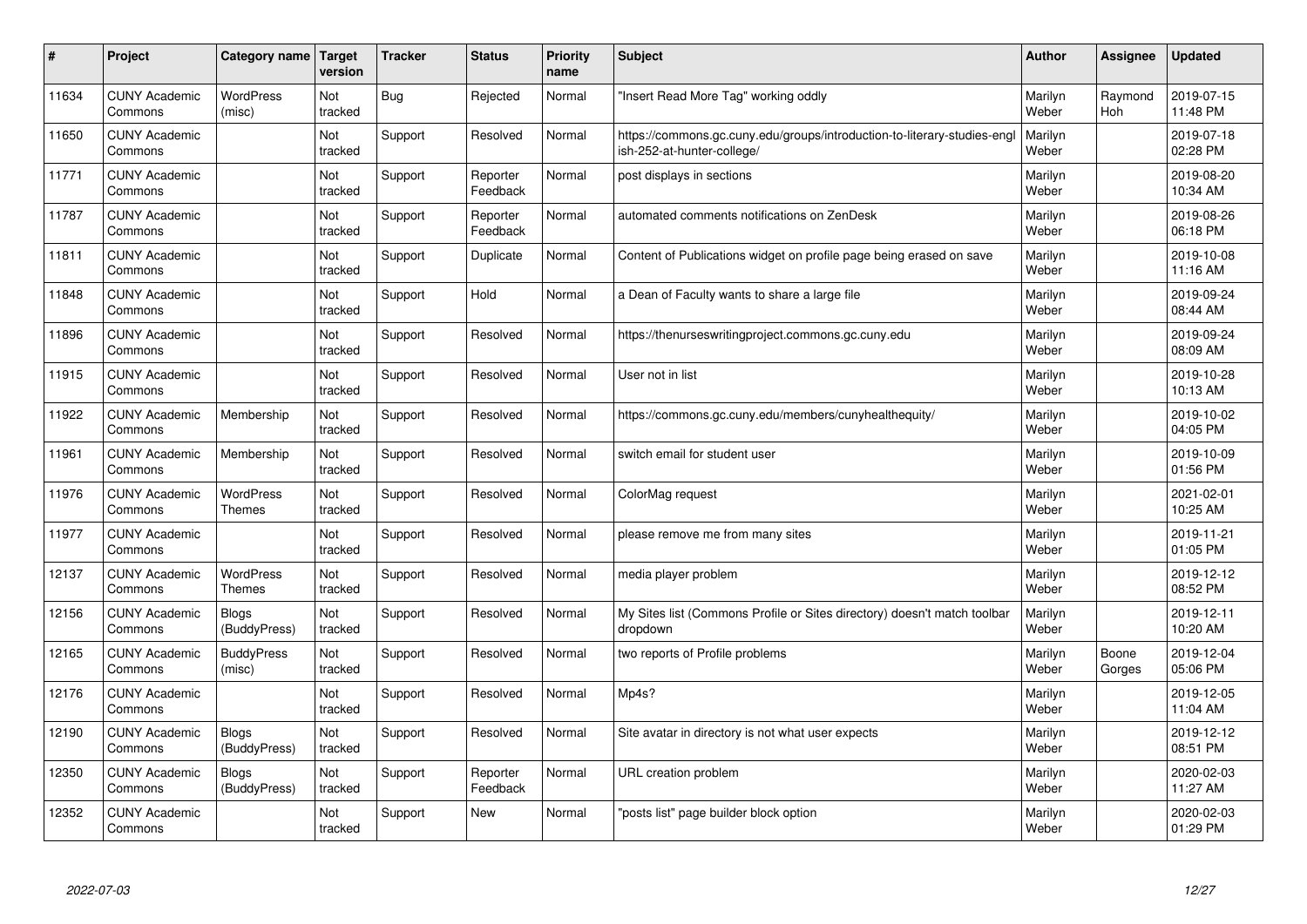| #     | Project                         | Category name                     | <b>Target</b><br>version | <b>Tracker</b> | <b>Status</b>        | Priority<br>name | <b>Subject</b>                                                                                         | <b>Author</b>    | Assignee        | <b>Updated</b>         |
|-------|---------------------------------|-----------------------------------|--------------------------|----------------|----------------------|------------------|--------------------------------------------------------------------------------------------------------|------------------|-----------------|------------------------|
| 11634 | <b>CUNY Academic</b><br>Commons | <b>WordPress</b><br>(misc)        | Not<br>tracked           | <b>Bug</b>     | Rejected             | Normal           | 'Insert Read More Tag" working oddly                                                                   | Marilyn<br>Weber | Raymond<br>Hoh  | 2019-07-15<br>11:48 PM |
| 11650 | <b>CUNY Academic</b><br>Commons |                                   | Not<br>tracked           | Support        | Resolved             | Normal           | https://commons.gc.cuny.edu/groups/introduction-to-literary-studies-engl<br>ish-252-at-hunter-college/ | Marilyn<br>Weber |                 | 2019-07-18<br>02:28 PM |
| 11771 | <b>CUNY Academic</b><br>Commons |                                   | Not<br>tracked           | Support        | Reporter<br>Feedback | Normal           | post displays in sections                                                                              | Marilyn<br>Weber |                 | 2019-08-20<br>10:34 AM |
| 11787 | <b>CUNY Academic</b><br>Commons |                                   | Not<br>tracked           | Support        | Reporter<br>Feedback | Normal           | automated comments notifications on ZenDesk                                                            | Marilyn<br>Weber |                 | 2019-08-26<br>06:18 PM |
| 11811 | <b>CUNY Academic</b><br>Commons |                                   | Not<br>tracked           | Support        | Duplicate            | Normal           | Content of Publications widget on profile page being erased on save                                    | Marilyn<br>Weber |                 | 2019-10-08<br>11:16 AM |
| 11848 | <b>CUNY Academic</b><br>Commons |                                   | Not<br>tracked           | Support        | Hold                 | Normal           | a Dean of Faculty wants to share a large file                                                          | Marilyn<br>Weber |                 | 2019-09-24<br>08:44 AM |
| 11896 | <b>CUNY Academic</b><br>Commons |                                   | Not<br>tracked           | Support        | Resolved             | Normal           | https://thenurseswritingproject.commons.gc.cuny.edu                                                    | Marilyn<br>Weber |                 | 2019-09-24<br>08:09 AM |
| 11915 | <b>CUNY Academic</b><br>Commons |                                   | Not<br>tracked           | Support        | Resolved             | Normal           | User not in list                                                                                       | Marilyn<br>Weber |                 | 2019-10-28<br>10:13 AM |
| 11922 | <b>CUNY Academic</b><br>Commons | Membership                        | Not<br>tracked           | Support        | Resolved             | Normal           | https://commons.gc.cuny.edu/members/cunyhealthequity/                                                  | Marilyn<br>Weber |                 | 2019-10-02<br>04:05 PM |
| 11961 | <b>CUNY Academic</b><br>Commons | Membership                        | Not<br>tracked           | Support        | Resolved             | Normal           | switch email for student user                                                                          | Marilyn<br>Weber |                 | 2019-10-09<br>01:56 PM |
| 11976 | <b>CUNY Academic</b><br>Commons | <b>WordPress</b><br><b>Themes</b> | Not<br>tracked           | Support        | Resolved             | Normal           | ColorMag request                                                                                       | Marilyn<br>Weber |                 | 2021-02-01<br>10:25 AM |
| 11977 | <b>CUNY Academic</b><br>Commons |                                   | Not<br>tracked           | Support        | Resolved             | Normal           | please remove me from many sites                                                                       | Marilyn<br>Weber |                 | 2019-11-21<br>01:05 PM |
| 12137 | <b>CUNY Academic</b><br>Commons | <b>WordPress</b><br>Themes        | Not<br>tracked           | Support        | Resolved             | Normal           | media player problem                                                                                   | Marilyn<br>Weber |                 | 2019-12-12<br>08:52 PM |
| 12156 | <b>CUNY Academic</b><br>Commons | Blogs<br>(BuddyPress)             | Not<br>tracked           | Support        | Resolved             | Normal           | My Sites list (Commons Profile or Sites directory) doesn't match toolbar<br>dropdown                   | Marilyn<br>Weber |                 | 2019-12-11<br>10:20 AM |
| 12165 | <b>CUNY Academic</b><br>Commons | <b>BuddyPress</b><br>(misc)       | Not<br>tracked           | Support        | Resolved             | Normal           | two reports of Profile problems                                                                        | Marilyn<br>Weber | Boone<br>Gorges | 2019-12-04<br>05:06 PM |
| 12176 | <b>CUNY Academic</b><br>Commons |                                   | Not<br>tracked           | Support        | Resolved             | Normal           | Mp4s?                                                                                                  | Marilyn<br>Weber |                 | 2019-12-05<br>11:04 AM |
| 12190 | <b>CUNY Academic</b><br>Commons | <b>Blogs</b><br>(BuddyPress)      | Not<br>tracked           | Support        | Resolved             | Normal           | Site avatar in directory is not what user expects                                                      | Marilyn<br>Weber |                 | 2019-12-12<br>08:51 PM |
| 12350 | <b>CUNY Academic</b><br>Commons | <b>Blogs</b><br>(BuddyPress)      | Not<br>tracked           | Support        | Reporter<br>Feedback | Normal           | URL creation problem                                                                                   | Marilyn<br>Weber |                 | 2020-02-03<br>11:27 AM |
| 12352 | <b>CUNY Academic</b><br>Commons |                                   | Not<br>tracked           | Support        | <b>New</b>           | Normal           | "posts list" page builder block option                                                                 | Marilyn<br>Weber |                 | 2020-02-03<br>01:29 PM |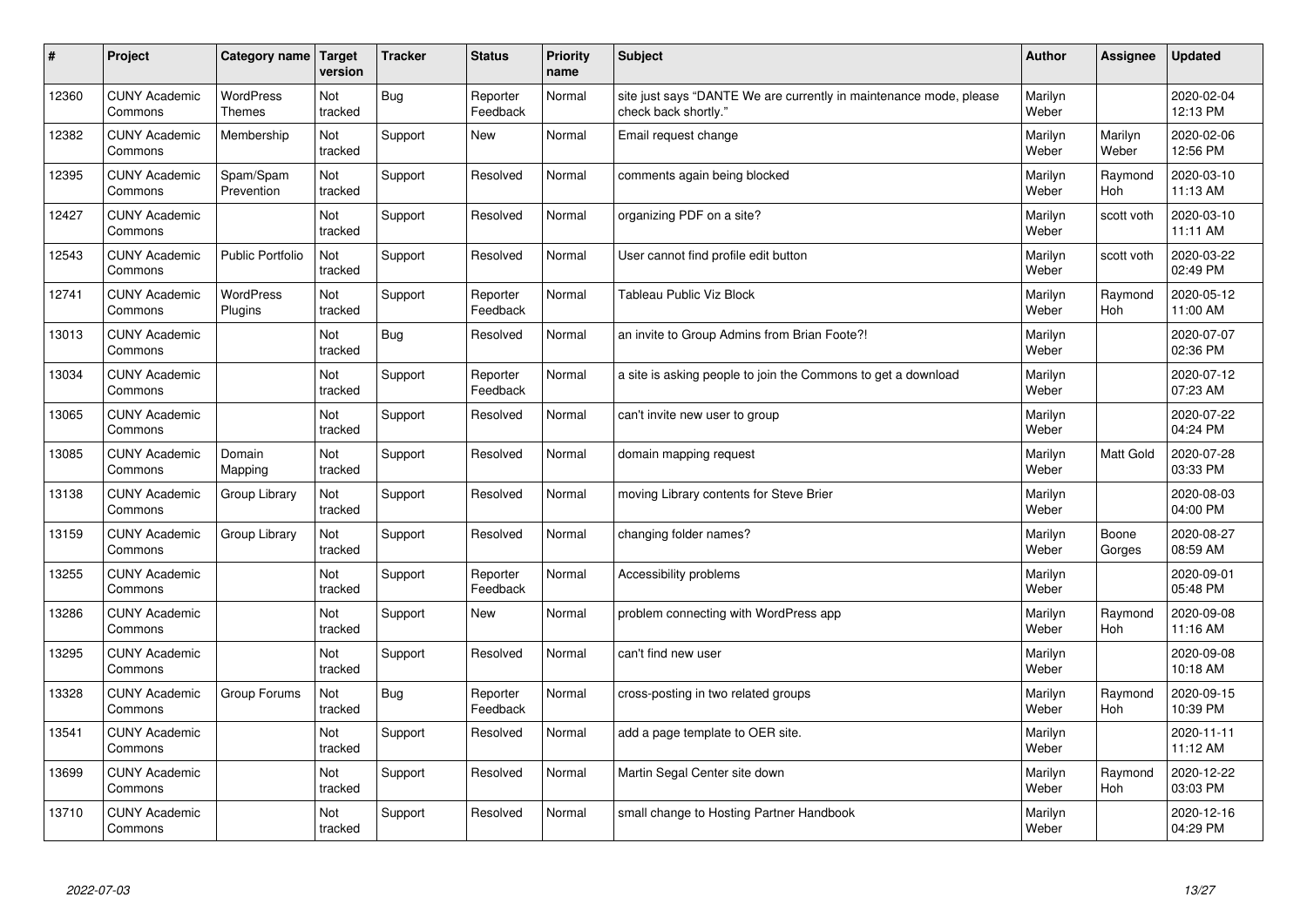| #     | Project                         | <b>Category name</b>              | Target<br>version | <b>Tracker</b> | <b>Status</b>        | <b>Priority</b><br>name | <b>Subject</b>                                                                             | <b>Author</b>    | Assignee         | <b>Updated</b>         |
|-------|---------------------------------|-----------------------------------|-------------------|----------------|----------------------|-------------------------|--------------------------------------------------------------------------------------------|------------------|------------------|------------------------|
| 12360 | <b>CUNY Academic</b><br>Commons | <b>WordPress</b><br><b>Themes</b> | Not<br>tracked    | <b>Bug</b>     | Reporter<br>Feedback | Normal                  | site just says "DANTE We are currently in maintenance mode, please<br>check back shortly." | Marilyn<br>Weber |                  | 2020-02-04<br>12:13 PM |
| 12382 | <b>CUNY Academic</b><br>Commons | Membership                        | Not<br>tracked    | Support        | <b>New</b>           | Normal                  | Email request change                                                                       | Marilyn<br>Weber | Marilyn<br>Weber | 2020-02-06<br>12:56 PM |
| 12395 | <b>CUNY Academic</b><br>Commons | Spam/Spam<br>Prevention           | Not<br>tracked    | Support        | Resolved             | Normal                  | comments again being blocked                                                               | Marilyn<br>Weber | Raymond<br>Hoh   | 2020-03-10<br>11:13 AM |
| 12427 | <b>CUNY Academic</b><br>Commons |                                   | Not<br>tracked    | Support        | Resolved             | Normal                  | organizing PDF on a site?                                                                  | Marilyn<br>Weber | scott voth       | 2020-03-10<br>11:11 AM |
| 12543 | <b>CUNY Academic</b><br>Commons | <b>Public Portfolio</b>           | Not<br>tracked    | Support        | Resolved             | Normal                  | User cannot find profile edit button                                                       | Marilyn<br>Weber | scott voth       | 2020-03-22<br>02:49 PM |
| 12741 | <b>CUNY Academic</b><br>Commons | <b>WordPress</b><br>Plugins       | Not<br>tracked    | Support        | Reporter<br>Feedback | Normal                  | Tableau Public Viz Block                                                                   | Marilyn<br>Weber | Raymond<br>Hoh   | 2020-05-12<br>11:00 AM |
| 13013 | <b>CUNY Academic</b><br>Commons |                                   | Not<br>tracked    | Bug            | Resolved             | Normal                  | an invite to Group Admins from Brian Foote?!                                               | Marilyn<br>Weber |                  | 2020-07-07<br>02:36 PM |
| 13034 | <b>CUNY Academic</b><br>Commons |                                   | Not<br>tracked    | Support        | Reporter<br>Feedback | Normal                  | a site is asking people to join the Commons to get a download                              | Marilyn<br>Weber |                  | 2020-07-12<br>07:23 AM |
| 13065 | <b>CUNY Academic</b><br>Commons |                                   | Not<br>tracked    | Support        | Resolved             | Normal                  | can't invite new user to group                                                             | Marilyn<br>Weber |                  | 2020-07-22<br>04:24 PM |
| 13085 | <b>CUNY Academic</b><br>Commons | Domain<br>Mapping                 | Not<br>tracked    | Support        | Resolved             | Normal                  | domain mapping request                                                                     | Marilyn<br>Weber | <b>Matt Gold</b> | 2020-07-28<br>03:33 PM |
| 13138 | <b>CUNY Academic</b><br>Commons | Group Library                     | Not<br>tracked    | Support        | Resolved             | Normal                  | moving Library contents for Steve Brier                                                    | Marilyn<br>Weber |                  | 2020-08-03<br>04:00 PM |
| 13159 | <b>CUNY Academic</b><br>Commons | Group Library                     | Not<br>tracked    | Support        | Resolved             | Normal                  | changing folder names?                                                                     | Marilyn<br>Weber | Boone<br>Gorges  | 2020-08-27<br>08:59 AM |
| 13255 | <b>CUNY Academic</b><br>Commons |                                   | Not<br>tracked    | Support        | Reporter<br>Feedback | Normal                  | Accessibility problems                                                                     | Marilyn<br>Weber |                  | 2020-09-01<br>05:48 PM |
| 13286 | <b>CUNY Academic</b><br>Commons |                                   | Not<br>tracked    | Support        | <b>New</b>           | Normal                  | problem connecting with WordPress app                                                      | Marilyn<br>Weber | Raymond<br>Hoh   | 2020-09-08<br>11:16 AM |
| 13295 | <b>CUNY Academic</b><br>Commons |                                   | Not<br>tracked    | Support        | Resolved             | Normal                  | can't find new user                                                                        | Marilyn<br>Weber |                  | 2020-09-08<br>10:18 AM |
| 13328 | <b>CUNY Academic</b><br>Commons | Group Forums                      | Not<br>tracked    | Bug            | Reporter<br>Feedback | Normal                  | cross-posting in two related groups                                                        | Marilyn<br>Weber | Raymond<br>Hoh   | 2020-09-15<br>10:39 PM |
| 13541 | <b>CUNY Academic</b><br>Commons |                                   | Not<br>tracked    | Support        | Resolved             | Normal                  | add a page template to OER site.                                                           | Marilyn<br>Weber |                  | 2020-11-11<br>11:12 AM |
| 13699 | <b>CUNY Academic</b><br>Commons |                                   | Not<br>tracked    | Support        | Resolved             | Normal                  | Martin Segal Center site down                                                              | Marilyn<br>Weber | Raymond<br>Hoh   | 2020-12-22<br>03:03 PM |
| 13710 | <b>CUNY Academic</b><br>Commons |                                   | Not<br>tracked    | Support        | Resolved             | Normal                  | small change to Hosting Partner Handbook                                                   | Marilyn<br>Weber |                  | 2020-12-16<br>04:29 PM |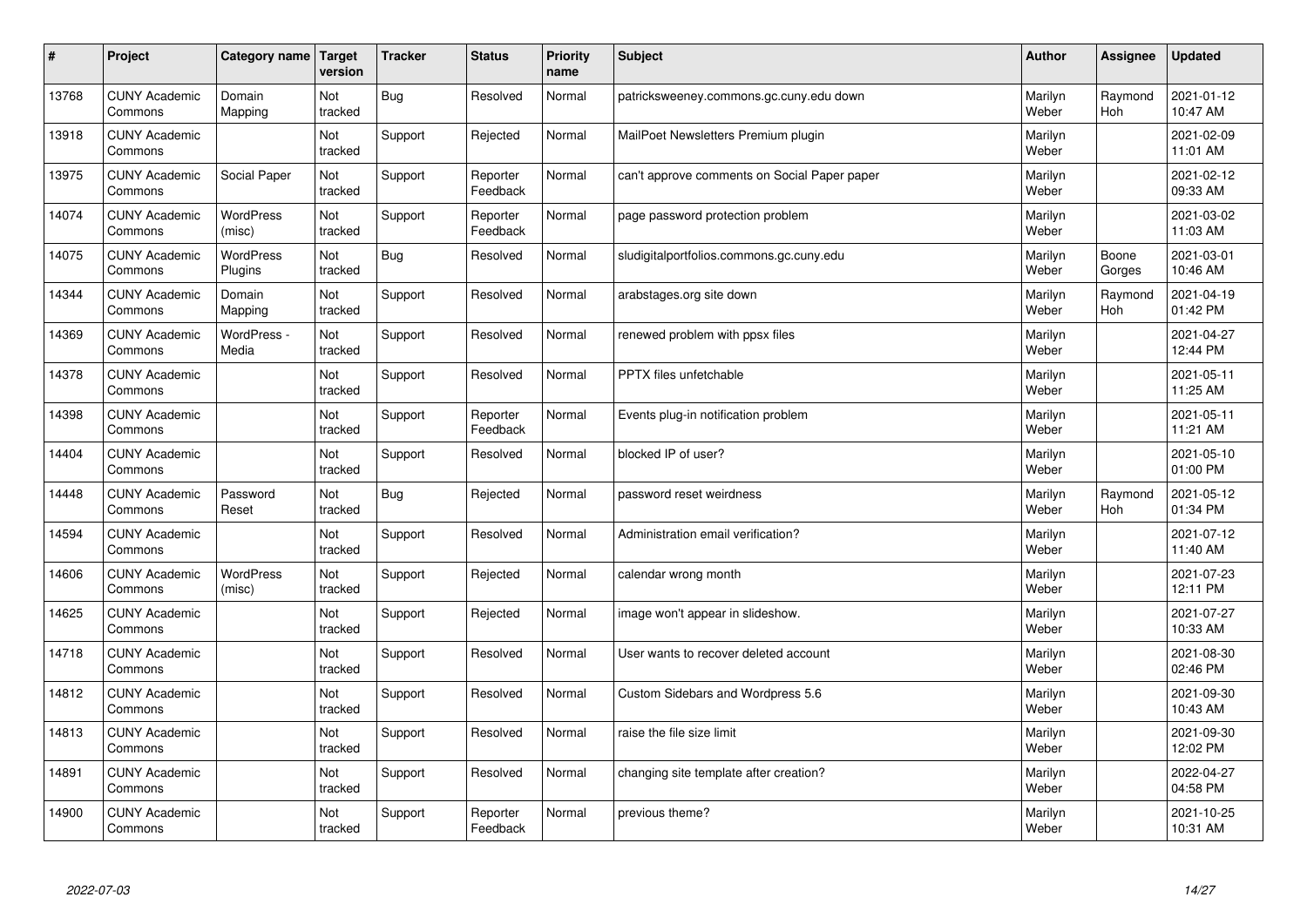| $\pmb{\sharp}$ | Project                         | Category name               | Target<br>version | <b>Tracker</b> | <b>Status</b>        | <b>Priority</b><br>name | <b>Subject</b>                               | <b>Author</b>    | Assignee        | <b>Updated</b>         |
|----------------|---------------------------------|-----------------------------|-------------------|----------------|----------------------|-------------------------|----------------------------------------------|------------------|-----------------|------------------------|
| 13768          | <b>CUNY Academic</b><br>Commons | Domain<br>Mapping           | Not<br>tracked    | <b>Bug</b>     | Resolved             | Normal                  | patricksweeney.commons.gc.cuny.edu down      | Marilyn<br>Weber | Raymond<br>Hoh  | 2021-01-12<br>10:47 AM |
| 13918          | <b>CUNY Academic</b><br>Commons |                             | Not<br>tracked    | Support        | Rejected             | Normal                  | MailPoet Newsletters Premium plugin          | Marilyn<br>Weber |                 | 2021-02-09<br>11:01 AM |
| 13975          | <b>CUNY Academic</b><br>Commons | Social Paper                | Not<br>tracked    | Support        | Reporter<br>Feedback | Normal                  | can't approve comments on Social Paper paper | Marilyn<br>Weber |                 | 2021-02-12<br>09:33 AM |
| 14074          | <b>CUNY Academic</b><br>Commons | <b>WordPress</b><br>(misc)  | Not<br>tracked    | Support        | Reporter<br>Feedback | Normal                  | page password protection problem             | Marilyn<br>Weber |                 | 2021-03-02<br>11:03 AM |
| 14075          | <b>CUNY Academic</b><br>Commons | <b>WordPress</b><br>Plugins | Not<br>tracked    | <b>Bug</b>     | Resolved             | Normal                  | sludigitalportfolios.commons.gc.cuny.edu     | Marilyn<br>Weber | Boone<br>Gorges | 2021-03-01<br>10:46 AM |
| 14344          | <b>CUNY Academic</b><br>Commons | Domain<br>Mapping           | Not<br>tracked    | Support        | Resolved             | Normal                  | arabstages.org site down                     | Marilyn<br>Weber | Raymond<br>Hoh  | 2021-04-19<br>01:42 PM |
| 14369          | <b>CUNY Academic</b><br>Commons | WordPress -<br>Media        | Not<br>tracked    | Support        | Resolved             | Normal                  | renewed problem with ppsx files              | Marilyn<br>Weber |                 | 2021-04-27<br>12:44 PM |
| 14378          | <b>CUNY Academic</b><br>Commons |                             | Not<br>tracked    | Support        | Resolved             | Normal                  | PPTX files unfetchable                       | Marilyn<br>Weber |                 | 2021-05-11<br>11:25 AM |
| 14398          | <b>CUNY Academic</b><br>Commons |                             | Not<br>tracked    | Support        | Reporter<br>Feedback | Normal                  | Events plug-in notification problem          | Marilyn<br>Weber |                 | 2021-05-11<br>11:21 AM |
| 14404          | <b>CUNY Academic</b><br>Commons |                             | Not<br>tracked    | Support        | Resolved             | Normal                  | blocked IP of user?                          | Marilyn<br>Weber |                 | 2021-05-10<br>01:00 PM |
| 14448          | <b>CUNY Academic</b><br>Commons | Password<br>Reset           | Not<br>tracked    | Bug            | Rejected             | Normal                  | password reset weirdness                     | Marilyn<br>Weber | Raymond<br>Hoh  | 2021-05-12<br>01:34 PM |
| 14594          | <b>CUNY Academic</b><br>Commons |                             | Not<br>tracked    | Support        | Resolved             | Normal                  | Administration email verification?           | Marilyn<br>Weber |                 | 2021-07-12<br>11:40 AM |
| 14606          | <b>CUNY Academic</b><br>Commons | <b>WordPress</b><br>(misc)  | Not<br>tracked    | Support        | Rejected             | Normal                  | calendar wrong month                         | Marilyn<br>Weber |                 | 2021-07-23<br>12:11 PM |
| 14625          | <b>CUNY Academic</b><br>Commons |                             | Not<br>tracked    | Support        | Rejected             | Normal                  | image won't appear in slideshow.             | Marilyn<br>Weber |                 | 2021-07-27<br>10:33 AM |
| 14718          | <b>CUNY Academic</b><br>Commons |                             | Not<br>tracked    | Support        | Resolved             | Normal                  | User wants to recover deleted account        | Marilyn<br>Weber |                 | 2021-08-30<br>02:46 PM |
| 14812          | <b>CUNY Academic</b><br>Commons |                             | Not<br>tracked    | Support        | Resolved             | Normal                  | Custom Sidebars and Wordpress 5.6            | Marilyn<br>Weber |                 | 2021-09-30<br>10:43 AM |
| 14813          | <b>CUNY Academic</b><br>Commons |                             | Not<br>tracked    | Support        | Resolved             | Normal                  | raise the file size limit                    | Marilyn<br>Weber |                 | 2021-09-30<br>12:02 PM |
| 14891          | <b>CUNY Academic</b><br>Commons |                             | Not<br>tracked    | Support        | Resolved             | Normal                  | changing site template after creation?       | Marilyn<br>Weber |                 | 2022-04-27<br>04:58 PM |
| 14900          | <b>CUNY Academic</b><br>Commons |                             | Not<br>tracked    | Support        | Reporter<br>Feedback | Normal                  | previous theme?                              | Marilyn<br>Weber |                 | 2021-10-25<br>10:31 AM |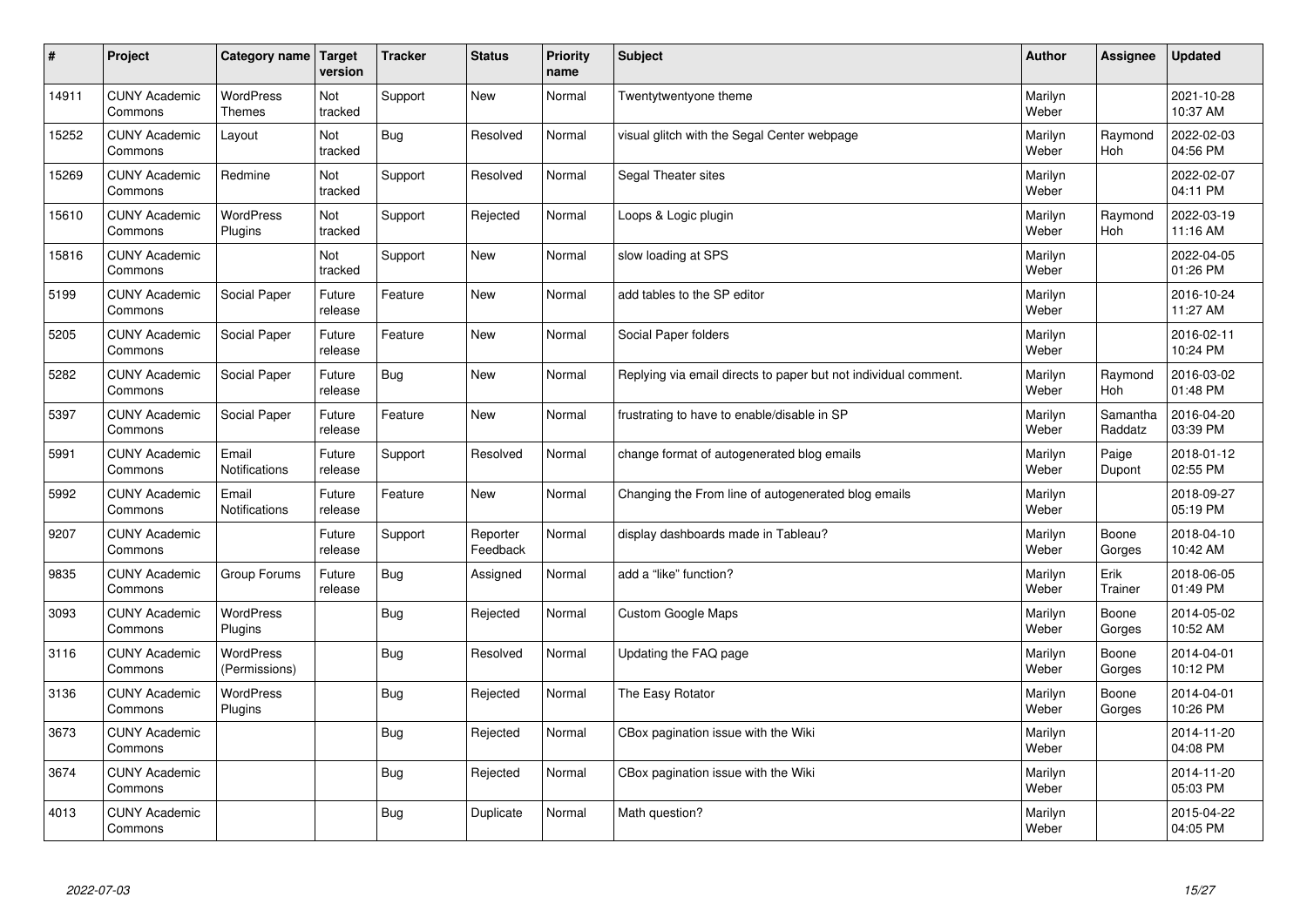| $\sharp$ | Project                         | Category name                     | Target<br>version | <b>Tracker</b> | <b>Status</b>        | <b>Priority</b><br>name | <b>Subject</b>                                                  | <b>Author</b>    | Assignee            | <b>Updated</b>         |
|----------|---------------------------------|-----------------------------------|-------------------|----------------|----------------------|-------------------------|-----------------------------------------------------------------|------------------|---------------------|------------------------|
| 14911    | <b>CUNY Academic</b><br>Commons | <b>WordPress</b><br><b>Themes</b> | Not<br>tracked    | Support        | <b>New</b>           | Normal                  | Twentytwentyone theme                                           | Marilyn<br>Weber |                     | 2021-10-28<br>10:37 AM |
| 15252    | <b>CUNY Academic</b><br>Commons | Layout                            | Not<br>tracked    | Bug            | Resolved             | Normal                  | visual glitch with the Segal Center webpage                     | Marilyn<br>Weber | Raymond<br>Hoh      | 2022-02-03<br>04:56 PM |
| 15269    | <b>CUNY Academic</b><br>Commons | Redmine                           | Not<br>tracked    | Support        | Resolved             | Normal                  | Segal Theater sites                                             | Marilyn<br>Weber |                     | 2022-02-07<br>04:11 PM |
| 15610    | <b>CUNY Academic</b><br>Commons | <b>WordPress</b><br>Plugins       | Not<br>tracked    | Support        | Rejected             | Normal                  | Loops & Logic plugin                                            | Marilyn<br>Weber | Raymond<br>Hoh      | 2022-03-19<br>11:16 AM |
| 15816    | <b>CUNY Academic</b><br>Commons |                                   | Not<br>tracked    | Support        | <b>New</b>           | Normal                  | slow loading at SPS                                             | Marilyn<br>Weber |                     | 2022-04-05<br>01:26 PM |
| 5199     | <b>CUNY Academic</b><br>Commons | Social Paper                      | Future<br>release | Feature        | <b>New</b>           | Normal                  | add tables to the SP editor                                     | Marilyn<br>Weber |                     | 2016-10-24<br>11:27 AM |
| 5205     | <b>CUNY Academic</b><br>Commons | Social Paper                      | Future<br>release | Feature        | <b>New</b>           | Normal                  | Social Paper folders                                            | Marilyn<br>Weber |                     | 2016-02-11<br>10:24 PM |
| 5282     | <b>CUNY Academic</b><br>Commons | Social Paper                      | Future<br>release | Bug            | <b>New</b>           | Normal                  | Replying via email directs to paper but not individual comment. | Marilyn<br>Weber | Raymond<br>Hoh      | 2016-03-02<br>01:48 PM |
| 5397     | <b>CUNY Academic</b><br>Commons | Social Paper                      | Future<br>release | Feature        | <b>New</b>           | Normal                  | frustrating to have to enable/disable in SP                     | Marilyn<br>Weber | Samantha<br>Raddatz | 2016-04-20<br>03:39 PM |
| 5991     | <b>CUNY Academic</b><br>Commons | Email<br><b>Notifications</b>     | Future<br>release | Support        | Resolved             | Normal                  | change format of autogenerated blog emails                      | Marilyn<br>Weber | Paige<br>Dupont     | 2018-01-12<br>02:55 PM |
| 5992     | <b>CUNY Academic</b><br>Commons | Email<br>Notifications            | Future<br>release | Feature        | New                  | Normal                  | Changing the From line of autogenerated blog emails             | Marilyn<br>Weber |                     | 2018-09-27<br>05:19 PM |
| 9207     | <b>CUNY Academic</b><br>Commons |                                   | Future<br>release | Support        | Reporter<br>Feedback | Normal                  | display dashboards made in Tableau?                             | Marilyn<br>Weber | Boone<br>Gorges     | 2018-04-10<br>10:42 AM |
| 9835     | <b>CUNY Academic</b><br>Commons | Group Forums                      | Future<br>release | Bug            | Assigned             | Normal                  | add a "like" function?                                          | Marilyn<br>Weber | Erik<br>Trainer     | 2018-06-05<br>01:49 PM |
| 3093     | <b>CUNY Academic</b><br>Commons | WordPress<br>Plugins              |                   | Bug            | Rejected             | Normal                  | <b>Custom Google Maps</b>                                       | Marilyn<br>Weber | Boone<br>Gorges     | 2014-05-02<br>10:52 AM |
| 3116     | <b>CUNY Academic</b><br>Commons | <b>WordPress</b><br>(Permissions) |                   | <b>Bug</b>     | Resolved             | Normal                  | Updating the FAQ page                                           | Marilyn<br>Weber | Boone<br>Gorges     | 2014-04-01<br>10:12 PM |
| 3136     | <b>CUNY Academic</b><br>Commons | WordPress<br>Plugins              |                   | Bug            | Rejected             | Normal                  | The Easy Rotator                                                | Marilyn<br>Weber | Boone<br>Gorges     | 2014-04-01<br>10:26 PM |
| 3673     | <b>CUNY Academic</b><br>Commons |                                   |                   | <b>Bug</b>     | Rejected             | Normal                  | CBox pagination issue with the Wiki                             | Marilyn<br>Weber |                     | 2014-11-20<br>04:08 PM |
| 3674     | <b>CUNY Academic</b><br>Commons |                                   |                   | <b>Bug</b>     | Rejected             | Normal                  | CBox pagination issue with the Wiki                             | Marilyn<br>Weber |                     | 2014-11-20<br>05:03 PM |
| 4013     | <b>CUNY Academic</b><br>Commons |                                   |                   | <b>Bug</b>     | Duplicate            | Normal                  | Math question?                                                  | Marilyn<br>Weber |                     | 2015-04-22<br>04:05 PM |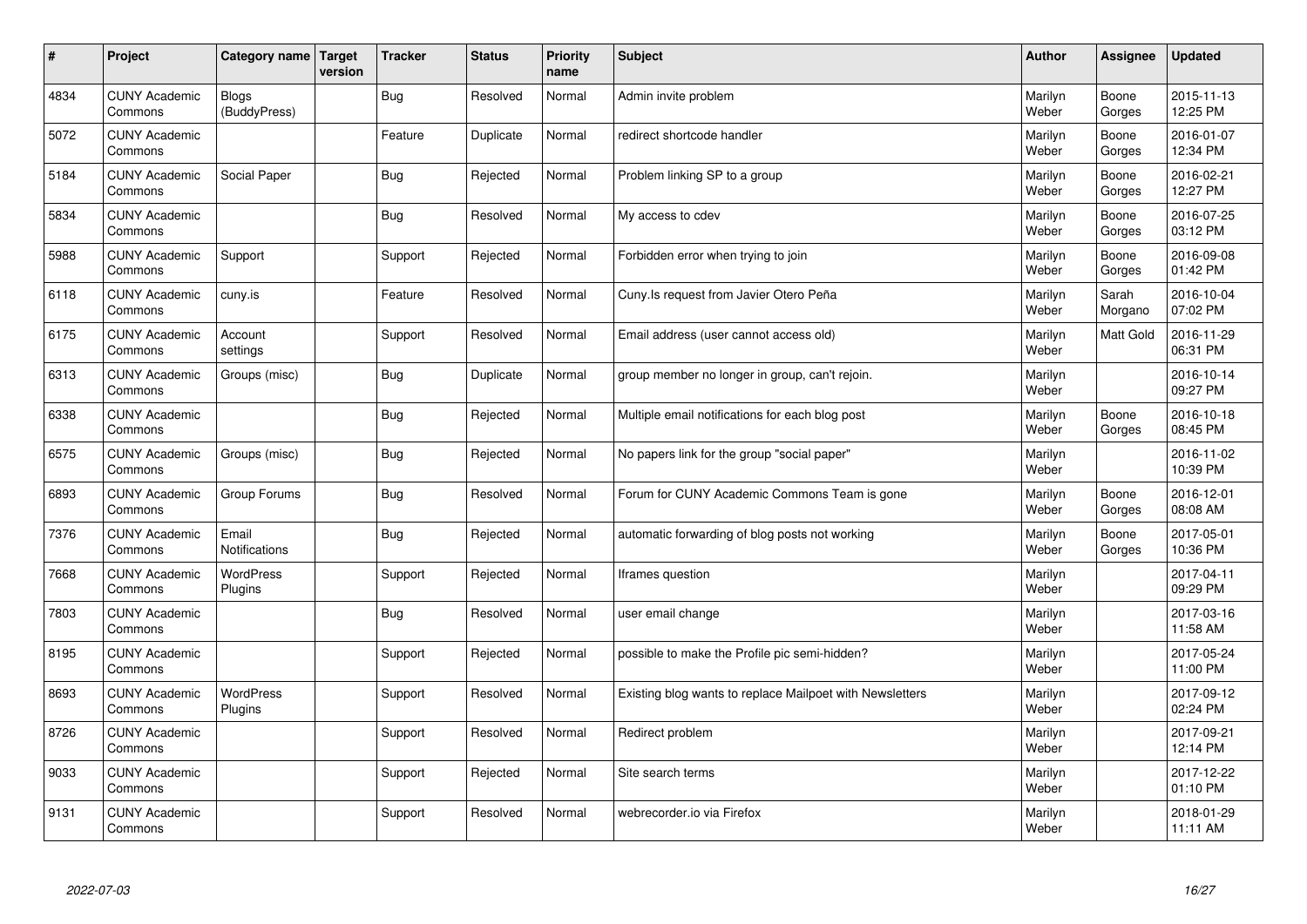| $\sharp$ | Project                         | Category name   Target        | version | <b>Tracker</b> | <b>Status</b> | <b>Priority</b><br>name | <b>Subject</b>                                           | <b>Author</b>    | Assignee         | <b>Updated</b>         |
|----------|---------------------------------|-------------------------------|---------|----------------|---------------|-------------------------|----------------------------------------------------------|------------------|------------------|------------------------|
| 4834     | <b>CUNY Academic</b><br>Commons | <b>Blogs</b><br>(BuddyPress)  |         | Bug            | Resolved      | Normal                  | Admin invite problem                                     | Marilyn<br>Weber | Boone<br>Gorges  | 2015-11-13<br>12:25 PM |
| 5072     | <b>CUNY Academic</b><br>Commons |                               |         | Feature        | Duplicate     | Normal                  | redirect shortcode handler                               | Marilyn<br>Weber | Boone<br>Gorges  | 2016-01-07<br>12:34 PM |
| 5184     | <b>CUNY Academic</b><br>Commons | Social Paper                  |         | Bug            | Rejected      | Normal                  | Problem linking SP to a group                            | Marilyn<br>Weber | Boone<br>Gorges  | 2016-02-21<br>12:27 PM |
| 5834     | <b>CUNY Academic</b><br>Commons |                               |         | <b>Bug</b>     | Resolved      | Normal                  | My access to cdev                                        | Marilyn<br>Weber | Boone<br>Gorges  | 2016-07-25<br>03:12 PM |
| 5988     | <b>CUNY Academic</b><br>Commons | Support                       |         | Support        | Rejected      | Normal                  | Forbidden error when trying to join                      | Marilyn<br>Weber | Boone<br>Gorges  | 2016-09-08<br>01:42 PM |
| 6118     | <b>CUNY Academic</b><br>Commons | cuny.is                       |         | Feature        | Resolved      | Normal                  | Cuny. Is request from Javier Otero Peña                  | Marilyn<br>Weber | Sarah<br>Morgano | 2016-10-04<br>07:02 PM |
| 6175     | <b>CUNY Academic</b><br>Commons | Account<br>settings           |         | Support        | Resolved      | Normal                  | Email address (user cannot access old)                   | Marilyn<br>Weber | <b>Matt Gold</b> | 2016-11-29<br>06:31 PM |
| 6313     | <b>CUNY Academic</b><br>Commons | Groups (misc)                 |         | Bug            | Duplicate     | Normal                  | group member no longer in group, can't rejoin.           | Marilyn<br>Weber |                  | 2016-10-14<br>09:27 PM |
| 6338     | <b>CUNY Academic</b><br>Commons |                               |         | <b>Bug</b>     | Rejected      | Normal                  | Multiple email notifications for each blog post          | Marilyn<br>Weber | Boone<br>Gorges  | 2016-10-18<br>08:45 PM |
| 6575     | <b>CUNY Academic</b><br>Commons | Groups (misc)                 |         | <b>Bug</b>     | Rejected      | Normal                  | No papers link for the group "social paper"              | Marilyn<br>Weber |                  | 2016-11-02<br>10:39 PM |
| 6893     | <b>CUNY Academic</b><br>Commons | Group Forums                  |         | Bug            | Resolved      | Normal                  | Forum for CUNY Academic Commons Team is gone             | Marilyn<br>Weber | Boone<br>Gorges  | 2016-12-01<br>08:08 AM |
| 7376     | <b>CUNY Academic</b><br>Commons | Email<br><b>Notifications</b> |         | <b>Bug</b>     | Rejected      | Normal                  | automatic forwarding of blog posts not working           | Marilyn<br>Weber | Boone<br>Gorges  | 2017-05-01<br>10:36 PM |
| 7668     | <b>CUNY Academic</b><br>Commons | WordPress<br>Plugins          |         | Support        | Rejected      | Normal                  | Iframes question                                         | Marilyn<br>Weber |                  | 2017-04-11<br>09:29 PM |
| 7803     | <b>CUNY Academic</b><br>Commons |                               |         | Bug            | Resolved      | Normal                  | user email change                                        | Marilyn<br>Weber |                  | 2017-03-16<br>11:58 AM |
| 8195     | <b>CUNY Academic</b><br>Commons |                               |         | Support        | Rejected      | Normal                  | possible to make the Profile pic semi-hidden?            | Marilyn<br>Weber |                  | 2017-05-24<br>11:00 PM |
| 8693     | <b>CUNY Academic</b><br>Commons | <b>WordPress</b><br>Plugins   |         | Support        | Resolved      | Normal                  | Existing blog wants to replace Mailpoet with Newsletters | Marilyn<br>Weber |                  | 2017-09-12<br>02:24 PM |
| 8726     | <b>CUNY Academic</b><br>Commons |                               |         | Support        | Resolved      | Normal                  | Redirect problem                                         | Marilyn<br>Weber |                  | 2017-09-21<br>12:14 PM |
| 9033     | <b>CUNY Academic</b><br>Commons |                               |         | Support        | Rejected      | Normal                  | Site search terms                                        | Marilyn<br>Weber |                  | 2017-12-22<br>01:10 PM |
| 9131     | <b>CUNY Academic</b><br>Commons |                               |         | Support        | Resolved      | Normal                  | webrecorder.io via Firefox                               | Marilyn<br>Weber |                  | 2018-01-29<br>11:11 AM |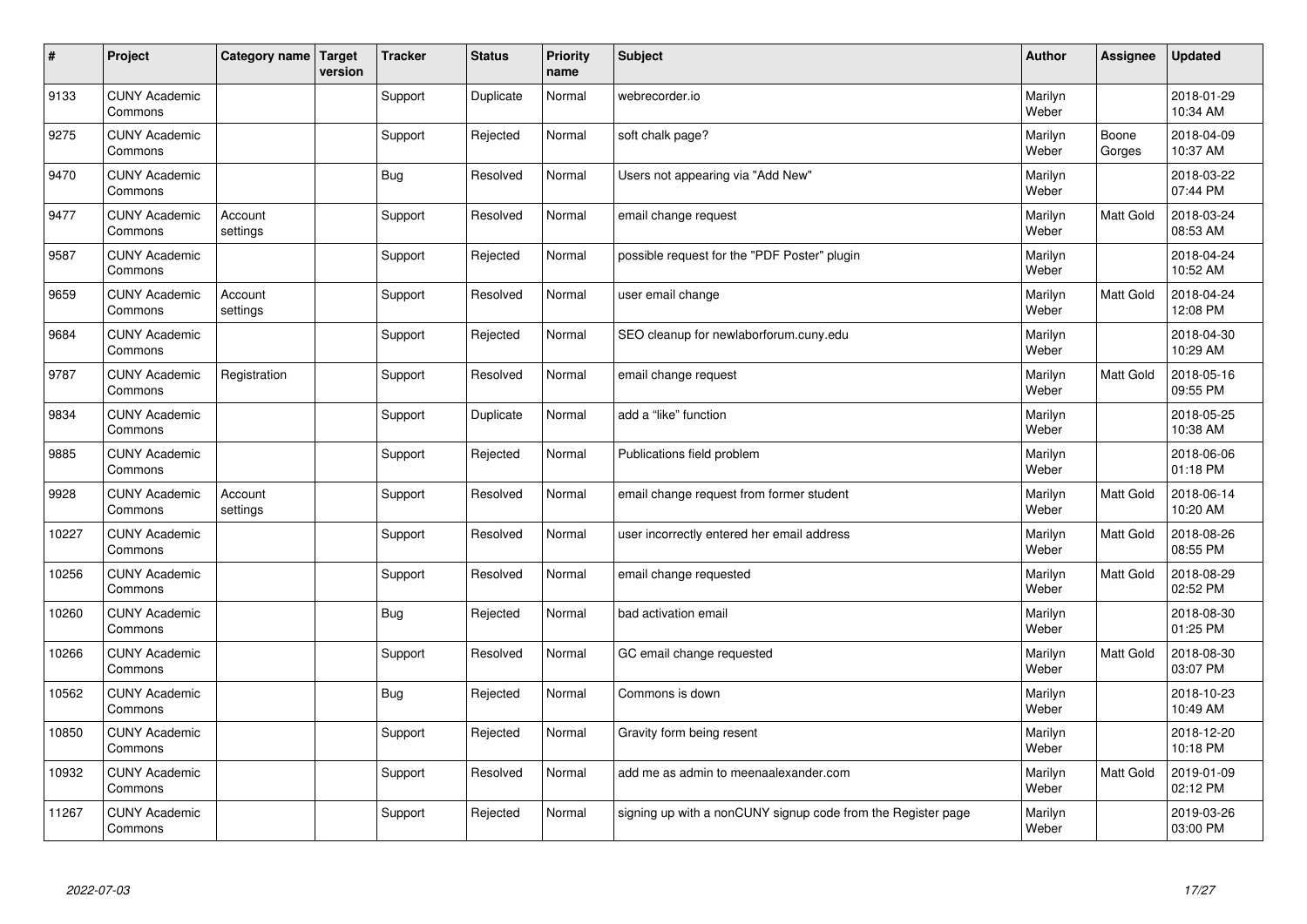| $\pmb{\#}$ | Project                         | Category name       | Target<br>version | <b>Tracker</b> | <b>Status</b> | <b>Priority</b><br>name | <b>Subject</b>                                               | <b>Author</b>    | <b>Assignee</b>  | <b>Updated</b>         |
|------------|---------------------------------|---------------------|-------------------|----------------|---------------|-------------------------|--------------------------------------------------------------|------------------|------------------|------------------------|
| 9133       | <b>CUNY Academic</b><br>Commons |                     |                   | Support        | Duplicate     | Normal                  | webrecorder.io                                               | Marilyn<br>Weber |                  | 2018-01-29<br>10:34 AM |
| 9275       | <b>CUNY Academic</b><br>Commons |                     |                   | Support        | Rejected      | Normal                  | soft chalk page?                                             | Marilyn<br>Weber | Boone<br>Gorges  | 2018-04-09<br>10:37 AM |
| 9470       | <b>CUNY Academic</b><br>Commons |                     |                   | <b>Bug</b>     | Resolved      | Normal                  | Users not appearing via "Add New"                            | Marilyn<br>Weber |                  | 2018-03-22<br>07:44 PM |
| 9477       | <b>CUNY Academic</b><br>Commons | Account<br>settings |                   | Support        | Resolved      | Normal                  | email change request                                         | Marilyn<br>Weber | Matt Gold        | 2018-03-24<br>08:53 AM |
| 9587       | <b>CUNY Academic</b><br>Commons |                     |                   | Support        | Rejected      | Normal                  | possible request for the "PDF Poster" plugin                 | Marilyn<br>Weber |                  | 2018-04-24<br>10:52 AM |
| 9659       | <b>CUNY Academic</b><br>Commons | Account<br>settings |                   | Support        | Resolved      | Normal                  | user email change                                            | Marilyn<br>Weber | Matt Gold        | 2018-04-24<br>12:08 PM |
| 9684       | <b>CUNY Academic</b><br>Commons |                     |                   | Support        | Rejected      | Normal                  | SEO cleanup for newlaborforum.cuny.edu                       | Marilyn<br>Weber |                  | 2018-04-30<br>10:29 AM |
| 9787       | <b>CUNY Academic</b><br>Commons | Registration        |                   | Support        | Resolved      | Normal                  | email change request                                         | Marilyn<br>Weber | <b>Matt Gold</b> | 2018-05-16<br>09:55 PM |
| 9834       | <b>CUNY Academic</b><br>Commons |                     |                   | Support        | Duplicate     | Normal                  | add a "like" function                                        | Marilyn<br>Weber |                  | 2018-05-25<br>10:38 AM |
| 9885       | <b>CUNY Academic</b><br>Commons |                     |                   | Support        | Rejected      | Normal                  | Publications field problem                                   | Marilyn<br>Weber |                  | 2018-06-06<br>01:18 PM |
| 9928       | <b>CUNY Academic</b><br>Commons | Account<br>settings |                   | Support        | Resolved      | Normal                  | email change request from former student                     | Marilyn<br>Weber | Matt Gold        | 2018-06-14<br>10:20 AM |
| 10227      | <b>CUNY Academic</b><br>Commons |                     |                   | Support        | Resolved      | Normal                  | user incorrectly entered her email address                   | Marilyn<br>Weber | Matt Gold        | 2018-08-26<br>08:55 PM |
| 10256      | <b>CUNY Academic</b><br>Commons |                     |                   | Support        | Resolved      | Normal                  | email change requested                                       | Marilyn<br>Weber | <b>Matt Gold</b> | 2018-08-29<br>02:52 PM |
| 10260      | <b>CUNY Academic</b><br>Commons |                     |                   | Bug            | Rejected      | Normal                  | bad activation email                                         | Marilyn<br>Weber |                  | 2018-08-30<br>01:25 PM |
| 10266      | <b>CUNY Academic</b><br>Commons |                     |                   | Support        | Resolved      | Normal                  | GC email change requested                                    | Marilyn<br>Weber | Matt Gold        | 2018-08-30<br>03:07 PM |
| 10562      | <b>CUNY Academic</b><br>Commons |                     |                   | Bug            | Rejected      | Normal                  | Commons is down                                              | Marilyn<br>Weber |                  | 2018-10-23<br>10:49 AM |
| 10850      | <b>CUNY Academic</b><br>Commons |                     |                   | Support        | Rejected      | Normal                  | Gravity form being resent                                    | Marilyn<br>Weber |                  | 2018-12-20<br>10:18 PM |
| 10932      | <b>CUNY Academic</b><br>Commons |                     |                   | Support        | Resolved      | Normal                  | add me as admin to meenaalexander.com                        | Marilyn<br>Weber | Matt Gold        | 2019-01-09<br>02:12 PM |
| 11267      | <b>CUNY Academic</b><br>Commons |                     |                   | Support        | Rejected      | Normal                  | signing up with a nonCUNY signup code from the Register page | Marilyn<br>Weber |                  | 2019-03-26<br>03:00 PM |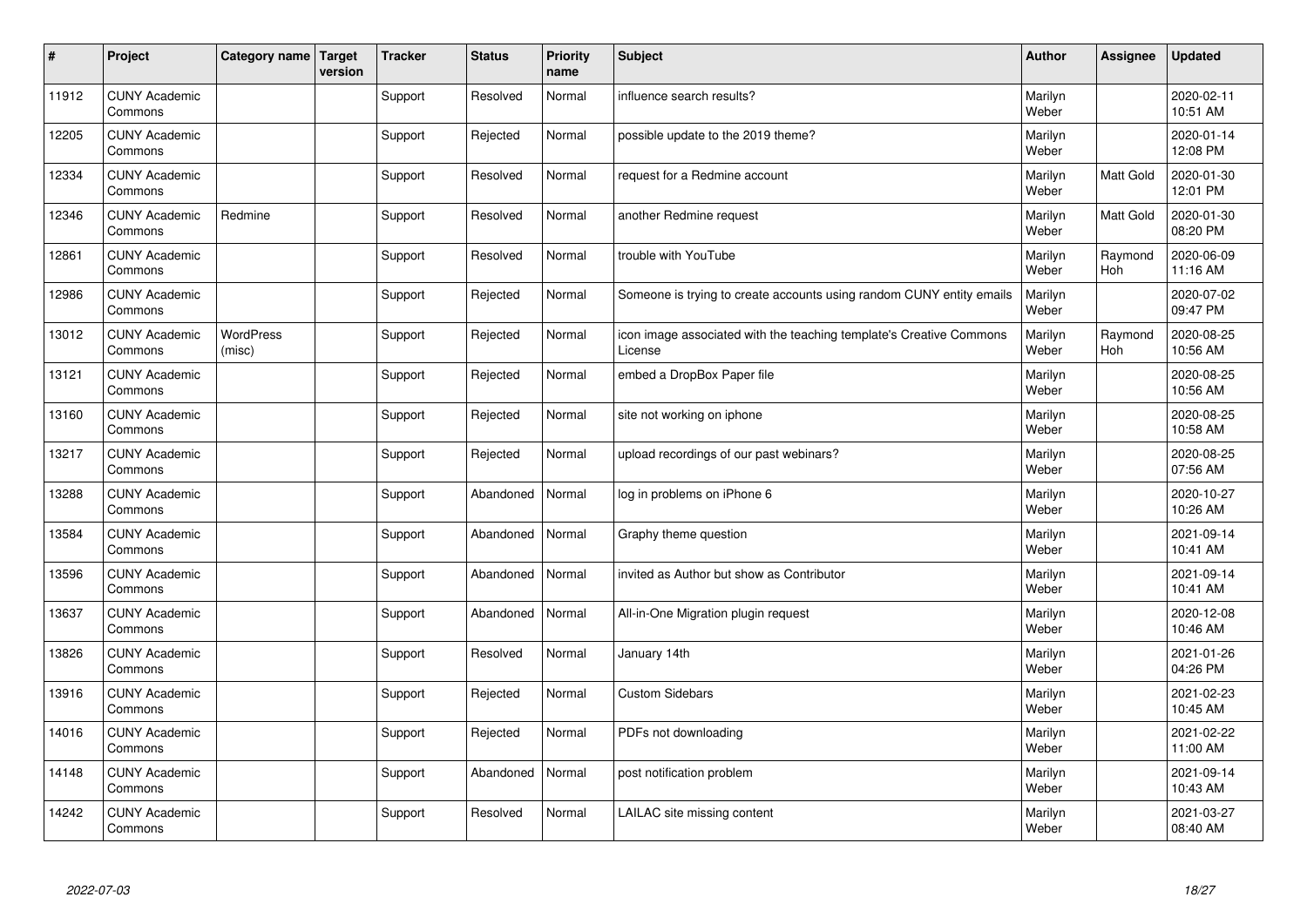| $\sharp$ | Project                         | Category name   Target     | version | <b>Tracker</b> | <b>Status</b> | <b>Priority</b><br>name | <b>Subject</b>                                                                 | <b>Author</b>    | Assignee       | <b>Updated</b>         |
|----------|---------------------------------|----------------------------|---------|----------------|---------------|-------------------------|--------------------------------------------------------------------------------|------------------|----------------|------------------------|
| 11912    | <b>CUNY Academic</b><br>Commons |                            |         | Support        | Resolved      | Normal                  | influence search results?                                                      | Marilyn<br>Weber |                | 2020-02-11<br>10:51 AM |
| 12205    | <b>CUNY Academic</b><br>Commons |                            |         | Support        | Rejected      | Normal                  | possible update to the 2019 theme?                                             | Marilyn<br>Weber |                | 2020-01-14<br>12:08 PM |
| 12334    | <b>CUNY Academic</b><br>Commons |                            |         | Support        | Resolved      | Normal                  | request for a Redmine account                                                  | Marilyn<br>Weber | Matt Gold      | 2020-01-30<br>12:01 PM |
| 12346    | <b>CUNY Academic</b><br>Commons | Redmine                    |         | Support        | Resolved      | Normal                  | another Redmine request                                                        | Marilyn<br>Weber | Matt Gold      | 2020-01-30<br>08:20 PM |
| 12861    | <b>CUNY Academic</b><br>Commons |                            |         | Support        | Resolved      | Normal                  | trouble with YouTube                                                           | Marilyn<br>Weber | Raymond<br>Hoh | 2020-06-09<br>11:16 AM |
| 12986    | <b>CUNY Academic</b><br>Commons |                            |         | Support        | Rejected      | Normal                  | Someone is trying to create accounts using random CUNY entity emails           | Marilyn<br>Weber |                | 2020-07-02<br>09:47 PM |
| 13012    | <b>CUNY Academic</b><br>Commons | <b>WordPress</b><br>(misc) |         | Support        | Rejected      | Normal                  | icon image associated with the teaching template's Creative Commons<br>License | Marilyn<br>Weber | Raymond<br>Hoh | 2020-08-25<br>10:56 AM |
| 13121    | <b>CUNY Academic</b><br>Commons |                            |         | Support        | Rejected      | Normal                  | embed a DropBox Paper file                                                     | Marilyn<br>Weber |                | 2020-08-25<br>10:56 AM |
| 13160    | <b>CUNY Academic</b><br>Commons |                            |         | Support        | Rejected      | Normal                  | site not working on iphone                                                     | Marilyn<br>Weber |                | 2020-08-25<br>10:58 AM |
| 13217    | <b>CUNY Academic</b><br>Commons |                            |         | Support        | Rejected      | Normal                  | upload recordings of our past webinars?                                        | Marilyn<br>Weber |                | 2020-08-25<br>07:56 AM |
| 13288    | <b>CUNY Academic</b><br>Commons |                            |         | Support        | Abandoned     | Normal                  | log in problems on iPhone 6                                                    | Marilyn<br>Weber |                | 2020-10-27<br>10:26 AM |
| 13584    | <b>CUNY Academic</b><br>Commons |                            |         | Support        | Abandoned     | Normal                  | Graphy theme question                                                          | Marilyn<br>Weber |                | 2021-09-14<br>10:41 AM |
| 13596    | <b>CUNY Academic</b><br>Commons |                            |         | Support        | Abandoned     | Normal                  | invited as Author but show as Contributor                                      | Marilyn<br>Weber |                | 2021-09-14<br>10:41 AM |
| 13637    | <b>CUNY Academic</b><br>Commons |                            |         | Support        | Abandoned     | Normal                  | All-in-One Migration plugin request                                            | Marilyn<br>Weber |                | 2020-12-08<br>10:46 AM |
| 13826    | <b>CUNY Academic</b><br>Commons |                            |         | Support        | Resolved      | Normal                  | January 14th                                                                   | Marilyn<br>Weber |                | 2021-01-26<br>04:26 PM |
| 13916    | <b>CUNY Academic</b><br>Commons |                            |         | Support        | Rejected      | Normal                  | <b>Custom Sidebars</b>                                                         | Marilyn<br>Weber |                | 2021-02-23<br>10:45 AM |
| 14016    | <b>CUNY Academic</b><br>Commons |                            |         | Support        | Rejected      | Normal                  | PDFs not downloading                                                           | Marilyn<br>Weber |                | 2021-02-22<br>11:00 AM |
| 14148    | <b>CUNY Academic</b><br>Commons |                            |         | Support        | Abandoned     | Normal                  | post notification problem                                                      | Marilyn<br>Weber |                | 2021-09-14<br>10:43 AM |
| 14242    | <b>CUNY Academic</b><br>Commons |                            |         | Support        | Resolved      | Normal                  | LAILAC site missing content                                                    | Marilyn<br>Weber |                | 2021-03-27<br>08:40 AM |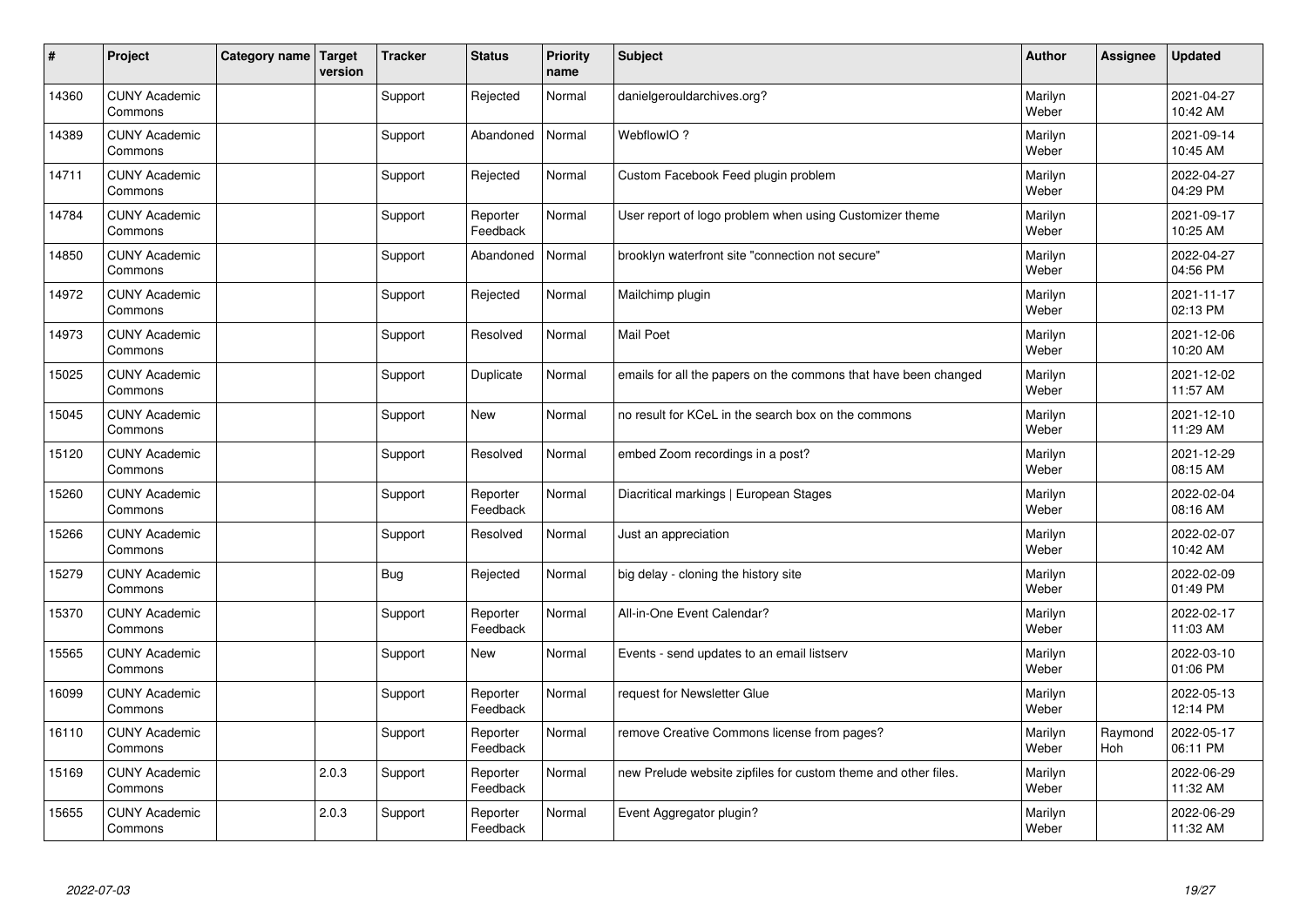| #     | Project                         | Category name   Target | version | <b>Tracker</b> | <b>Status</b>        | <b>Priority</b><br>name | <b>Subject</b>                                                  | <b>Author</b>    | Assignee       | <b>Updated</b>         |
|-------|---------------------------------|------------------------|---------|----------------|----------------------|-------------------------|-----------------------------------------------------------------|------------------|----------------|------------------------|
| 14360 | <b>CUNY Academic</b><br>Commons |                        |         | Support        | Rejected             | Normal                  | danielgerouldarchives.org?                                      | Marilyn<br>Weber |                | 2021-04-27<br>10:42 AM |
| 14389 | <b>CUNY Academic</b><br>Commons |                        |         | Support        | Abandoned            | Normal                  | WebflowIO?                                                      | Marilyn<br>Weber |                | 2021-09-14<br>10:45 AM |
| 14711 | <b>CUNY Academic</b><br>Commons |                        |         | Support        | Rejected             | Normal                  | Custom Facebook Feed plugin problem                             | Marilyn<br>Weber |                | 2022-04-27<br>04:29 PM |
| 14784 | <b>CUNY Academic</b><br>Commons |                        |         | Support        | Reporter<br>Feedback | Normal                  | User report of logo problem when using Customizer theme         | Marilyn<br>Weber |                | 2021-09-17<br>10:25 AM |
| 14850 | <b>CUNY Academic</b><br>Commons |                        |         | Support        | Abandoned            | Normal                  | brooklyn waterfront site "connection not secure"                | Marilyn<br>Weber |                | 2022-04-27<br>04:56 PM |
| 14972 | <b>CUNY Academic</b><br>Commons |                        |         | Support        | Rejected             | Normal                  | Mailchimp plugin                                                | Marilyn<br>Weber |                | 2021-11-17<br>02:13 PM |
| 14973 | <b>CUNY Academic</b><br>Commons |                        |         | Support        | Resolved             | Normal                  | <b>Mail Poet</b>                                                | Marilyn<br>Weber |                | 2021-12-06<br>10:20 AM |
| 15025 | <b>CUNY Academic</b><br>Commons |                        |         | Support        | Duplicate            | Normal                  | emails for all the papers on the commons that have been changed | Marilyn<br>Weber |                | 2021-12-02<br>11:57 AM |
| 15045 | <b>CUNY Academic</b><br>Commons |                        |         | Support        | New                  | Normal                  | no result for KCeL in the search box on the commons             | Marilyn<br>Weber |                | 2021-12-10<br>11:29 AM |
| 15120 | <b>CUNY Academic</b><br>Commons |                        |         | Support        | Resolved             | Normal                  | embed Zoom recordings in a post?                                | Marilyn<br>Weber |                | 2021-12-29<br>08:15 AM |
| 15260 | <b>CUNY Academic</b><br>Commons |                        |         | Support        | Reporter<br>Feedback | Normal                  | Diacritical markings   European Stages                          | Marilyn<br>Weber |                | 2022-02-04<br>08:16 AM |
| 15266 | <b>CUNY Academic</b><br>Commons |                        |         | Support        | Resolved             | Normal                  | Just an appreciation                                            | Marilyn<br>Weber |                | 2022-02-07<br>10:42 AM |
| 15279 | <b>CUNY Academic</b><br>Commons |                        |         | <b>Bug</b>     | Rejected             | Normal                  | big delay - cloning the history site                            | Marilyn<br>Weber |                | 2022-02-09<br>01:49 PM |
| 15370 | <b>CUNY Academic</b><br>Commons |                        |         | Support        | Reporter<br>Feedback | Normal                  | All-in-One Event Calendar?                                      | Marilyn<br>Weber |                | 2022-02-17<br>11:03 AM |
| 15565 | <b>CUNY Academic</b><br>Commons |                        |         | Support        | <b>New</b>           | Normal                  | Events - send updates to an email listserv                      | Marilyn<br>Weber |                | 2022-03-10<br>01:06 PM |
| 16099 | <b>CUNY Academic</b><br>Commons |                        |         | Support        | Reporter<br>Feedback | Normal                  | request for Newsletter Glue                                     | Marilyn<br>Weber |                | 2022-05-13<br>12:14 PM |
| 16110 | <b>CUNY Academic</b><br>Commons |                        |         | Support        | Reporter<br>Feedback | Normal                  | remove Creative Commons license from pages?                     | Marilyn<br>Weber | Raymond<br>Hoh | 2022-05-17<br>06:11 PM |
| 15169 | <b>CUNY Academic</b><br>Commons |                        | 2.0.3   | Support        | Reporter<br>Feedback | Normal                  | new Prelude website zipfiles for custom theme and other files.  | Marilyn<br>Weber |                | 2022-06-29<br>11:32 AM |
| 15655 | <b>CUNY Academic</b><br>Commons |                        | 2.0.3   | Support        | Reporter<br>Feedback | Normal                  | Event Aggregator plugin?                                        | Marilyn<br>Weber |                | 2022-06-29<br>11:32 AM |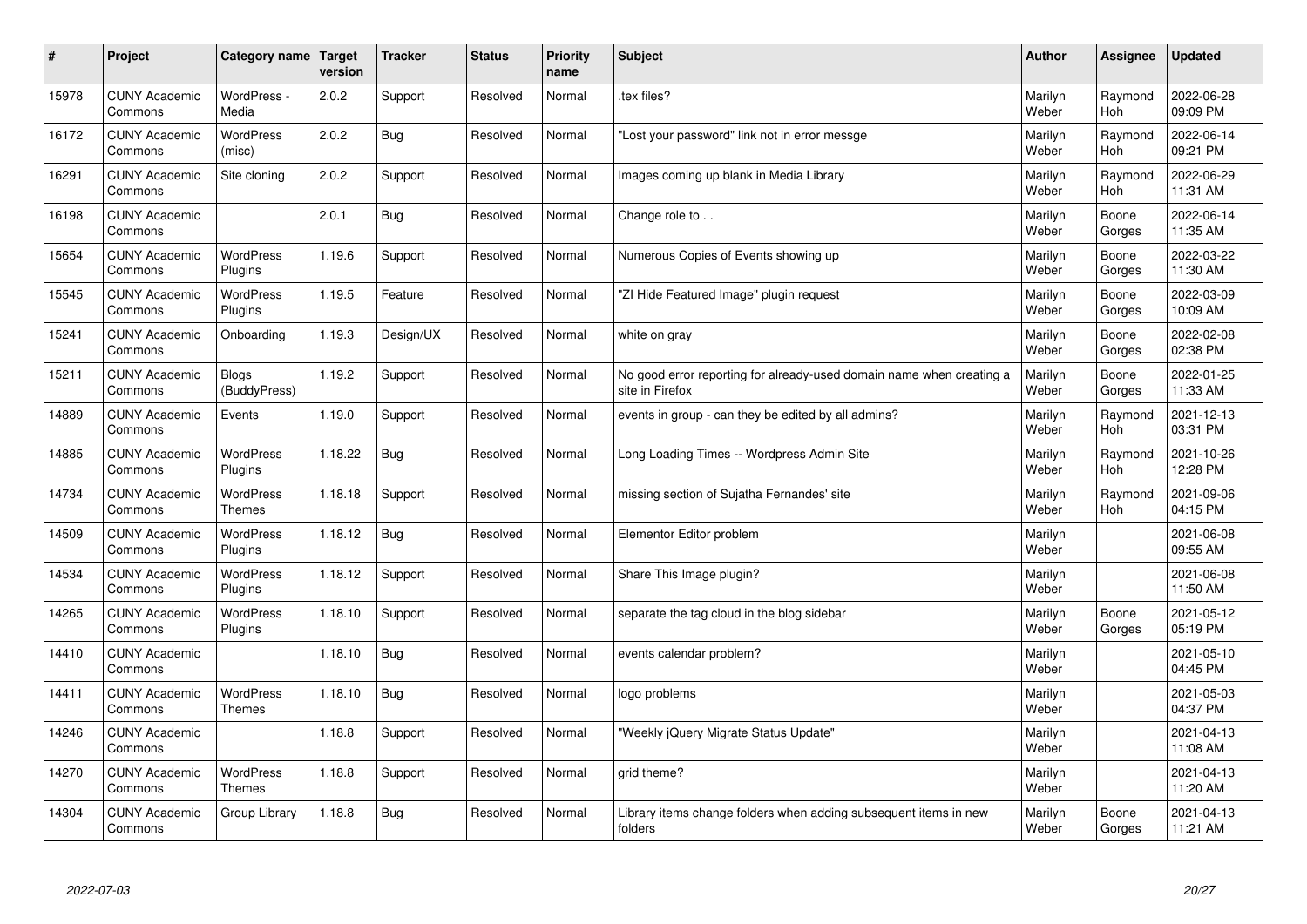| $\sharp$ | Project                         | <b>Category name</b>              | Target<br>version | <b>Tracker</b> | <b>Status</b> | <b>Priority</b><br>name | <b>Subject</b>                                                                          | <b>Author</b>    | Assignee              | <b>Updated</b>         |
|----------|---------------------------------|-----------------------------------|-------------------|----------------|---------------|-------------------------|-----------------------------------------------------------------------------------------|------------------|-----------------------|------------------------|
| 15978    | <b>CUNY Academic</b><br>Commons | WordPress -<br>Media              | 2.0.2             | Support        | Resolved      | Normal                  | tex files?                                                                              | Marilyn<br>Weber | Raymond<br><b>Hoh</b> | 2022-06-28<br>09:09 PM |
| 16172    | <b>CUNY Academic</b><br>Commons | <b>WordPress</b><br>(misc)        | 2.0.2             | Bug            | Resolved      | Normal                  | 'Lost your password" link not in error messge                                           | Marilyn<br>Weber | Raymond<br>Hoh        | 2022-06-14<br>09:21 PM |
| 16291    | <b>CUNY Academic</b><br>Commons | Site cloning                      | 2.0.2             | Support        | Resolved      | Normal                  | Images coming up blank in Media Library                                                 | Marilyn<br>Weber | Raymond<br><b>Hoh</b> | 2022-06-29<br>11:31 AM |
| 16198    | <b>CUNY Academic</b><br>Commons |                                   | 2.0.1             | <b>Bug</b>     | Resolved      | Normal                  | Change role to                                                                          | Marilyn<br>Weber | Boone<br>Gorges       | 2022-06-14<br>11:35 AM |
| 15654    | <b>CUNY Academic</b><br>Commons | <b>WordPress</b><br>Plugins       | 1.19.6            | Support        | Resolved      | Normal                  | Numerous Copies of Events showing up                                                    | Marilyn<br>Weber | Boone<br>Gorges       | 2022-03-22<br>11:30 AM |
| 15545    | <b>CUNY Academic</b><br>Commons | WordPress<br>Plugins              | 1.19.5            | Feature        | Resolved      | Normal                  | 'ZI Hide Featured Image" plugin request                                                 | Marilyn<br>Weber | Boone<br>Gorges       | 2022-03-09<br>10:09 AM |
| 15241    | <b>CUNY Academic</b><br>Commons | Onboarding                        | 1.19.3            | Design/UX      | Resolved      | Normal                  | white on gray                                                                           | Marilyn<br>Weber | Boone<br>Gorges       | 2022-02-08<br>02:38 PM |
| 15211    | <b>CUNY Academic</b><br>Commons | Blogs<br>(BuddyPress)             | 1.19.2            | Support        | Resolved      | Normal                  | No good error reporting for already-used domain name when creating a<br>site in Firefox | Marilyn<br>Weber | Boone<br>Gorges       | 2022-01-25<br>11:33 AM |
| 14889    | <b>CUNY Academic</b><br>Commons | Events                            | 1.19.0            | Support        | Resolved      | Normal                  | events in group - can they be edited by all admins?                                     | Marilyn<br>Weber | Raymond<br><b>Hoh</b> | 2021-12-13<br>03:31 PM |
| 14885    | <b>CUNY Academic</b><br>Commons | WordPress<br>Plugins              | 1.18.22           | Bug            | Resolved      | Normal                  | Long Loading Times -- Wordpress Admin Site                                              | Marilyn<br>Weber | Raymond<br>Hoh        | 2021-10-26<br>12:28 PM |
| 14734    | <b>CUNY Academic</b><br>Commons | <b>WordPress</b><br><b>Themes</b> | 1.18.18           | Support        | Resolved      | Normal                  | missing section of Sujatha Fernandes' site                                              | Marilyn<br>Weber | Raymond<br>Hoh        | 2021-09-06<br>04:15 PM |
| 14509    | <b>CUNY Academic</b><br>Commons | <b>WordPress</b><br>Plugins       | 1.18.12           | <b>Bug</b>     | Resolved      | Normal                  | Elementor Editor problem                                                                | Marilyn<br>Weber |                       | 2021-06-08<br>09:55 AM |
| 14534    | <b>CUNY Academic</b><br>Commons | <b>WordPress</b><br>Plugins       | 1.18.12           | Support        | Resolved      | Normal                  | Share This Image plugin?                                                                | Marilyn<br>Weber |                       | 2021-06-08<br>11:50 AM |
| 14265    | <b>CUNY Academic</b><br>Commons | WordPress<br>Plugins              | 1.18.10           | Support        | Resolved      | Normal                  | separate the tag cloud in the blog sidebar                                              | Marilyn<br>Weber | Boone<br>Gorges       | 2021-05-12<br>05:19 PM |
| 14410    | <b>CUNY Academic</b><br>Commons |                                   | 1.18.10           | <b>Bug</b>     | Resolved      | Normal                  | events calendar problem?                                                                | Marilyn<br>Weber |                       | 2021-05-10<br>04:45 PM |
| 14411    | <b>CUNY Academic</b><br>Commons | WordPress<br><b>Themes</b>        | 1.18.10           | Bug            | Resolved      | Normal                  | logo problems                                                                           | Marilyn<br>Weber |                       | 2021-05-03<br>04:37 PM |
| 14246    | <b>CUNY Academic</b><br>Commons |                                   | 1.18.8            | Support        | Resolved      | Normal                  | 'Weekly jQuery Migrate Status Update"                                                   | Marilyn<br>Weber |                       | 2021-04-13<br>11:08 AM |
| 14270    | <b>CUNY Academic</b><br>Commons | WordPress<br><b>Themes</b>        | 1.18.8            | Support        | Resolved      | Normal                  | grid theme?                                                                             | Marilyn<br>Weber |                       | 2021-04-13<br>11:20 AM |
| 14304    | <b>CUNY Academic</b><br>Commons | Group Library                     | 1.18.8            | Bug            | Resolved      | Normal                  | Library items change folders when adding subsequent items in new<br>folders             | Marilyn<br>Weber | Boone<br>Gorges       | 2021-04-13<br>11:21 AM |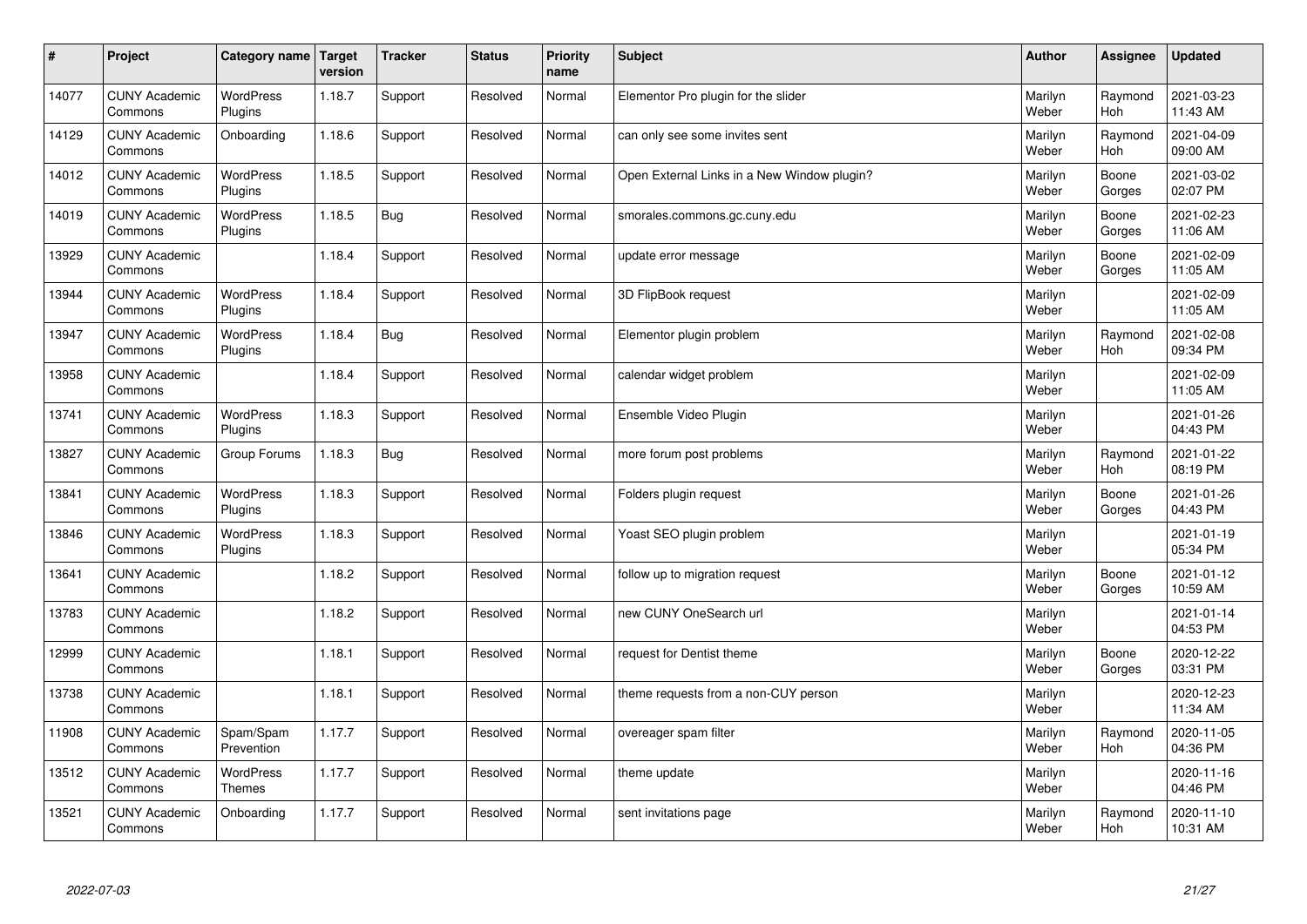| $\pmb{\#}$ | Project                         | Category name               | Target<br>version | <b>Tracker</b> | <b>Status</b> | <b>Priority</b><br>name | <b>Subject</b>                              | <b>Author</b>    | Assignee              | <b>Updated</b>         |
|------------|---------------------------------|-----------------------------|-------------------|----------------|---------------|-------------------------|---------------------------------------------|------------------|-----------------------|------------------------|
| 14077      | <b>CUNY Academic</b><br>Commons | <b>WordPress</b><br>Plugins | 1.18.7            | Support        | Resolved      | Normal                  | Elementor Pro plugin for the slider         | Marilyn<br>Weber | Raymond<br><b>Hoh</b> | 2021-03-23<br>11:43 AM |
| 14129      | <b>CUNY Academic</b><br>Commons | Onboarding                  | 1.18.6            | Support        | Resolved      | Normal                  | can only see some invites sent              | Marilyn<br>Weber | Raymond<br>Hoh        | 2021-04-09<br>09:00 AM |
| 14012      | <b>CUNY Academic</b><br>Commons | WordPress<br>Plugins        | 1.18.5            | Support        | Resolved      | Normal                  | Open External Links in a New Window plugin? | Marilyn<br>Weber | Boone<br>Gorges       | 2021-03-02<br>02:07 PM |
| 14019      | <b>CUNY Academic</b><br>Commons | <b>WordPress</b><br>Plugins | 1.18.5            | <b>Bug</b>     | Resolved      | Normal                  | smorales.commons.gc.cuny.edu                | Marilyn<br>Weber | Boone<br>Gorges       | 2021-02-23<br>11:06 AM |
| 13929      | <b>CUNY Academic</b><br>Commons |                             | 1.18.4            | Support        | Resolved      | Normal                  | update error message                        | Marilyn<br>Weber | Boone<br>Gorges       | 2021-02-09<br>11:05 AM |
| 13944      | <b>CUNY Academic</b><br>Commons | WordPress<br>Plugins        | 1.18.4            | Support        | Resolved      | Normal                  | 3D FlipBook request                         | Marilyn<br>Weber |                       | 2021-02-09<br>11:05 AM |
| 13947      | <b>CUNY Academic</b><br>Commons | <b>WordPress</b><br>Plugins | 1.18.4            | <b>Bug</b>     | Resolved      | Normal                  | Elementor plugin problem                    | Marilyn<br>Weber | Raymond<br>Hoh        | 2021-02-08<br>09:34 PM |
| 13958      | <b>CUNY Academic</b><br>Commons |                             | 1.18.4            | Support        | Resolved      | Normal                  | calendar widget problem                     | Marilyn<br>Weber |                       | 2021-02-09<br>11:05 AM |
| 13741      | <b>CUNY Academic</b><br>Commons | <b>WordPress</b><br>Plugins | 1.18.3            | Support        | Resolved      | Normal                  | Ensemble Video Plugin                       | Marilyn<br>Weber |                       | 2021-01-26<br>04:43 PM |
| 13827      | <b>CUNY Academic</b><br>Commons | Group Forums                | 1.18.3            | <b>Bug</b>     | Resolved      | Normal                  | more forum post problems                    | Marilyn<br>Weber | Raymond<br>Hoh        | 2021-01-22<br>08:19 PM |
| 13841      | <b>CUNY Academic</b><br>Commons | WordPress<br>Plugins        | 1.18.3            | Support        | Resolved      | Normal                  | Folders plugin request                      | Marilyn<br>Weber | Boone<br>Gorges       | 2021-01-26<br>04:43 PM |
| 13846      | <b>CUNY Academic</b><br>Commons | <b>WordPress</b><br>Plugins | 1.18.3            | Support        | Resolved      | Normal                  | Yoast SEO plugin problem                    | Marilyn<br>Weber |                       | 2021-01-19<br>05:34 PM |
| 13641      | <b>CUNY Academic</b><br>Commons |                             | 1.18.2            | Support        | Resolved      | Normal                  | follow up to migration request              | Marilyn<br>Weber | Boone<br>Gorges       | 2021-01-12<br>10:59 AM |
| 13783      | <b>CUNY Academic</b><br>Commons |                             | 1.18.2            | Support        | Resolved      | Normal                  | new CUNY OneSearch url                      | Marilyn<br>Weber |                       | 2021-01-14<br>04:53 PM |
| 12999      | <b>CUNY Academic</b><br>Commons |                             | 1.18.1            | Support        | Resolved      | Normal                  | request for Dentist theme                   | Marilyn<br>Weber | Boone<br>Gorges       | 2020-12-22<br>03:31 PM |
| 13738      | <b>CUNY Academic</b><br>Commons |                             | 1.18.1            | Support        | Resolved      | Normal                  | theme requests from a non-CUY person        | Marilyn<br>Weber |                       | 2020-12-23<br>11:34 AM |
| 11908      | <b>CUNY Academic</b><br>Commons | Spam/Spam<br>Prevention     | 1.17.7            | Support        | Resolved      | Normal                  | overeager spam filter                       | Marilyn<br>Weber | Raymond<br>Hoh        | 2020-11-05<br>04:36 PM |
| 13512      | <b>CUNY Academic</b><br>Commons | WordPress<br>Themes         | 1.17.7            | Support        | Resolved      | Normal                  | theme update                                | Marilyn<br>Weber |                       | 2020-11-16<br>04:46 PM |
| 13521      | <b>CUNY Academic</b><br>Commons | Onboarding                  | 1.17.7            | Support        | Resolved      | Normal                  | sent invitations page                       | Marilyn<br>Weber | Raymond<br>Hoh        | 2020-11-10<br>10:31 AM |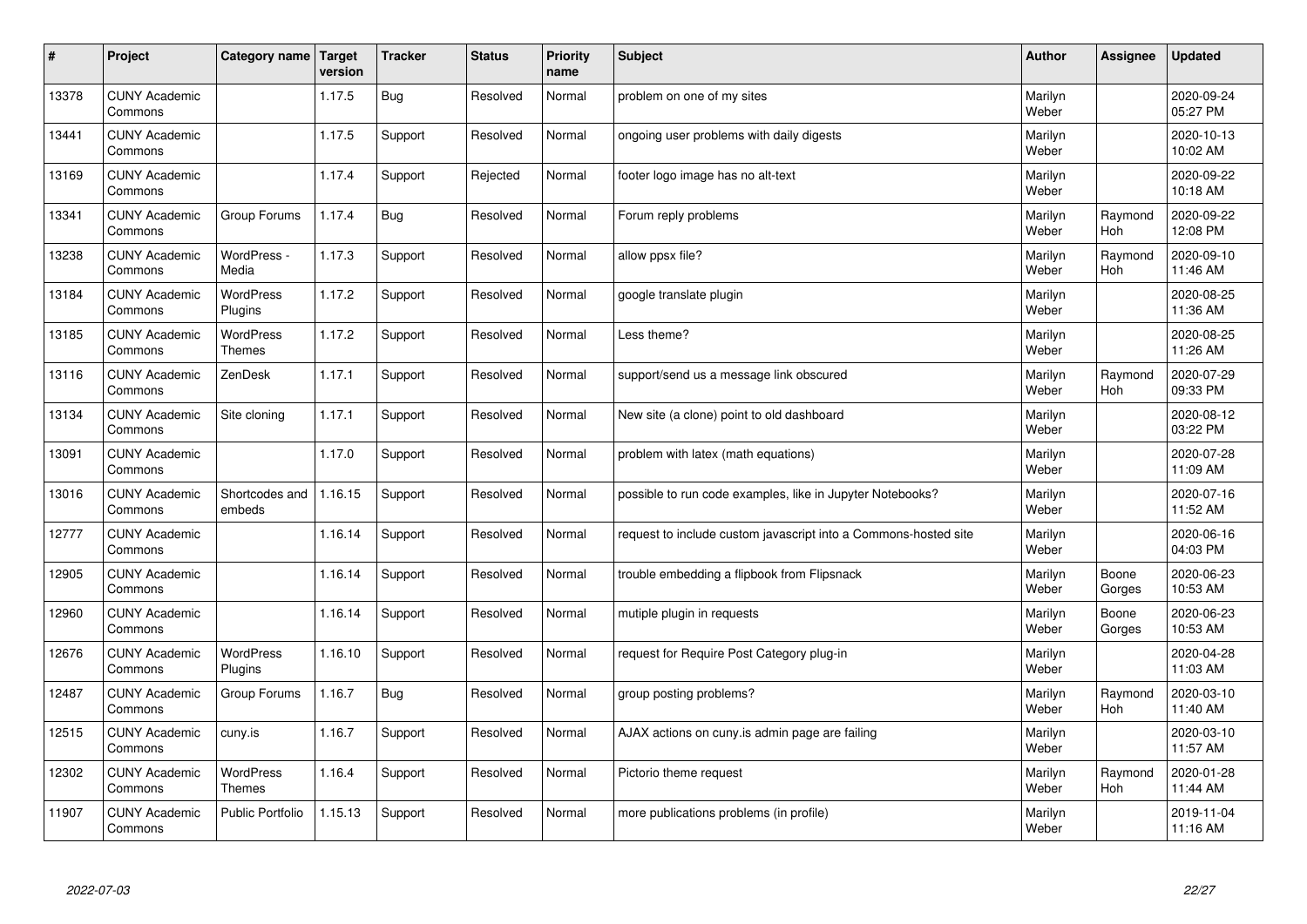| $\sharp$ | Project                         | Category name   Target            | version | <b>Tracker</b> | <b>Status</b> | <b>Priority</b><br>name | <b>Subject</b>                                                  | <b>Author</b>    | Assignee              | <b>Updated</b>         |
|----------|---------------------------------|-----------------------------------|---------|----------------|---------------|-------------------------|-----------------------------------------------------------------|------------------|-----------------------|------------------------|
| 13378    | <b>CUNY Academic</b><br>Commons |                                   | 1.17.5  | Bug            | Resolved      | Normal                  | problem on one of my sites                                      | Marilyn<br>Weber |                       | 2020-09-24<br>05:27 PM |
| 13441    | <b>CUNY Academic</b><br>Commons |                                   | 1.17.5  | Support        | Resolved      | Normal                  | ongoing user problems with daily digests                        | Marilyn<br>Weber |                       | 2020-10-13<br>10:02 AM |
| 13169    | <b>CUNY Academic</b><br>Commons |                                   | 1.17.4  | Support        | Rejected      | Normal                  | footer logo image has no alt-text                               | Marilyn<br>Weber |                       | 2020-09-22<br>10:18 AM |
| 13341    | <b>CUNY Academic</b><br>Commons | Group Forums                      | 1.17.4  | <b>Bug</b>     | Resolved      | Normal                  | Forum reply problems                                            | Marilyn<br>Weber | Raymond<br>Hoh        | 2020-09-22<br>12:08 PM |
| 13238    | <b>CUNY Academic</b><br>Commons | WordPress -<br>Media              | 1.17.3  | Support        | Resolved      | Normal                  | allow ppsx file?                                                | Marilyn<br>Weber | Raymond<br>Hoh        | 2020-09-10<br>11:46 AM |
| 13184    | <b>CUNY Academic</b><br>Commons | WordPress<br>Plugins              | 1.17.2  | Support        | Resolved      | Normal                  | google translate plugin                                         | Marilyn<br>Weber |                       | 2020-08-25<br>11:36 AM |
| 13185    | <b>CUNY Academic</b><br>Commons | <b>WordPress</b><br><b>Themes</b> | 1.17.2  | Support        | Resolved      | Normal                  | Less theme?                                                     | Marilyn<br>Weber |                       | 2020-08-25<br>11:26 AM |
| 13116    | <b>CUNY Academic</b><br>Commons | ZenDesk                           | 1.17.1  | Support        | Resolved      | Normal                  | support/send us a message link obscured                         | Marilyn<br>Weber | Raymond<br>Hoh        | 2020-07-29<br>09:33 PM |
| 13134    | <b>CUNY Academic</b><br>Commons | Site cloning                      | 1.17.1  | Support        | Resolved      | Normal                  | New site (a clone) point to old dashboard                       | Marilyn<br>Weber |                       | 2020-08-12<br>03:22 PM |
| 13091    | <b>CUNY Academic</b><br>Commons |                                   | 1.17.0  | Support        | Resolved      | Normal                  | problem with latex (math equations)                             | Marilyn<br>Weber |                       | 2020-07-28<br>11:09 AM |
| 13016    | <b>CUNY Academic</b><br>Commons | Shortcodes and<br>embeds          | 1.16.15 | Support        | Resolved      | Normal                  | possible to run code examples, like in Jupyter Notebooks?       | Marilyn<br>Weber |                       | 2020-07-16<br>11:52 AM |
| 12777    | <b>CUNY Academic</b><br>Commons |                                   | 1.16.14 | Support        | Resolved      | Normal                  | request to include custom javascript into a Commons-hosted site | Marilyn<br>Weber |                       | 2020-06-16<br>04:03 PM |
| 12905    | <b>CUNY Academic</b><br>Commons |                                   | 1.16.14 | Support        | Resolved      | Normal                  | trouble embedding a flipbook from Flipsnack                     | Marilyn<br>Weber | Boone<br>Gorges       | 2020-06-23<br>10:53 AM |
| 12960    | <b>CUNY Academic</b><br>Commons |                                   | 1.16.14 | Support        | Resolved      | Normal                  | mutiple plugin in requests                                      | Marilyn<br>Weber | Boone<br>Gorges       | 2020-06-23<br>10:53 AM |
| 12676    | <b>CUNY Academic</b><br>Commons | <b>WordPress</b><br>Plugins       | 1.16.10 | Support        | Resolved      | Normal                  | request for Require Post Category plug-in                       | Marilyn<br>Weber |                       | 2020-04-28<br>11:03 AM |
| 12487    | <b>CUNY Academic</b><br>Commons | Group Forums                      | 1.16.7  | Bug            | Resolved      | Normal                  | group posting problems?                                         | Marilyn<br>Weber | Raymond<br><b>Hoh</b> | 2020-03-10<br>11:40 AM |
| 12515    | <b>CUNY Academic</b><br>Commons | cuny.is                           | 1.16.7  | Support        | Resolved      | Normal                  | AJAX actions on cuny is admin page are failing                  | Marilyn<br>Weber |                       | 2020-03-10<br>11:57 AM |
| 12302    | <b>CUNY Academic</b><br>Commons | <b>WordPress</b><br><b>Themes</b> | 1.16.4  | Support        | Resolved      | Normal                  | Pictorio theme request                                          | Marilyn<br>Weber | Raymond<br>Hoh        | 2020-01-28<br>11:44 AM |
| 11907    | <b>CUNY Academic</b><br>Commons | <b>Public Portfolio</b>           | 1.15.13 | Support        | Resolved      | Normal                  | more publications problems (in profile)                         | Marilyn<br>Weber |                       | 2019-11-04<br>11:16 AM |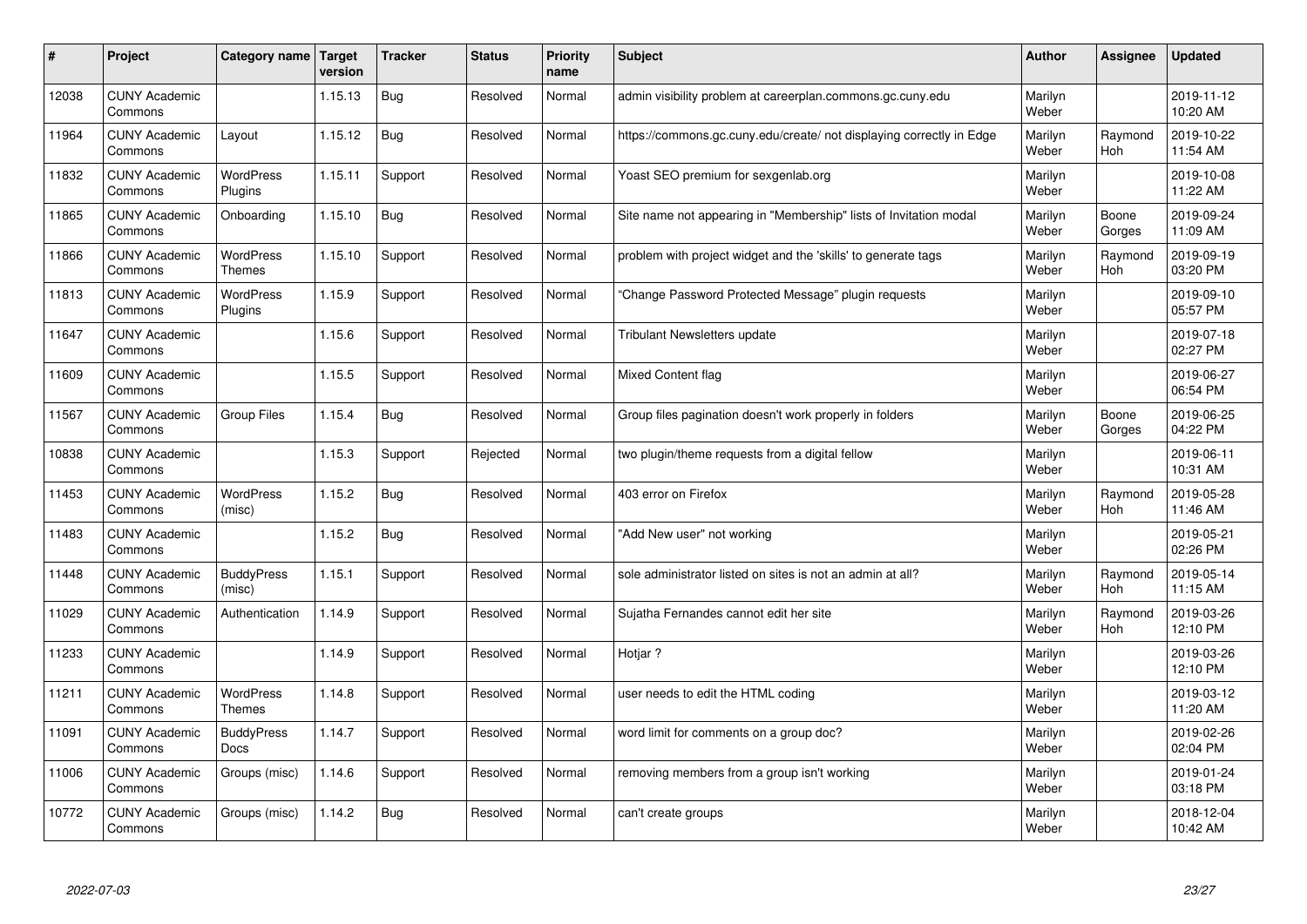| #     | Project                         | Category name   Target            | version | <b>Tracker</b> | <b>Status</b> | <b>Priority</b><br>name | <b>Subject</b>                                                       | <b>Author</b>    | Assignee              | <b>Updated</b>         |
|-------|---------------------------------|-----------------------------------|---------|----------------|---------------|-------------------------|----------------------------------------------------------------------|------------------|-----------------------|------------------------|
| 12038 | <b>CUNY Academic</b><br>Commons |                                   | 1.15.13 | Bug            | Resolved      | Normal                  | admin visibility problem at careerplan.commons.gc.cuny.edu           | Marilyn<br>Weber |                       | 2019-11-12<br>10:20 AM |
| 11964 | <b>CUNY Academic</b><br>Commons | Layout                            | 1.15.12 | Bug            | Resolved      | Normal                  | https://commons.gc.cuny.edu/create/ not displaying correctly in Edge | Marilyn<br>Weber | Raymond<br><b>Hoh</b> | 2019-10-22<br>11:54 AM |
| 11832 | <b>CUNY Academic</b><br>Commons | <b>WordPress</b><br>Plugins       | 1.15.11 | Support        | Resolved      | Normal                  | Yoast SEO premium for sexgenlab.org                                  | Marilyn<br>Weber |                       | 2019-10-08<br>11:22 AM |
| 11865 | <b>CUNY Academic</b><br>Commons | Onboarding                        | 1.15.10 | Bug            | Resolved      | Normal                  | Site name not appearing in "Membership" lists of Invitation modal    | Marilyn<br>Weber | Boone<br>Gorges       | 2019-09-24<br>11:09 AM |
| 11866 | <b>CUNY Academic</b><br>Commons | <b>WordPress</b><br><b>Themes</b> | 1.15.10 | Support        | Resolved      | Normal                  | problem with project widget and the 'skills' to generate tags        | Marilyn<br>Weber | Raymond<br>Hoh        | 2019-09-19<br>03:20 PM |
| 11813 | <b>CUNY Academic</b><br>Commons | WordPress<br>Plugins              | 1.15.9  | Support        | Resolved      | Normal                  | 'Change Password Protected Message" plugin requests                  | Marilyn<br>Weber |                       | 2019-09-10<br>05:57 PM |
| 11647 | <b>CUNY Academic</b><br>Commons |                                   | 1.15.6  | Support        | Resolved      | Normal                  | <b>Tribulant Newsletters update</b>                                  | Marilyn<br>Weber |                       | 2019-07-18<br>02:27 PM |
| 11609 | <b>CUNY Academic</b><br>Commons |                                   | 1.15.5  | Support        | Resolved      | Normal                  | <b>Mixed Content flag</b>                                            | Marilyn<br>Weber |                       | 2019-06-27<br>06:54 PM |
| 11567 | <b>CUNY Academic</b><br>Commons | Group Files                       | 1.15.4  | Bug            | Resolved      | Normal                  | Group files pagination doesn't work properly in folders              | Marilyn<br>Weber | Boone<br>Gorges       | 2019-06-25<br>04:22 PM |
| 10838 | <b>CUNY Academic</b><br>Commons |                                   | 1.15.3  | Support        | Rejected      | Normal                  | two plugin/theme requests from a digital fellow                      | Marilyn<br>Weber |                       | 2019-06-11<br>10:31 AM |
| 11453 | <b>CUNY Academic</b><br>Commons | <b>WordPress</b><br>(misc)        | 1.15.2  | <b>Bug</b>     | Resolved      | Normal                  | 403 error on Firefox                                                 | Marilyn<br>Weber | Raymond<br>Hoh        | 2019-05-28<br>11:46 AM |
| 11483 | <b>CUNY Academic</b><br>Commons |                                   | 1.15.2  | Bug            | Resolved      | Normal                  | "Add New user" not working                                           | Marilyn<br>Weber |                       | 2019-05-21<br>02:26 PM |
| 11448 | <b>CUNY Academic</b><br>Commons | <b>BuddyPress</b><br>(misc)       | 1.15.1  | Support        | Resolved      | Normal                  | sole administrator listed on sites is not an admin at all?           | Marilyn<br>Weber | Raymond<br>Hoh        | 2019-05-14<br>11:15 AM |
| 11029 | <b>CUNY Academic</b><br>Commons | Authentication                    | 1.14.9  | Support        | Resolved      | Normal                  | Sujatha Fernandes cannot edit her site                               | Marilyn<br>Weber | Raymond<br>Hoh        | 2019-03-26<br>12:10 PM |
| 11233 | <b>CUNY Academic</b><br>Commons |                                   | 1.14.9  | Support        | Resolved      | Normal                  | Hotjar ?                                                             | Marilyn<br>Weber |                       | 2019-03-26<br>12:10 PM |
| 11211 | <b>CUNY Academic</b><br>Commons | <b>WordPress</b><br><b>Themes</b> | 1.14.8  | Support        | Resolved      | Normal                  | user needs to edit the HTML coding                                   | Marilyn<br>Weber |                       | 2019-03-12<br>11:20 AM |
| 11091 | <b>CUNY Academic</b><br>Commons | <b>BuddyPress</b><br><b>Docs</b>  | 1.14.7  | Support        | Resolved      | Normal                  | word limit for comments on a group doc?                              | Marilyn<br>Weber |                       | 2019-02-26<br>02:04 PM |
| 11006 | <b>CUNY Academic</b><br>Commons | Groups (misc)                     | 1.14.6  | Support        | Resolved      | Normal                  | removing members from a group isn't working                          | Marilyn<br>Weber |                       | 2019-01-24<br>03:18 PM |
| 10772 | <b>CUNY Academic</b><br>Commons | Groups (misc)                     | 1.14.2  | <b>Bug</b>     | Resolved      | Normal                  | can't create groups                                                  | Marilyn<br>Weber |                       | 2018-12-04<br>10:42 AM |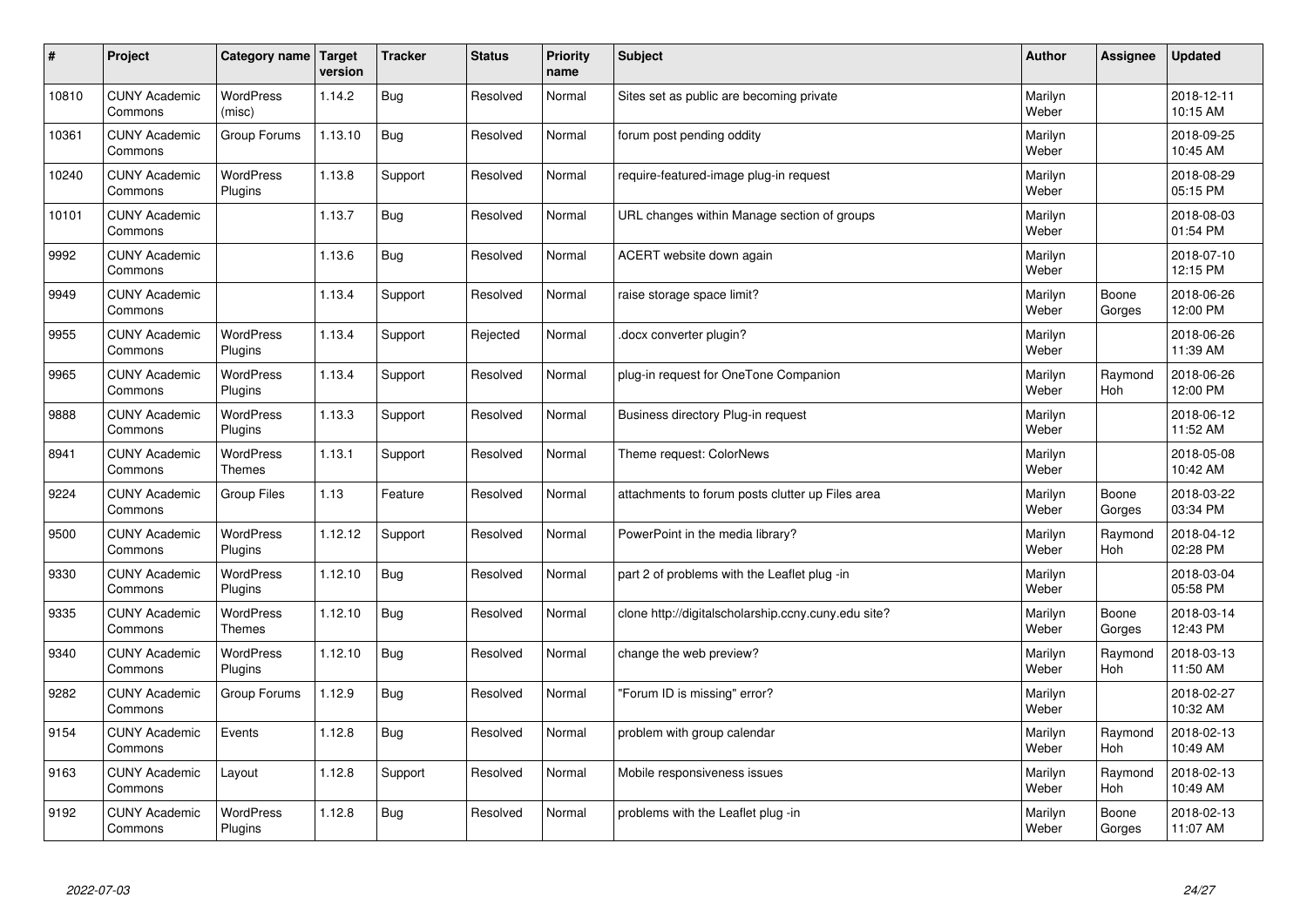| $\sharp$ | Project                         | Category name   Target            | version | <b>Tracker</b> | <b>Status</b> | <b>Priority</b><br>name | <b>Subject</b>                                      | <b>Author</b>    | Assignee        | <b>Updated</b>         |
|----------|---------------------------------|-----------------------------------|---------|----------------|---------------|-------------------------|-----------------------------------------------------|------------------|-----------------|------------------------|
| 10810    | <b>CUNY Academic</b><br>Commons | <b>WordPress</b><br>(misc)        | 1.14.2  | Bug            | Resolved      | Normal                  | Sites set as public are becoming private            | Marilyn<br>Weber |                 | 2018-12-11<br>10:15 AM |
| 10361    | <b>CUNY Academic</b><br>Commons | Group Forums                      | 1.13.10 | Bug            | Resolved      | Normal                  | forum post pending oddity                           | Marilyn<br>Weber |                 | 2018-09-25<br>10:45 AM |
| 10240    | <b>CUNY Academic</b><br>Commons | WordPress<br>Plugins              | 1.13.8  | Support        | Resolved      | Normal                  | require-featured-image plug-in request              | Marilyn<br>Weber |                 | 2018-08-29<br>05:15 PM |
| 10101    | <b>CUNY Academic</b><br>Commons |                                   | 1.13.7  | Bug            | Resolved      | Normal                  | URL changes within Manage section of groups         | Marilyn<br>Weber |                 | 2018-08-03<br>01:54 PM |
| 9992     | <b>CUNY Academic</b><br>Commons |                                   | 1.13.6  | Bug            | Resolved      | Normal                  | ACERT website down again                            | Marilyn<br>Weber |                 | 2018-07-10<br>12:15 PM |
| 9949     | <b>CUNY Academic</b><br>Commons |                                   | 1.13.4  | Support        | Resolved      | Normal                  | raise storage space limit?                          | Marilyn<br>Weber | Boone<br>Gorges | 2018-06-26<br>12:00 PM |
| 9955     | <b>CUNY Academic</b><br>Commons | WordPress<br>Plugins              | 1.13.4  | Support        | Rejected      | Normal                  | docx converter plugin?                              | Marilyn<br>Weber |                 | 2018-06-26<br>11:39 AM |
| 9965     | <b>CUNY Academic</b><br>Commons | <b>WordPress</b><br>Plugins       | 1.13.4  | Support        | Resolved      | Normal                  | plug-in request for OneTone Companion               | Marilyn<br>Weber | Raymond<br>Hoh  | 2018-06-26<br>12:00 PM |
| 9888     | <b>CUNY Academic</b><br>Commons | WordPress<br>Plugins              | 1.13.3  | Support        | Resolved      | Normal                  | Business directory Plug-in request                  | Marilyn<br>Weber |                 | 2018-06-12<br>11:52 AM |
| 8941     | <b>CUNY Academic</b><br>Commons | WordPress<br>Themes               | 1.13.1  | Support        | Resolved      | Normal                  | Theme request: ColorNews                            | Marilyn<br>Weber |                 | 2018-05-08<br>10:42 AM |
| 9224     | <b>CUNY Academic</b><br>Commons | <b>Group Files</b>                | 1.13    | Feature        | Resolved      | Normal                  | attachments to forum posts clutter up Files area    | Marilyn<br>Weber | Boone<br>Gorges | 2018-03-22<br>03:34 PM |
| 9500     | <b>CUNY Academic</b><br>Commons | <b>WordPress</b><br>Plugins       | 1.12.12 | Support        | Resolved      | Normal                  | PowerPoint in the media library?                    | Marilyn<br>Weber | Raymond<br>Hoh  | 2018-04-12<br>02:28 PM |
| 9330     | <b>CUNY Academic</b><br>Commons | WordPress<br>Plugins              | 1.12.10 | Bug            | Resolved      | Normal                  | part 2 of problems with the Leaflet plug -in        | Marilyn<br>Weber |                 | 2018-03-04<br>05:58 PM |
| 9335     | <b>CUNY Academic</b><br>Commons | <b>WordPress</b><br><b>Themes</b> | 1.12.10 | Bug            | Resolved      | Normal                  | clone http://digitalscholarship.ccny.cuny.edu site? | Marilyn<br>Weber | Boone<br>Gorges | 2018-03-14<br>12:43 PM |
| 9340     | <b>CUNY Academic</b><br>Commons | <b>WordPress</b><br>Plugins       | 1.12.10 | <b>Bug</b>     | Resolved      | Normal                  | change the web preview?                             | Marilyn<br>Weber | Raymond<br>Hoh  | 2018-03-13<br>11:50 AM |
| 9282     | <b>CUNY Academic</b><br>Commons | Group Forums                      | 1.12.9  | Bug            | Resolved      | Normal                  | "Forum ID is missing" error?                        | Marilyn<br>Weber |                 | 2018-02-27<br>10:32 AM |
| 9154     | <b>CUNY Academic</b><br>Commons | Events                            | 1.12.8  | Bug            | Resolved      | Normal                  | problem with group calendar                         | Marilyn<br>Weber | Raymond<br>Hoh  | 2018-02-13<br>10:49 AM |
| 9163     | <b>CUNY Academic</b><br>Commons | Layout                            | 1.12.8  | Support        | Resolved      | Normal                  | Mobile responsiveness issues                        | Marilyn<br>Weber | Raymond<br>Hoh  | 2018-02-13<br>10:49 AM |
| 9192     | <b>CUNY Academic</b><br>Commons | <b>WordPress</b><br>Plugins       | 1.12.8  | <b>Bug</b>     | Resolved      | Normal                  | problems with the Leaflet plug -in                  | Marilyn<br>Weber | Boone<br>Gorges | 2018-02-13<br>11:07 AM |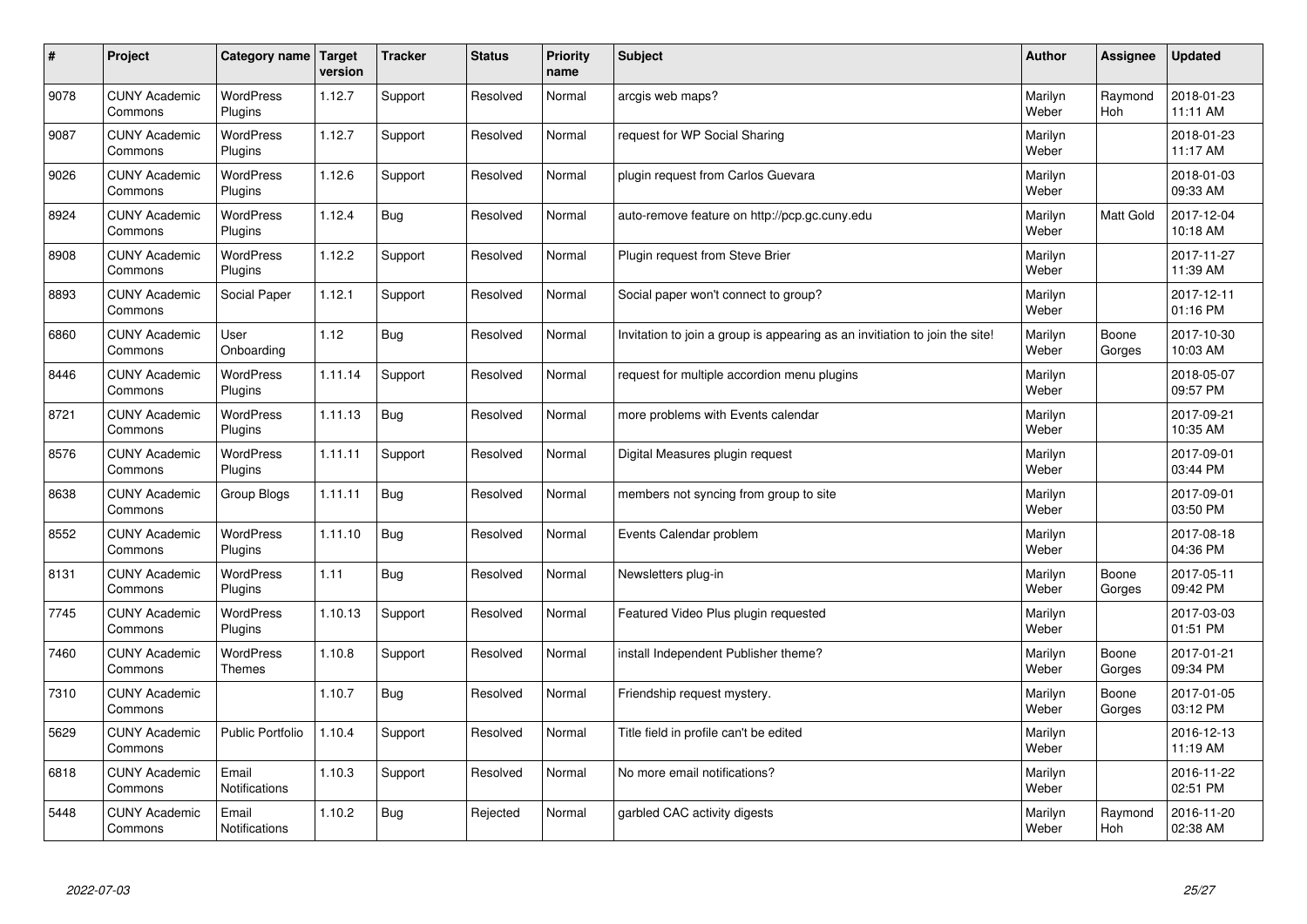| $\sharp$ | Project                         | Category name                     | Target<br>version | <b>Tracker</b> | <b>Status</b> | <b>Priority</b><br>name | <b>Subject</b>                                                              | <b>Author</b>    | Assignee              | <b>Updated</b>         |
|----------|---------------------------------|-----------------------------------|-------------------|----------------|---------------|-------------------------|-----------------------------------------------------------------------------|------------------|-----------------------|------------------------|
| 9078     | <b>CUNY Academic</b><br>Commons | <b>WordPress</b><br>Plugins       | 1.12.7            | Support        | Resolved      | Normal                  | arcgis web maps?                                                            | Marilyn<br>Weber | Raymond<br><b>Hoh</b> | 2018-01-23<br>11:11 AM |
| 9087     | <b>CUNY Academic</b><br>Commons | <b>WordPress</b><br>Plugins       | 1.12.7            | Support        | Resolved      | Normal                  | request for WP Social Sharing                                               | Marilyn<br>Weber |                       | 2018-01-23<br>11:17 AM |
| 9026     | <b>CUNY Academic</b><br>Commons | <b>WordPress</b><br>Plugins       | 1.12.6            | Support        | Resolved      | Normal                  | plugin request from Carlos Guevara                                          | Marilyn<br>Weber |                       | 2018-01-03<br>09:33 AM |
| 8924     | <b>CUNY Academic</b><br>Commons | <b>WordPress</b><br>Plugins       | 1.12.4            | <b>Bug</b>     | Resolved      | Normal                  | auto-remove feature on http://pcp.gc.cuny.edu                               | Marilyn<br>Weber | Matt Gold             | 2017-12-04<br>10:18 AM |
| 8908     | <b>CUNY Academic</b><br>Commons | <b>WordPress</b><br>Plugins       | 1.12.2            | Support        | Resolved      | Normal                  | Plugin request from Steve Brier                                             | Marilyn<br>Weber |                       | 2017-11-27<br>11:39 AM |
| 8893     | <b>CUNY Academic</b><br>Commons | Social Paper                      | 1.12.1            | Support        | Resolved      | Normal                  | Social paper won't connect to group?                                        | Marilyn<br>Weber |                       | 2017-12-11<br>01:16 PM |
| 6860     | <b>CUNY Academic</b><br>Commons | User<br>Onboarding                | 1.12              | Bug            | Resolved      | Normal                  | Invitation to join a group is appearing as an invitiation to join the site! | Marilyn<br>Weber | Boone<br>Gorges       | 2017-10-30<br>10:03 AM |
| 8446     | <b>CUNY Academic</b><br>Commons | <b>WordPress</b><br>Plugins       | 1.11.14           | Support        | Resolved      | Normal                  | request for multiple accordion menu plugins                                 | Marilyn<br>Weber |                       | 2018-05-07<br>09:57 PM |
| 8721     | <b>CUNY Academic</b><br>Commons | <b>WordPress</b><br>Plugins       | 1.11.13           | Bug            | Resolved      | Normal                  | more problems with Events calendar                                          | Marilyn<br>Weber |                       | 2017-09-21<br>10:35 AM |
| 8576     | <b>CUNY Academic</b><br>Commons | WordPress<br>Plugins              | 1.11.11           | Support        | Resolved      | Normal                  | Digital Measures plugin request                                             | Marilyn<br>Weber |                       | 2017-09-01<br>03:44 PM |
| 8638     | <b>CUNY Academic</b><br>Commons | Group Blogs                       | 1.11.11           | <b>Bug</b>     | Resolved      | Normal                  | members not syncing from group to site                                      | Marilyn<br>Weber |                       | 2017-09-01<br>03:50 PM |
| 8552     | <b>CUNY Academic</b><br>Commons | <b>WordPress</b><br>Plugins       | 1.11.10           | <b>Bug</b>     | Resolved      | Normal                  | Events Calendar problem                                                     | Marilyn<br>Weber |                       | 2017-08-18<br>04:36 PM |
| 8131     | <b>CUNY Academic</b><br>Commons | <b>WordPress</b><br>Plugins       | 1.11              | Bug            | Resolved      | Normal                  | Newsletters plug-in                                                         | Marilyn<br>Weber | Boone<br>Gorges       | 2017-05-11<br>09:42 PM |
| 7745     | <b>CUNY Academic</b><br>Commons | <b>WordPress</b><br>Plugins       | 1.10.13           | Support        | Resolved      | Normal                  | Featured Video Plus plugin requested                                        | Marilyn<br>Weber |                       | 2017-03-03<br>01:51 PM |
| 7460     | <b>CUNY Academic</b><br>Commons | <b>WordPress</b><br><b>Themes</b> | 1.10.8            | Support        | Resolved      | Normal                  | install Independent Publisher theme?                                        | Marilyn<br>Weber | Boone<br>Gorges       | 2017-01-21<br>09:34 PM |
| 7310     | <b>CUNY Academic</b><br>Commons |                                   | 1.10.7            | Bug            | Resolved      | Normal                  | Friendship request mystery.                                                 | Marilyn<br>Weber | Boone<br>Gorges       | 2017-01-05<br>03:12 PM |
| 5629     | <b>CUNY Academic</b><br>Commons | <b>Public Portfolio</b>           | 1.10.4            | Support        | Resolved      | Normal                  | Title field in profile can't be edited                                      | Marilyn<br>Weber |                       | 2016-12-13<br>11:19 AM |
| 6818     | <b>CUNY Academic</b><br>Commons | Email<br><b>Notifications</b>     | 1.10.3            | Support        | Resolved      | Normal                  | No more email notifications?                                                | Marilyn<br>Weber |                       | 2016-11-22<br>02:51 PM |
| 5448     | <b>CUNY Academic</b><br>Commons | Email<br><b>Notifications</b>     | 1.10.2            | Bug            | Rejected      | Normal                  | garbled CAC activity digests                                                | Marilyn<br>Weber | Raymond<br>Hoh        | 2016-11-20<br>02:38 AM |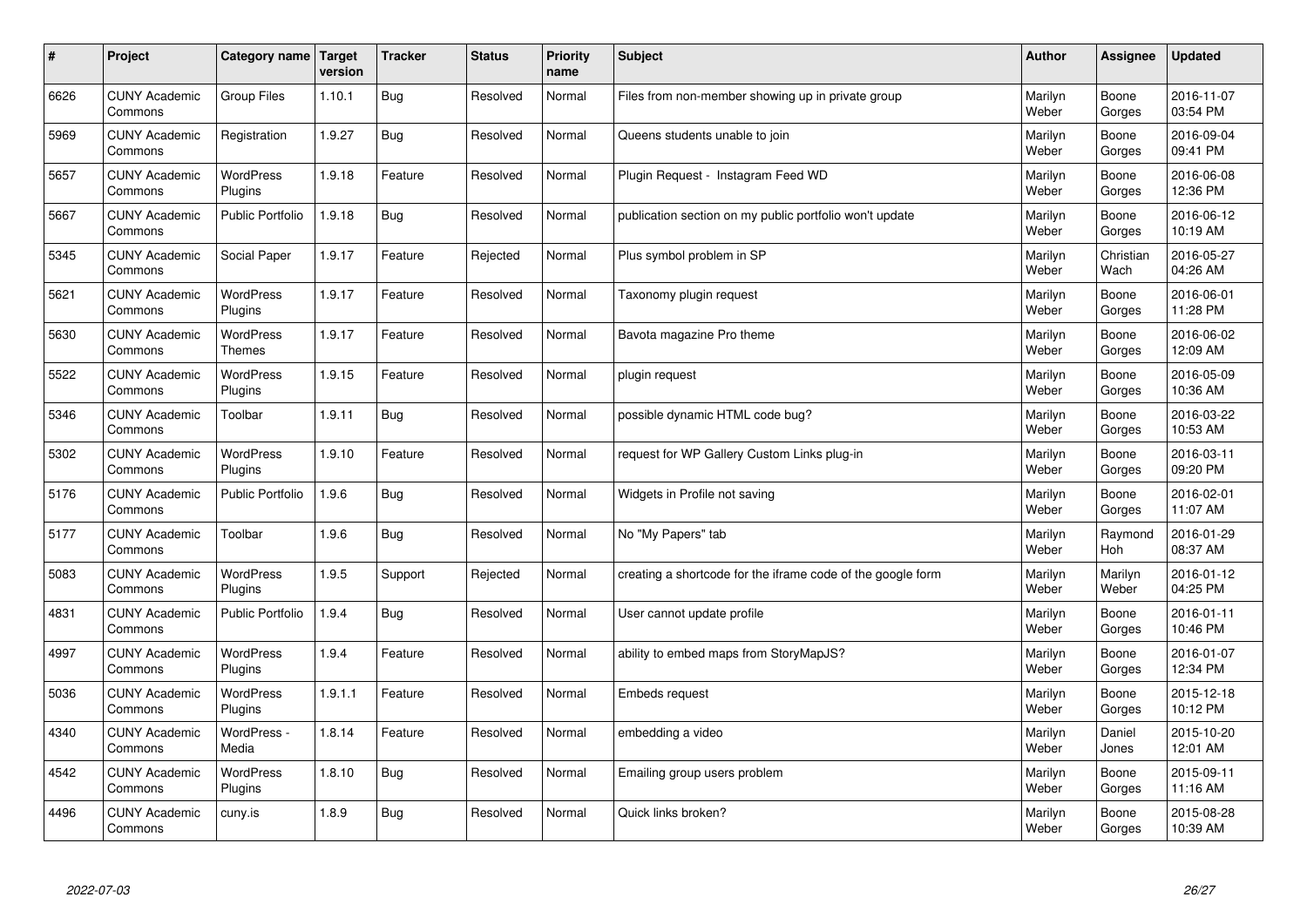| $\pmb{\#}$ | Project                         | Category name               | Target<br>version | <b>Tracker</b> | <b>Status</b> | <b>Priority</b><br>name | <b>Subject</b>                                              | <b>Author</b>    | Assignee          | <b>Updated</b>         |
|------------|---------------------------------|-----------------------------|-------------------|----------------|---------------|-------------------------|-------------------------------------------------------------|------------------|-------------------|------------------------|
| 6626       | <b>CUNY Academic</b><br>Commons | Group Files                 | 1.10.1            | <b>Bug</b>     | Resolved      | Normal                  | Files from non-member showing up in private group           | Marilyn<br>Weber | Boone<br>Gorges   | 2016-11-07<br>03:54 PM |
| 5969       | <b>CUNY Academic</b><br>Commons | Registration                | 1.9.27            | <b>Bug</b>     | Resolved      | Normal                  | Queens students unable to join                              | Marilyn<br>Weber | Boone<br>Gorges   | 2016-09-04<br>09:41 PM |
| 5657       | <b>CUNY Academic</b><br>Commons | WordPress<br>Plugins        | 1.9.18            | Feature        | Resolved      | Normal                  | Plugin Request - Instagram Feed WD                          | Marilyn<br>Weber | Boone<br>Gorges   | 2016-06-08<br>12:36 PM |
| 5667       | <b>CUNY Academic</b><br>Commons | <b>Public Portfolio</b>     | 1.9.18            | Bug            | Resolved      | Normal                  | publication section on my public portfolio won't update     | Marilyn<br>Weber | Boone<br>Gorges   | 2016-06-12<br>10:19 AM |
| 5345       | <b>CUNY Academic</b><br>Commons | Social Paper                | 1.9.17            | Feature        | Rejected      | Normal                  | Plus symbol problem in SP                                   | Marilyn<br>Weber | Christian<br>Wach | 2016-05-27<br>04:26 AM |
| 5621       | <b>CUNY Academic</b><br>Commons | WordPress<br>Plugins        | 1.9.17            | Feature        | Resolved      | Normal                  | Taxonomy plugin request                                     | Marilyn<br>Weber | Boone<br>Gorges   | 2016-06-01<br>11:28 PM |
| 5630       | <b>CUNY Academic</b><br>Commons | WordPress<br><b>Themes</b>  | 1.9.17            | Feature        | Resolved      | Normal                  | Bavota magazine Pro theme                                   | Marilyn<br>Weber | Boone<br>Gorges   | 2016-06-02<br>12:09 AM |
| 5522       | <b>CUNY Academic</b><br>Commons | <b>WordPress</b><br>Plugins | 1.9.15            | Feature        | Resolved      | Normal                  | plugin request                                              | Marilyn<br>Weber | Boone<br>Gorges   | 2016-05-09<br>10:36 AM |
| 5346       | <b>CUNY Academic</b><br>Commons | Toolbar                     | 1.9.11            | Bug            | Resolved      | Normal                  | possible dynamic HTML code bug?                             | Marilyn<br>Weber | Boone<br>Gorges   | 2016-03-22<br>10:53 AM |
| 5302       | <b>CUNY Academic</b><br>Commons | WordPress<br>Plugins        | 1.9.10            | Feature        | Resolved      | Normal                  | request for WP Gallery Custom Links plug-in                 | Marilyn<br>Weber | Boone<br>Gorges   | 2016-03-11<br>09:20 PM |
| 5176       | <b>CUNY Academic</b><br>Commons | <b>Public Portfolio</b>     | 1.9.6             | <b>Bug</b>     | Resolved      | Normal                  | Widgets in Profile not saving                               | Marilyn<br>Weber | Boone<br>Gorges   | 2016-02-01<br>11:07 AM |
| 5177       | <b>CUNY Academic</b><br>Commons | Toolbar                     | 1.9.6             | <b>Bug</b>     | Resolved      | Normal                  | No "My Papers" tab                                          | Marilyn<br>Weber | Raymond<br>Hoh    | 2016-01-29<br>08:37 AM |
| 5083       | <b>CUNY Academic</b><br>Commons | WordPress<br>Plugins        | 1.9.5             | Support        | Rejected      | Normal                  | creating a shortcode for the iframe code of the google form | Marilyn<br>Weber | Marilyn<br>Weber  | 2016-01-12<br>04:25 PM |
| 4831       | <b>CUNY Academic</b><br>Commons | Public Portfolio            | 1.9.4             | <b>Bug</b>     | Resolved      | Normal                  | User cannot update profile                                  | Marilyn<br>Weber | Boone<br>Gorges   | 2016-01-11<br>10:46 PM |
| 4997       | <b>CUNY Academic</b><br>Commons | WordPress<br>Plugins        | 1.9.4             | Feature        | Resolved      | Normal                  | ability to embed maps from StoryMapJS?                      | Marilyn<br>Weber | Boone<br>Gorges   | 2016-01-07<br>12:34 PM |
| 5036       | <b>CUNY Academic</b><br>Commons | <b>WordPress</b><br>Plugins | 1.9.1.1           | Feature        | Resolved      | Normal                  | Embeds request                                              | Marilyn<br>Weber | Boone<br>Gorges   | 2015-12-18<br>10:12 PM |
| 4340       | <b>CUNY Academic</b><br>Commons | WordPress -<br>Media        | 1.8.14            | Feature        | Resolved      | Normal                  | embedding a video                                           | Marilyn<br>Weber | Daniel<br>Jones   | 2015-10-20<br>12:01 AM |
| 4542       | <b>CUNY Academic</b><br>Commons | WordPress<br>Plugins        | 1.8.10            | Bug            | Resolved      | Normal                  | Emailing group users problem                                | Marilyn<br>Weber | Boone<br>Gorges   | 2015-09-11<br>11:16 AM |
| 4496       | <b>CUNY Academic</b><br>Commons | cuny.is                     | 1.8.9             | <b>Bug</b>     | Resolved      | Normal                  | Quick links broken?                                         | Marilyn<br>Weber | Boone<br>Gorges   | 2015-08-28<br>10:39 AM |